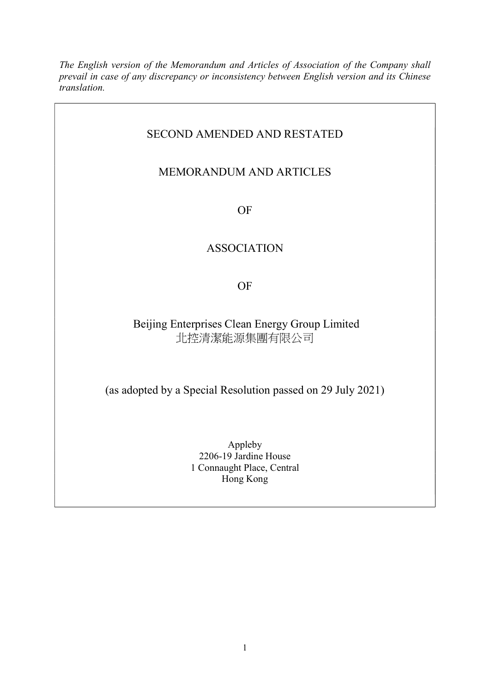The English version of the Memorandum and Articles of Association of the Company shall prevail in case of any discrepancy or inconsistency between English version and its Chinese translation.

# SECOND AMENDED AND RESTATED

# MEMORANDUM AND ARTICLES

OF

# ASSOCIATION

OF

# Beijing Enterprises Clean Energy Group Limited 北控清潔能源集團有限公司

(as adopted by a Special Resolution passed on 29 July 2021)

Appleby 2206-19 Jardine House 1 Connaught Place, Central Hong Kong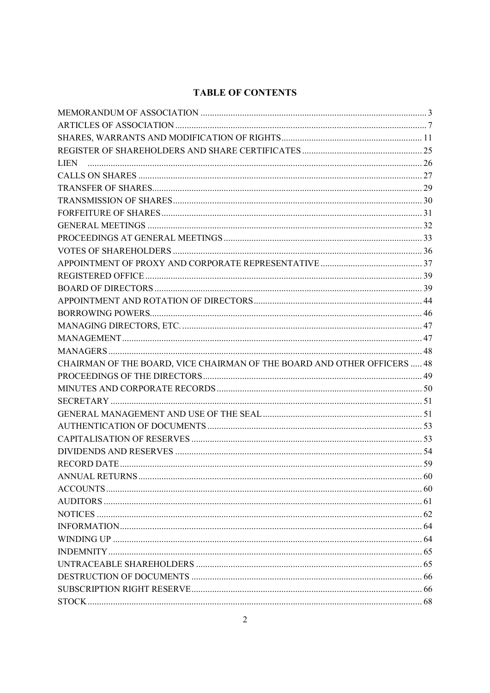# **TABLE OF CONTENTS**

| CHAIRMAN OF THE BOARD, VICE CHAIRMAN OF THE BOARD AND OTHER OFFICERS  48 |  |
|--------------------------------------------------------------------------|--|
|                                                                          |  |
|                                                                          |  |
|                                                                          |  |
|                                                                          |  |
|                                                                          |  |
|                                                                          |  |
|                                                                          |  |
|                                                                          |  |
| ANNUAL RETURNS<br>60                                                     |  |
|                                                                          |  |
|                                                                          |  |
|                                                                          |  |
|                                                                          |  |
|                                                                          |  |
|                                                                          |  |
|                                                                          |  |
|                                                                          |  |
|                                                                          |  |
|                                                                          |  |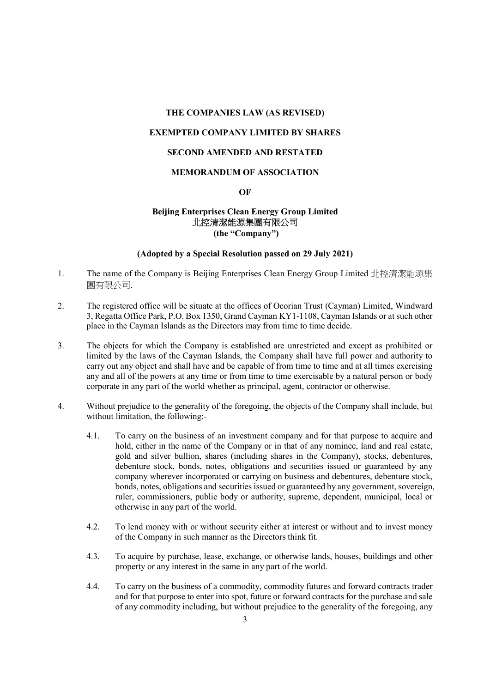# THE COMPANIES LAW (AS REVISED)

# EXEMPTED COMPANY LIMITED BY SHARES

# SECOND AMENDED AND RESTATED

# MEMORANDUM OF ASSOCIATION

#### OF

# Beijing Enterprises Clean Energy Group Limited 北控清潔能源集團有限公司 (the "Company")

#### (Adopted by a Special Resolution passed on 29 July 2021)

- 1. The name of the Company is Beijing Enterprises Clean Energy Group Limited 北控清潔能源集 團有限公司.
- 2. The registered office will be situate at the offices of Ocorian Trust (Cayman) Limited, Windward 3, Regatta Office Park, P.O. Box 1350, Grand Cayman KY1-1108, Cayman Islands or at such other place in the Cayman Islands as the Directors may from time to time decide.
- 3. The objects for which the Company is established are unrestricted and except as prohibited or limited by the laws of the Cayman Islands, the Company shall have full power and authority to carry out any object and shall have and be capable of from time to time and at all times exercising any and all of the powers at any time or from time to time exercisable by a natural person or body corporate in any part of the world whether as principal, agent, contractor or otherwise.
- 4. Without prejudice to the generality of the foregoing, the objects of the Company shall include, but without limitation, the following:-
	- 4.1. To carry on the business of an investment company and for that purpose to acquire and hold, either in the name of the Company or in that of any nominee, land and real estate, gold and silver bullion, shares (including shares in the Company), stocks, debentures, debenture stock, bonds, notes, obligations and securities issued or guaranteed by any company wherever incorporated or carrying on business and debentures, debenture stock, bonds, notes, obligations and securities issued or guaranteed by any government, sovereign, ruler, commissioners, public body or authority, supreme, dependent, municipal, local or otherwise in any part of the world.
	- 4.2. To lend money with or without security either at interest or without and to invest money of the Company in such manner as the Directors think fit.
	- 4.3. To acquire by purchase, lease, exchange, or otherwise lands, houses, buildings and other property or any interest in the same in any part of the world.
	- 4.4. To carry on the business of a commodity, commodity futures and forward contracts trader and for that purpose to enter into spot, future or forward contracts for the purchase and sale of any commodity including, but without prejudice to the generality of the foregoing, any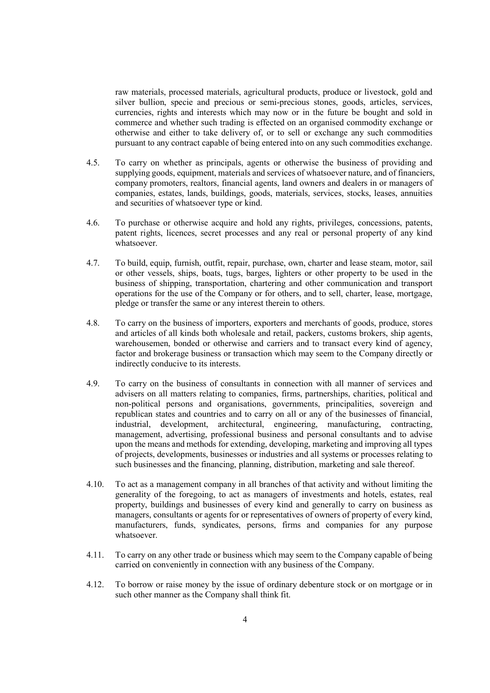raw materials, processed materials, agricultural products, produce or livestock, gold and silver bullion, specie and precious or semi-precious stones, goods, articles, services, currencies, rights and interests which may now or in the future be bought and sold in commerce and whether such trading is effected on an organised commodity exchange or otherwise and either to take delivery of, or to sell or exchange any such commodities pursuant to any contract capable of being entered into on any such commodities exchange.

- 4.5. To carry on whether as principals, agents or otherwise the business of providing and supplying goods, equipment, materials and services of whatsoever nature, and of financiers, company promoters, realtors, financial agents, land owners and dealers in or managers of companies, estates, lands, buildings, goods, materials, services, stocks, leases, annuities and securities of whatsoever type or kind.
- 4.6. To purchase or otherwise acquire and hold any rights, privileges, concessions, patents, patent rights, licences, secret processes and any real or personal property of any kind whatsoever.
- 4.7. To build, equip, furnish, outfit, repair, purchase, own, charter and lease steam, motor, sail or other vessels, ships, boats, tugs, barges, lighters or other property to be used in the business of shipping, transportation, chartering and other communication and transport operations for the use of the Company or for others, and to sell, charter, lease, mortgage, pledge or transfer the same or any interest therein to others.
- 4.8. To carry on the business of importers, exporters and merchants of goods, produce, stores and articles of all kinds both wholesale and retail, packers, customs brokers, ship agents, warehousemen, bonded or otherwise and carriers and to transact every kind of agency, factor and brokerage business or transaction which may seem to the Company directly or indirectly conducive to its interests.
- 4.9. To carry on the business of consultants in connection with all manner of services and advisers on all matters relating to companies, firms, partnerships, charities, political and non-political persons and organisations, governments, principalities, sovereign and republican states and countries and to carry on all or any of the businesses of financial, industrial, development, architectural, engineering, manufacturing, contracting, management, advertising, professional business and personal consultants and to advise upon the means and methods for extending, developing, marketing and improving all types of projects, developments, businesses or industries and all systems or processes relating to such businesses and the financing, planning, distribution, marketing and sale thereof.
- 4.10. To act as a management company in all branches of that activity and without limiting the generality of the foregoing, to act as managers of investments and hotels, estates, real property, buildings and businesses of every kind and generally to carry on business as managers, consultants or agents for or representatives of owners of property of every kind, manufacturers, funds, syndicates, persons, firms and companies for any purpose whatsoever.
- 4.11. To carry on any other trade or business which may seem to the Company capable of being carried on conveniently in connection with any business of the Company.
- 4.12. To borrow or raise money by the issue of ordinary debenture stock or on mortgage or in such other manner as the Company shall think fit.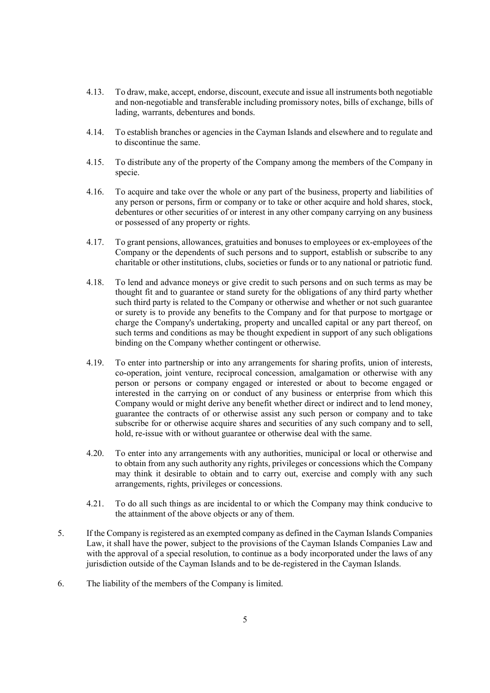- 4.13. To draw, make, accept, endorse, discount, execute and issue all instruments both negotiable and non-negotiable and transferable including promissory notes, bills of exchange, bills of lading, warrants, debentures and bonds.
- 4.14. To establish branches or agencies in the Cayman Islands and elsewhere and to regulate and to discontinue the same.
- 4.15. To distribute any of the property of the Company among the members of the Company in specie.
- 4.16. To acquire and take over the whole or any part of the business, property and liabilities of any person or persons, firm or company or to take or other acquire and hold shares, stock, debentures or other securities of or interest in any other company carrying on any business or possessed of any property or rights.
- 4.17. To grant pensions, allowances, gratuities and bonuses to employees or ex-employees of the Company or the dependents of such persons and to support, establish or subscribe to any charitable or other institutions, clubs, societies or funds or to any national or patriotic fund.
- 4.18. To lend and advance moneys or give credit to such persons and on such terms as may be thought fit and to guarantee or stand surety for the obligations of any third party whether such third party is related to the Company or otherwise and whether or not such guarantee or surety is to provide any benefits to the Company and for that purpose to mortgage or charge the Company's undertaking, property and uncalled capital or any part thereof, on such terms and conditions as may be thought expedient in support of any such obligations binding on the Company whether contingent or otherwise.
- 4.19. To enter into partnership or into any arrangements for sharing profits, union of interests, co-operation, joint venture, reciprocal concession, amalgamation or otherwise with any person or persons or company engaged or interested or about to become engaged or interested in the carrying on or conduct of any business or enterprise from which this Company would or might derive any benefit whether direct or indirect and to lend money, guarantee the contracts of or otherwise assist any such person or company and to take subscribe for or otherwise acquire shares and securities of any such company and to sell, hold, re-issue with or without guarantee or otherwise deal with the same.
- 4.20. To enter into any arrangements with any authorities, municipal or local or otherwise and to obtain from any such authority any rights, privileges or concessions which the Company may think it desirable to obtain and to carry out, exercise and comply with any such arrangements, rights, privileges or concessions.
- 4.21. To do all such things as are incidental to or which the Company may think conducive to the attainment of the above objects or any of them.
- 5. If the Company is registered as an exempted company as defined in the Cayman Islands Companies Law, it shall have the power, subject to the provisions of the Cayman Islands Companies Law and with the approval of a special resolution, to continue as a body incorporated under the laws of any jurisdiction outside of the Cayman Islands and to be de-registered in the Cayman Islands.
- 6. The liability of the members of the Company is limited.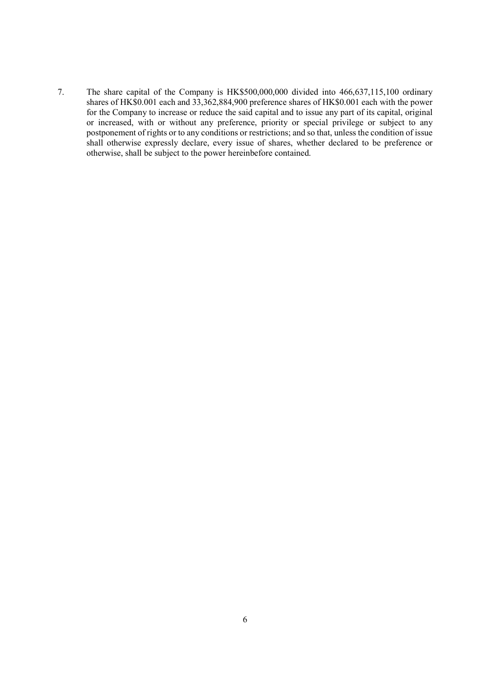7. The share capital of the Company is HK\$500,000,000 divided into 466,637,115,100 ordinary shares of HK\$0.001 each and 33,362,884,900 preference shares of HK\$0.001 each with the power for the Company to increase or reduce the said capital and to issue any part of its capital, original or increased, with or without any preference, priority or special privilege or subject to any postponement of rights or to any conditions or restrictions; and so that, unless the condition of issue shall otherwise expressly declare, every issue of shares, whether declared to be preference or otherwise, shall be subject to the power hereinbefore contained.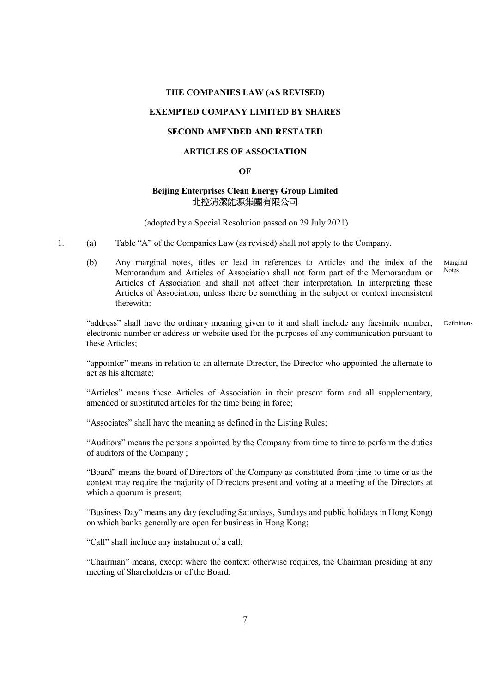#### THE COMPANIES LAW (AS REVISED)

## EXEMPTED COMPANY LIMITED BY SHARES

# SECOND AMENDED AND RESTATED

# ARTICLES OF ASSOCIATION

## **OF**

# Beijing Enterprises Clean Energy Group Limited 北控清潔能源集團有限公司

(adopted by a Special Resolution passed on 29 July 2021)

- 1. (a) Table "A" of the Companies Law (as revised) shall not apply to the Company.
	- (b) Any marginal notes, titles or lead in references to Articles and the index of the Memorandum and Articles of Association shall not form part of the Memorandum or Articles of Association and shall not affect their interpretation. In interpreting these Articles of Association, unless there be something in the subject or context inconsistent therewith: Marginal Notes

"address" shall have the ordinary meaning given to it and shall include any facsimile number, electronic number or address or website used for the purposes of any communication pursuant to these Articles; Definitions

"appointor" means in relation to an alternate Director, the Director who appointed the alternate to act as his alternate;

"Articles" means these Articles of Association in their present form and all supplementary, amended or substituted articles for the time being in force;

"Associates" shall have the meaning as defined in the Listing Rules;

"Auditors" means the persons appointed by the Company from time to time to perform the duties of auditors of the Company ;

"Board" means the board of Directors of the Company as constituted from time to time or as the context may require the majority of Directors present and voting at a meeting of the Directors at which a quorum is present;

"Business Day" means any day (excluding Saturdays, Sundays and public holidays in Hong Kong) on which banks generally are open for business in Hong Kong;

"Call" shall include any instalment of a call;

"Chairman" means, except where the context otherwise requires, the Chairman presiding at any meeting of Shareholders or of the Board;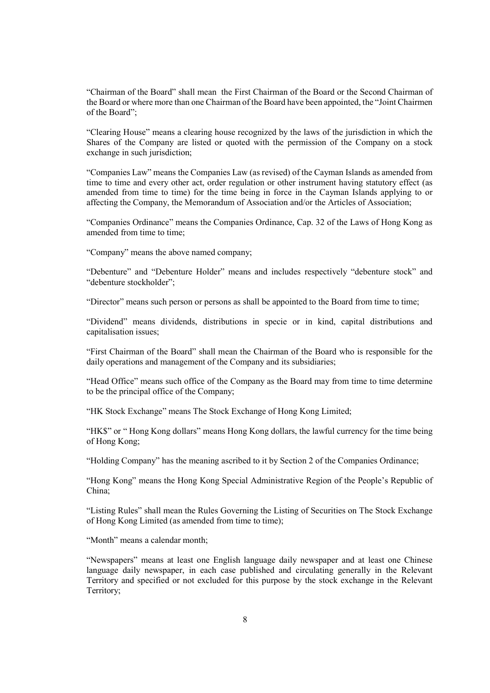"Chairman of the Board" shall mean the First Chairman of the Board or the Second Chairman of the Board or where more than one Chairman of the Board have been appointed, the "Joint Chairmen of the Board";

"Clearing House" means a clearing house recognized by the laws of the jurisdiction in which the Shares of the Company are listed or quoted with the permission of the Company on a stock exchange in such jurisdiction;

"Companies Law" means the Companies Law (as revised) of the Cayman Islands as amended from time to time and every other act, order regulation or other instrument having statutory effect (as amended from time to time) for the time being in force in the Cayman Islands applying to or affecting the Company, the Memorandum of Association and/or the Articles of Association;

"Companies Ordinance" means the Companies Ordinance, Cap. 32 of the Laws of Hong Kong as amended from time to time;

"Company" means the above named company;

"Debenture" and "Debenture Holder" means and includes respectively "debenture stock" and "debenture stockholder";

"Director" means such person or persons as shall be appointed to the Board from time to time;

"Dividend" means dividends, distributions in specie or in kind, capital distributions and capitalisation issues;

"First Chairman of the Board" shall mean the Chairman of the Board who is responsible for the daily operations and management of the Company and its subsidiaries;

"Head Office" means such office of the Company as the Board may from time to time determine to be the principal office of the Company;

"HK Stock Exchange" means The Stock Exchange of Hong Kong Limited;

"HK\$" or " Hong Kong dollars" means Hong Kong dollars, the lawful currency for the time being of Hong Kong;

"Holding Company" has the meaning ascribed to it by Section 2 of the Companies Ordinance;

"Hong Kong" means the Hong Kong Special Administrative Region of the People's Republic of China;

"Listing Rules" shall mean the Rules Governing the Listing of Securities on The Stock Exchange of Hong Kong Limited (as amended from time to time);

"Month" means a calendar month:

"Newspapers" means at least one English language daily newspaper and at least one Chinese language daily newspaper, in each case published and circulating generally in the Relevant Territory and specified or not excluded for this purpose by the stock exchange in the Relevant Territory;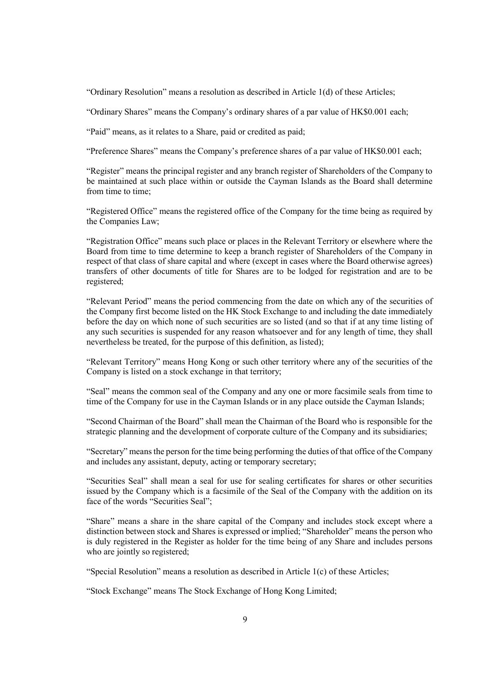"Ordinary Resolution" means a resolution as described in Article 1(d) of these Articles;

"Ordinary Shares" means the Company's ordinary shares of a par value of HK\$0.001 each;

"Paid" means, as it relates to a Share, paid or credited as paid;

"Preference Shares" means the Company's preference shares of a par value of HK\$0.001 each;

"Register" means the principal register and any branch register of Shareholders of the Company to be maintained at such place within or outside the Cayman Islands as the Board shall determine from time to time;

"Registered Office" means the registered office of the Company for the time being as required by the Companies Law;

"Registration Office" means such place or places in the Relevant Territory or elsewhere where the Board from time to time determine to keep a branch register of Shareholders of the Company in respect of that class of share capital and where (except in cases where the Board otherwise agrees) transfers of other documents of title for Shares are to be lodged for registration and are to be registered;

"Relevant Period" means the period commencing from the date on which any of the securities of the Company first become listed on the HK Stock Exchange to and including the date immediately before the day on which none of such securities are so listed (and so that if at any time listing of any such securities is suspended for any reason whatsoever and for any length of time, they shall nevertheless be treated, for the purpose of this definition, as listed);

"Relevant Territory" means Hong Kong or such other territory where any of the securities of the Company is listed on a stock exchange in that territory;

"Seal" means the common seal of the Company and any one or more facsimile seals from time to time of the Company for use in the Cayman Islands or in any place outside the Cayman Islands;

"Second Chairman of the Board" shall mean the Chairman of the Board who is responsible for the strategic planning and the development of corporate culture of the Company and its subsidiaries;

"Secretary" means the person for the time being performing the duties of that office of the Company and includes any assistant, deputy, acting or temporary secretary;

"Securities Seal" shall mean a seal for use for sealing certificates for shares or other securities issued by the Company which is a facsimile of the Seal of the Company with the addition on its face of the words "Securities Seal":

"Share" means a share in the share capital of the Company and includes stock except where a distinction between stock and Shares is expressed or implied; "Shareholder" means the person who is duly registered in the Register as holder for the time being of any Share and includes persons who are jointly so registered;

"Special Resolution" means a resolution as described in Article 1(c) of these Articles;

"Stock Exchange" means The Stock Exchange of Hong Kong Limited;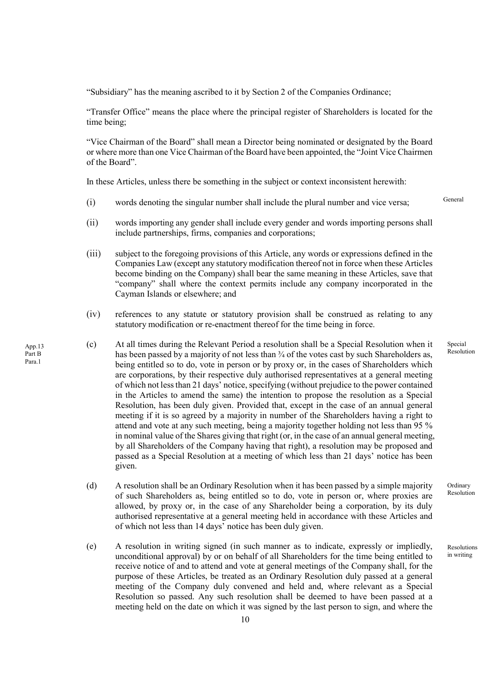"Subsidiary" has the meaning ascribed to it by Section 2 of the Companies Ordinance;

"Transfer Office" means the place where the principal register of Shareholders is located for the time being;

"Vice Chairman of the Board" shall mean a Director being nominated or designated by the Board or where more than one Vice Chairman of the Board have been appointed, the "Joint Vice Chairmen of the Board".

In these Articles, unless there be something in the subject or context inconsistent herewith:

- (i) words denoting the singular number shall include the plural number and vice versa;
- (ii) words importing any gender shall include every gender and words importing persons shall include partnerships, firms, companies and corporations;
- (iii) subject to the foregoing provisions of this Article, any words or expressions defined in the Companies Law (except any statutory modification thereof not in force when these Articles become binding on the Company) shall bear the same meaning in these Articles, save that "company" shall where the context permits include any company incorporated in the Cayman Islands or elsewhere; and
- (iv) references to any statute or statutory provision shall be construed as relating to any statutory modification or re-enactment thereof for the time being in force.
- (c) At all times during the Relevant Period a resolution shall be a Special Resolution when it has been passed by a majority of not less than  $\frac{3}{4}$  of the votes cast by such Shareholders as, being entitled so to do, vote in person or by proxy or, in the cases of Shareholders which are corporations, by their respective duly authorised representatives at a general meeting of which not less than 21 days' notice, specifying (without prejudice to the power contained in the Articles to amend the same) the intention to propose the resolution as a Special Resolution, has been duly given. Provided that, except in the case of an annual general meeting if it is so agreed by a majority in number of the Shareholders having a right to attend and vote at any such meeting, being a majority together holding not less than 95 % in nominal value of the Shares giving that right (or, in the case of an annual general meeting, by all Shareholders of the Company having that right), a resolution may be proposed and passed as a Special Resolution at a meeting of which less than 21 days' notice has been given.
	- (d) A resolution shall be an Ordinary Resolution when it has been passed by a simple majority of such Shareholders as, being entitled so to do, vote in person or, where proxies are allowed, by proxy or, in the case of any Shareholder being a corporation, by its duly authorised representative at a general meeting held in accordance with these Articles and of which not less than 14 days' notice has been duly given.
	- (e) A resolution in writing signed (in such manner as to indicate, expressly or impliedly, unconditional approval) by or on behalf of all Shareholders for the time being entitled to receive notice of and to attend and vote at general meetings of the Company shall, for the purpose of these Articles, be treated as an Ordinary Resolution duly passed at a general meeting of the Company duly convened and held and, where relevant as a Special Resolution so passed. Any such resolution shall be deemed to have been passed at a meeting held on the date on which it was signed by the last person to sign, and where the

App.13 Part B Para.1

10

General

Special Resolution

Ordinary Resolution

Resolutions in writing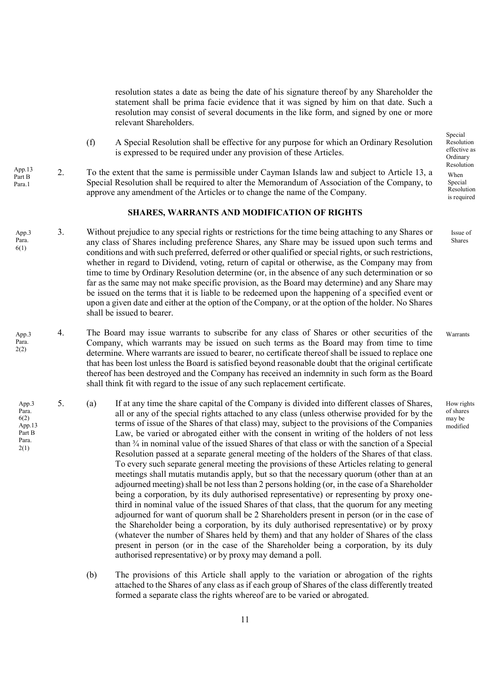resolution states a date as being the date of his signature thereof by any Shareholder the statement shall be prima facie evidence that it was signed by him on that date. Such a resolution may consist of several documents in the like form, and signed by one or more relevant Shareholders.

- (f) A Special Resolution shall be effective for any purpose for which an Ordinary Resolution is expressed to be required under any provision of these Articles.
- 2. To the extent that the same is permissible under Cayman Islands law and subject to Article 13, a Special Resolution shall be required to alter the Memorandum of Association of the Company, to approve any amendment of the Articles or to change the name of the Company. App.13 Part B Para.1

### SHARES, WARRANTS AND MODIFICATION OF RIGHTS

- 3. Without prejudice to any special rights or restrictions for the time being attaching to any Shares or any class of Shares including preference Shares, any Share may be issued upon such terms and conditions and with such preferred, deferred or other qualified or special rights, or such restrictions, whether in regard to Dividend, voting, return of capital or otherwise, as the Company may from time to time by Ordinary Resolution determine (or, in the absence of any such determination or so far as the same may not make specific provision, as the Board may determine) and any Share may be issued on the terms that it is liable to be redeemed upon the happening of a specified event or upon a given date and either at the option of the Company, or at the option of the holder. No Shares shall be issued to bearer. App.3 Para. 6(1)
- 4. The Board may issue warrants to subscribe for any class of Shares or other securities of the Company, which warrants may be issued on such terms as the Board may from time to time determine. Where warrants are issued to bearer, no certificate thereof shall be issued to replace one that has been lost unless the Board is satisfied beyond reasonable doubt that the original certificate thereof has been destroyed and the Company has received an indemnity in such form as the Board shall think fit with regard to the issue of any such replacement certificate. App.3 Para. 2(2)
- 5. (a) If at any time the share capital of the Company is divided into different classes of Shares, all or any of the special rights attached to any class (unless otherwise provided for by the terms of issue of the Shares of that class) may, subject to the provisions of the Companies Law, be varied or abrogated either with the consent in writing of the holders of not less than ¾ in nominal value of the issued Shares of that class or with the sanction of a Special Resolution passed at a separate general meeting of the holders of the Shares of that class. To every such separate general meeting the provisions of these Articles relating to general meetings shall mutatis mutandis apply, but so that the necessary quorum (other than at an adjourned meeting) shall be not less than 2 persons holding (or, in the case of a Shareholder being a corporation, by its duly authorised representative) or representing by proxy onethird in nominal value of the issued Shares of that class, that the quorum for any meeting adjourned for want of quorum shall be 2 Shareholders present in person (or in the case of the Shareholder being a corporation, by its duly authorised representative) or by proxy (whatever the number of Shares held by them) and that any holder of Shares of the class present in person (or in the case of the Shareholder being a corporation, by its duly authorised representative) or by proxy may demand a poll. App.3 Para. 6(2) App.13 Part B Para. 2(1)
	- (b) The provisions of this Article shall apply to the variation or abrogation of the rights attached to the Shares of any class as if each group of Shares of the class differently treated formed a separate class the rights whereof are to be varied or abrogated.

Special Resolution effective as Ordinary Resolution When Special Resolution is required

> Issue of Shares

Warrants

How rights of shares may be modified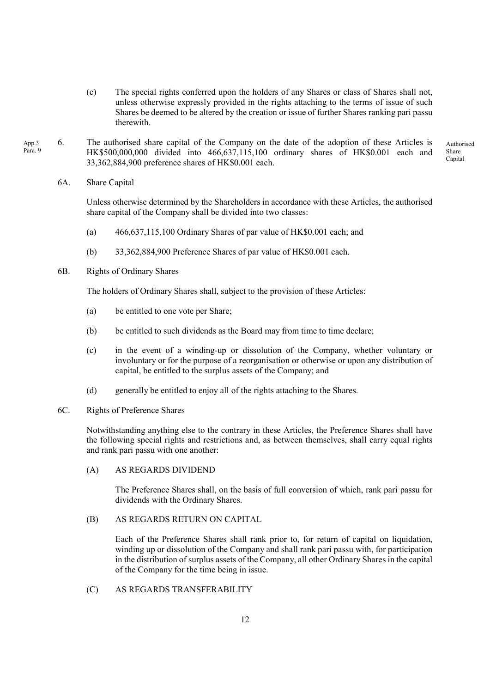- (c) The special rights conferred upon the holders of any Shares or class of Shares shall not, unless otherwise expressly provided in the rights attaching to the terms of issue of such Shares be deemed to be altered by the creation or issue of further Shares ranking pari passu therewith.
- 6. The authorised share capital of the Company on the date of the adoption of these Articles is HK\$500,000,000 divided into 466,637,115,100 ordinary shares of HK\$0.001 each and 33,362,884,900 preference shares of HK\$0.001 each. App.3 Para. 9 Authorised Share Capital
	- 6A. Share Capital

Unless otherwise determined by the Shareholders in accordance with these Articles, the authorised share capital of the Company shall be divided into two classes:

- (a) 466,637,115,100 Ordinary Shares of par value of HK\$0.001 each; and
- (b) 33,362,884,900 Preference Shares of par value of HK\$0.001 each.
- 6B. Rights of Ordinary Shares

The holders of Ordinary Shares shall, subject to the provision of these Articles:

- (a) be entitled to one vote per Share;
- (b) be entitled to such dividends as the Board may from time to time declare;
- (c) in the event of a winding-up or dissolution of the Company, whether voluntary or involuntary or for the purpose of a reorganisation or otherwise or upon any distribution of capital, be entitled to the surplus assets of the Company; and
- (d) generally be entitled to enjoy all of the rights attaching to the Shares.
- 6C. Rights of Preference Shares

Notwithstanding anything else to the contrary in these Articles, the Preference Shares shall have the following special rights and restrictions and, as between themselves, shall carry equal rights and rank pari passu with one another:

(A) AS REGARDS DIVIDEND

The Preference Shares shall, on the basis of full conversion of which, rank pari passu for dividends with the Ordinary Shares.

(B) AS REGARDS RETURN ON CAPITAL

Each of the Preference Shares shall rank prior to, for return of capital on liquidation, winding up or dissolution of the Company and shall rank pari passu with, for participation in the distribution of surplus assets of the Company, all other Ordinary Shares in the capital of the Company for the time being in issue.

(C) AS REGARDS TRANSFERABILITY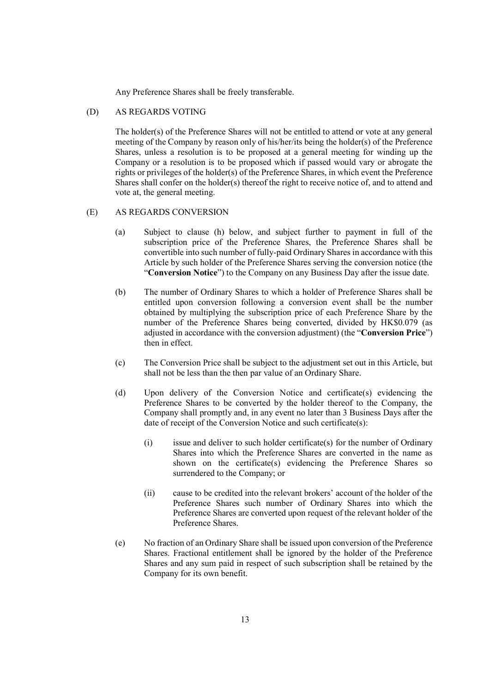Any Preference Shares shall be freely transferable.

### (D) AS REGARDS VOTING

The holder(s) of the Preference Shares will not be entitled to attend or vote at any general meeting of the Company by reason only of his/her/its being the holder(s) of the Preference Shares, unless a resolution is to be proposed at a general meeting for winding up the Company or a resolution is to be proposed which if passed would vary or abrogate the rights or privileges of the holder(s) of the Preference Shares, in which event the Preference Shares shall confer on the holder(s) thereof the right to receive notice of, and to attend and vote at, the general meeting.

# (E) AS REGARDS CONVERSION

- (a) Subject to clause (h) below, and subject further to payment in full of the subscription price of the Preference Shares, the Preference Shares shall be convertible into such number of fully-paid Ordinary Shares in accordance with this Article by such holder of the Preference Shares serving the conversion notice (the "Conversion Notice") to the Company on any Business Day after the issue date.
- (b) The number of Ordinary Shares to which a holder of Preference Shares shall be entitled upon conversion following a conversion event shall be the number obtained by multiplying the subscription price of each Preference Share by the number of the Preference Shares being converted, divided by HK\$0.079 (as adjusted in accordance with the conversion adjustment) (the "Conversion Price") then in effect.
- (c) The Conversion Price shall be subject to the adjustment set out in this Article, but shall not be less than the then par value of an Ordinary Share.
- (d) Upon delivery of the Conversion Notice and certificate(s) evidencing the Preference Shares to be converted by the holder thereof to the Company, the Company shall promptly and, in any event no later than 3 Business Days after the date of receipt of the Conversion Notice and such certificate(s):
	- (i) issue and deliver to such holder certificate(s) for the number of Ordinary Shares into which the Preference Shares are converted in the name as shown on the certificate(s) evidencing the Preference Shares so surrendered to the Company; or
	- (ii) cause to be credited into the relevant brokers' account of the holder of the Preference Shares such number of Ordinary Shares into which the Preference Shares are converted upon request of the relevant holder of the Preference Shares.
- (e) No fraction of an Ordinary Share shall be issued upon conversion of the Preference Shares. Fractional entitlement shall be ignored by the holder of the Preference Shares and any sum paid in respect of such subscription shall be retained by the Company for its own benefit.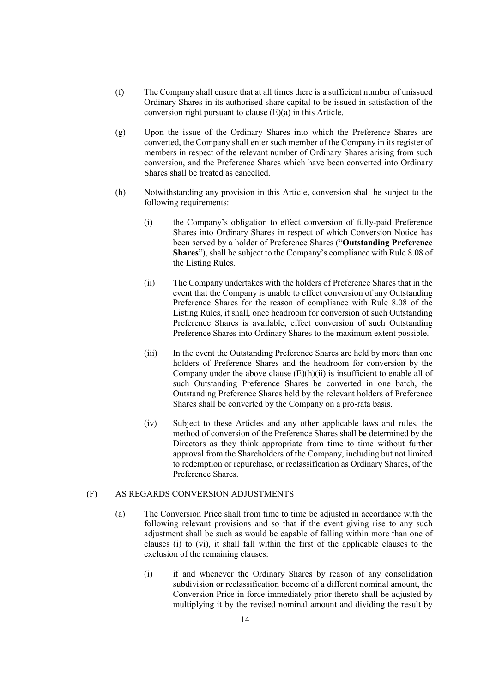- (f) The Company shall ensure that at all times there is a sufficient number of unissued Ordinary Shares in its authorised share capital to be issued in satisfaction of the conversion right pursuant to clause (E)(a) in this Article.
- (g) Upon the issue of the Ordinary Shares into which the Preference Shares are converted, the Company shall enter such member of the Company in its register of members in respect of the relevant number of Ordinary Shares arising from such conversion, and the Preference Shares which have been converted into Ordinary Shares shall be treated as cancelled.
- (h) Notwithstanding any provision in this Article, conversion shall be subject to the following requirements:
	- (i) the Company's obligation to effect conversion of fully-paid Preference Shares into Ordinary Shares in respect of which Conversion Notice has been served by a holder of Preference Shares ("Outstanding Preference Shares"), shall be subject to the Company's compliance with Rule 8.08 of the Listing Rules.
	- (ii) The Company undertakes with the holders of Preference Shares that in the event that the Company is unable to effect conversion of any Outstanding Preference Shares for the reason of compliance with Rule 8.08 of the Listing Rules, it shall, once headroom for conversion of such Outstanding Preference Shares is available, effect conversion of such Outstanding Preference Shares into Ordinary Shares to the maximum extent possible.
	- (iii) In the event the Outstanding Preference Shares are held by more than one holders of Preference Shares and the headroom for conversion by the Company under the above clause  $(E)(h)(ii)$  is insufficient to enable all of such Outstanding Preference Shares be converted in one batch, the Outstanding Preference Shares held by the relevant holders of Preference Shares shall be converted by the Company on a pro-rata basis.
	- (iv) Subject to these Articles and any other applicable laws and rules, the method of conversion of the Preference Shares shall be determined by the Directors as they think appropriate from time to time without further approval from the Shareholders of the Company, including but not limited to redemption or repurchase, or reclassification as Ordinary Shares, of the Preference Shares.

# (F) AS REGARDS CONVERSION ADJUSTMENTS

- (a) The Conversion Price shall from time to time be adjusted in accordance with the following relevant provisions and so that if the event giving rise to any such adjustment shall be such as would be capable of falling within more than one of clauses (i) to (vi), it shall fall within the first of the applicable clauses to the exclusion of the remaining clauses:
	- (i) if and whenever the Ordinary Shares by reason of any consolidation subdivision or reclassification become of a different nominal amount, the Conversion Price in force immediately prior thereto shall be adjusted by multiplying it by the revised nominal amount and dividing the result by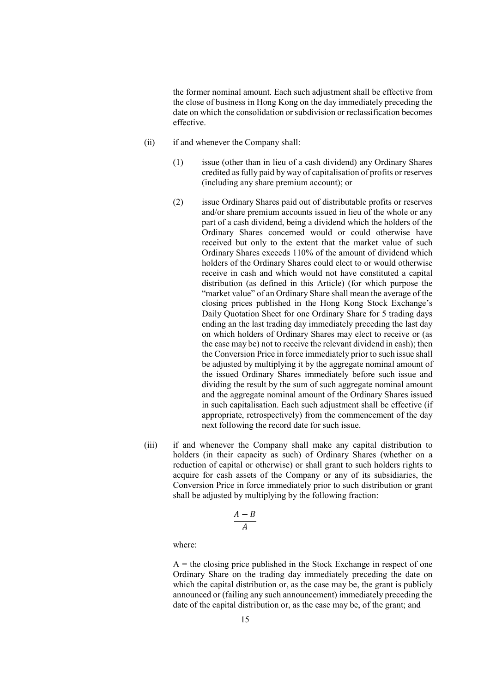the former nominal amount. Each such adjustment shall be effective from the close of business in Hong Kong on the day immediately preceding the date on which the consolidation or subdivision or reclassification becomes effective.

- (ii) if and whenever the Company shall:
	- (1) issue (other than in lieu of a cash dividend) any Ordinary Shares credited as fully paid by way of capitalisation of profits or reserves (including any share premium account); or
	- (2) issue Ordinary Shares paid out of distributable profits or reserves and/or share premium accounts issued in lieu of the whole or any part of a cash dividend, being a dividend which the holders of the Ordinary Shares concerned would or could otherwise have received but only to the extent that the market value of such Ordinary Shares exceeds 110% of the amount of dividend which holders of the Ordinary Shares could elect to or would otherwise receive in cash and which would not have constituted a capital distribution (as defined in this Article) (for which purpose the "market value" of an Ordinary Share shall mean the average of the closing prices published in the Hong Kong Stock Exchange's Daily Quotation Sheet for one Ordinary Share for 5 trading days ending an the last trading day immediately preceding the last day on which holders of Ordinary Shares may elect to receive or (as the case may be) not to receive the relevant dividend in cash); then the Conversion Price in force immediately prior to such issue shall be adjusted by multiplying it by the aggregate nominal amount of the issued Ordinary Shares immediately before such issue and dividing the result by the sum of such aggregate nominal amount and the aggregate nominal amount of the Ordinary Shares issued in such capitalisation. Each such adjustment shall be effective (if appropriate, retrospectively) from the commencement of the day next following the record date for such issue.
- (iii) if and whenever the Company shall make any capital distribution to holders (in their capacity as such) of Ordinary Shares (whether on a reduction of capital or otherwise) or shall grant to such holders rights to acquire for cash assets of the Company or any of its subsidiaries, the Conversion Price in force immediately prior to such distribution or grant shall be adjusted by multiplying by the following fraction:

$$
\frac{A-B}{A}
$$

where:

 $A =$  the closing price published in the Stock Exchange in respect of one Ordinary Share on the trading day immediately preceding the date on which the capital distribution or, as the case may be, the grant is publicly announced or (failing any such announcement) immediately preceding the date of the capital distribution or, as the case may be, of the grant; and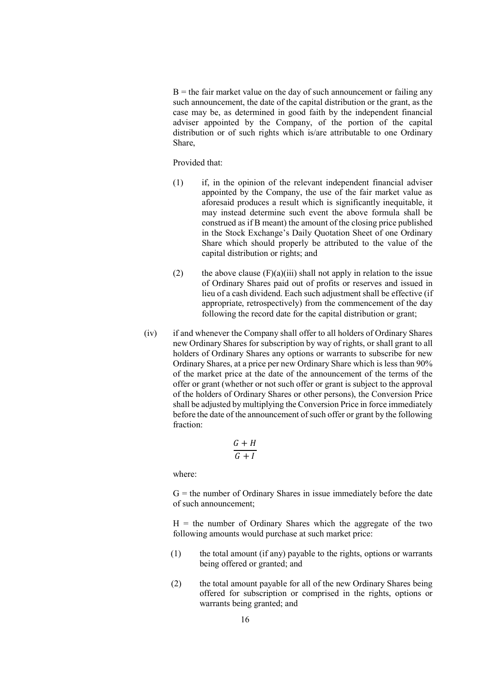$B =$  the fair market value on the day of such announcement or failing any such announcement, the date of the capital distribution or the grant, as the case may be, as determined in good faith by the independent financial adviser appointed by the Company, of the portion of the capital distribution or of such rights which is/are attributable to one Ordinary Share,

Provided that:

- (1) if, in the opinion of the relevant independent financial adviser appointed by the Company, the use of the fair market value as aforesaid produces a result which is significantly inequitable, it may instead determine such event the above formula shall be construed as if B meant) the amount of the closing price published in the Stock Exchange's Daily Quotation Sheet of one Ordinary Share which should properly be attributed to the value of the capital distribution or rights; and
- (2) the above clause  $(F)(a)(iii)$  shall not apply in relation to the issue of Ordinary Shares paid out of profits or reserves and issued in lieu of a cash dividend. Each such adjustment shall be effective (if appropriate, retrospectively) from the commencement of the day following the record date for the capital distribution or grant;
- (iv) if and whenever the Company shall offer to all holders of Ordinary Shares new Ordinary Shares for subscription by way of rights, or shall grant to all holders of Ordinary Shares any options or warrants to subscribe for new Ordinary Shares, at a price per new Ordinary Share which is less than 90% of the market price at the date of the announcement of the terms of the offer or grant (whether or not such offer or grant is subject to the approval of the holders of Ordinary Shares or other persons), the Conversion Price shall be adjusted by multiplying the Conversion Price in force immediately before the date of the announcement of such offer or grant by the following fraction:

$$
\frac{G+H}{G+I}
$$

where:

 $G =$  the number of Ordinary Shares in issue immediately before the date of such announcement;

 $H =$  the number of Ordinary Shares which the aggregate of the two following amounts would purchase at such market price:

- (1) the total amount (if any) payable to the rights, options or warrants being offered or granted; and
- (2) the total amount payable for all of the new Ordinary Shares being offered for subscription or comprised in the rights, options or warrants being granted; and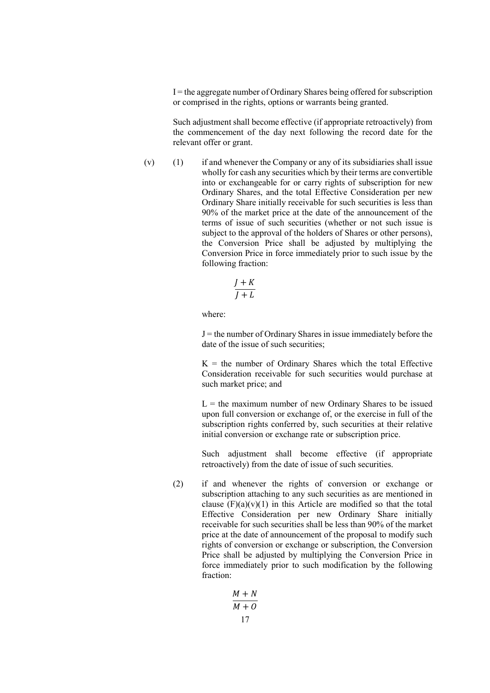$I =$  the aggregate number of Ordinary Shares being offered for subscription or comprised in the rights, options or warrants being granted.

Such adjustment shall become effective (if appropriate retroactively) from the commencement of the day next following the record date for the relevant offer or grant.

(v) (1) if and whenever the Company or any of its subsidiaries shall issue wholly for cash any securities which by their terms are convertible into or exchangeable for or carry rights of subscription for new Ordinary Shares, and the total Effective Consideration per new Ordinary Share initially receivable for such securities is less than 90% of the market price at the date of the announcement of the terms of issue of such securities (whether or not such issue is subject to the approval of the holders of Shares or other persons), the Conversion Price shall be adjusted by multiplying the Conversion Price in force immediately prior to such issue by the following fraction:

$$
\frac{J+K}{J+L}
$$

where:

 $J =$  the number of Ordinary Shares in issue immediately before the date of the issue of such securities;

 $K =$  the number of Ordinary Shares which the total Effective Consideration receivable for such securities would purchase at such market price; and

 $L =$  the maximum number of new Ordinary Shares to be issued upon full conversion or exchange of, or the exercise in full of the subscription rights conferred by, such securities at their relative initial conversion or exchange rate or subscription price.

Such adjustment shall become effective (if appropriate retroactively) from the date of issue of such securities.

(2) if and whenever the rights of conversion or exchange or subscription attaching to any such securities as are mentioned in clause  $(F)(a)(v)(1)$  in this Article are modified so that the total Effective Consideration per new Ordinary Share initially receivable for such securities shall be less than 90% of the market price at the date of announcement of the proposal to modify such rights of conversion or exchange or subscription, the Conversion Price shall be adjusted by multiplying the Conversion Price in force immediately prior to such modification by the following fraction:

$$
\frac{M+N}{M+O}
$$
  
17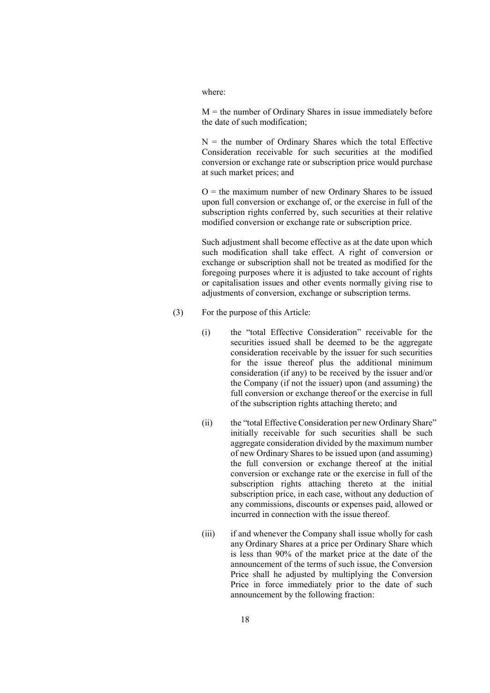#### where:

 $M =$  the number of Ordinary Shares in issue immediately before the date of such modification;

 $N =$  the number of Ordinary Shares which the total Effective Consideration receivable for such securities at the modified conversion or exchange rate or subscription price would purchase at such market prices; and

 $O =$  the maximum number of new Ordinary Shares to be issued upon full conversion or exchange of, or the exercise in full of the subscription rights conferred by, such securities at their relative modified conversion or exchange rate or subscription price.

Such adjustment shall become effective as at the date upon which such modification shall take effect. A right of conversion or exchange or subscription shall not be treated as modified for the foregoing purposes where it is adjusted to take account of rights or capitalisation issues and other events normally giving rise to adjustments of conversion, exchange or subscription terms.

- (3) For the purpose of this Article:
	- (i) the "total Effective Consideration" receivable for the securities issued shall be deemed to be the aggregate consideration receivable by the issuer for such securities for the issue thereof plus the additional minimum consideration (if any) to be received by the issuer and/or the Company (if not the issuer) upon (and assuming) the full conversion or exchange thereof or the exercise in full of the subscription rights attaching thereto; and
	- (ii) the "total Effective Consideration per new Ordinary Share" initially receivable for such securities shall be such aggregate consideration divided by the maximum number of new Ordinary Shares to be issued upon (and assuming) the full conversion or exchange thereof at the initial conversion or exchange rate or the exercise in full of the subscription rights attaching thereto at the initial subscription price, in each case, without any deduction of any commissions, discounts or expenses paid, allowed or incurred in connection with the issue thereof.
	- (iii) if and whenever the Company shall issue wholly for cash any Ordinary Shares at a price per Ordinary Share which is less than 90% of the market price at the date of the announcement of the terms of such issue, the Conversion Price shall he adjusted by multiplying the Conversion Price in force immediately prior to the date of such announcement by the following fraction: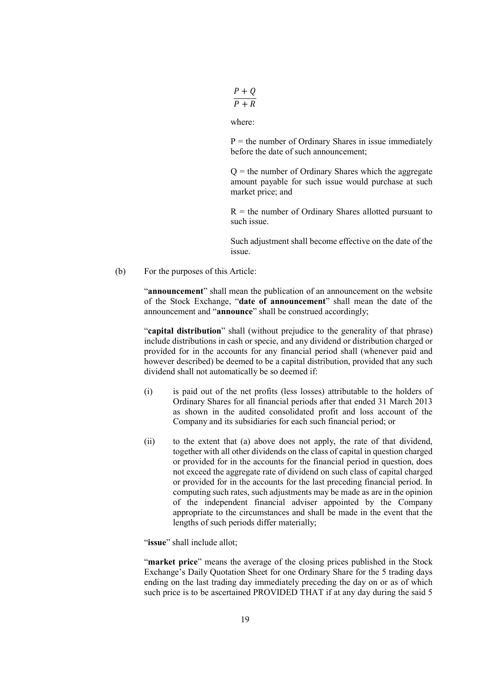$$
\frac{P+Q}{P+R}
$$

where:

 $P =$  the number of Ordinary Shares in issue immediately before the date of such announcement;

 $Q =$  the number of Ordinary Shares which the aggregate amount payable for such issue would purchase at such market price; and

 $R =$  the number of Ordinary Shares allotted pursuant to such issue.

Such adjustment shall become effective on the date of the issue.

(b) For the purposes of this Article:

"announcement" shall mean the publication of an announcement on the website of the Stock Exchange, "date of announcement" shall mean the date of the announcement and "announce" shall be construed accordingly;

"capital distribution" shall (without prejudice to the generality of that phrase) include distributions in cash or specie, and any dividend or distribution charged or provided for in the accounts for any financial period shall (whenever paid and however described) be deemed to be a capital distribution, provided that any such dividend shall not automatically be so deemed if:

- (i) is paid out of the net profits (less losses) attributable to the holders of Ordinary Shares for all financial periods after that ended 31 March 2013 as shown in the audited consolidated profit and loss account of the Company and its subsidiaries for each such financial period; or
- (ii) to the extent that (a) above does not apply, the rate of that dividend, together with all other dividends on the class of capital in question charged or provided for in the accounts for the financial period in question, does not exceed the aggregate rate of dividend on such class of capital charged or provided for in the accounts for the last preceding financial period. In computing such rates, such adjustments may be made as are in the opinion of the independent financial adviser appointed by the Company appropriate to the circumstances and shall be made in the event that the lengths of such periods differ materially;

"issue" shall include allot;

"market price" means the average of the closing prices published in the Stock Exchange's Daily Quotation Sheet for one Ordinary Share for the 5 trading days ending on the last trading day immediately preceding the day on or as of which such price is to be ascertained PROVIDED THAT if at any day during the said 5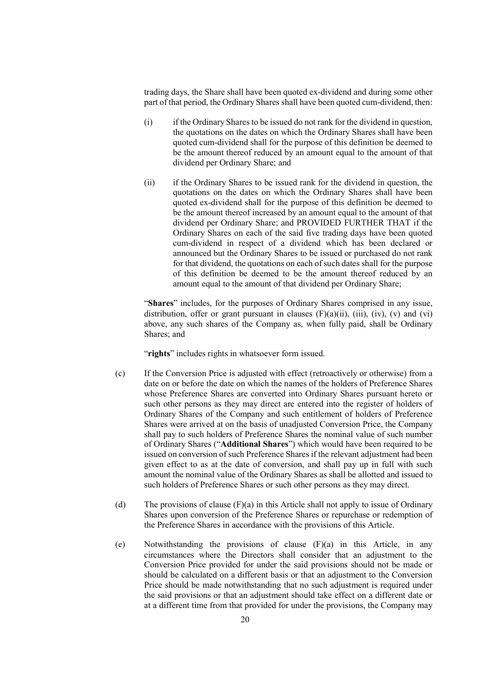trading days, the Share shall have been quoted ex-dividend and during some other part of that period, the Ordinary Shares shall have been quoted cum-dividend, then:

- (i) if the Ordinary Shares to be issued do not rank for the dividend in question, the quotations on the dates on which the Ordinary Shares shall have been quoted cum-dividend shall for the purpose of this definition be deemed to be the amount thereof reduced by an amount equal to the amount of that dividend per Ordinary Share; and
- (ii) if the Ordinary Shares to be issued rank for the dividend in question, the quotations on the dates on which the Ordinary Shares shall have been quoted ex-dividend shall for the purpose of this definition be deemed to be the amount thereof increased by an amount equal to the amount of that dividend per Ordinary Share; and PROVIDED FURTHER THAT if the Ordinary Shares on each of the said five trading days have been quoted cum-dividend in respect of a dividend which has been declared or announced but the Ordinary Shares to be issued or purchased do not rank for that dividend, the quotations on each of such dates shall for the purpose of this definition be deemed to be the amount thereof reduced by an amount equal to the amount of that dividend per Ordinary Share;

"Shares" includes, for the purposes of Ordinary Shares comprised in any issue, distribution, offer or grant pursuant in clauses  $(F)(a)(ii)$ ,  $(iii)$ ,  $(iv)$ ,  $(v)$  and  $(vi)$ above, any such shares of the Company as, when fully paid, shall be Ordinary Shares; and

"rights" includes rights in whatsoever form issued.

- (c) If the Conversion Price is adjusted with effect (retroactively or otherwise) from a date on or before the date on which the names of the holders of Preference Shares whose Preference Shares are converted into Ordinary Shares pursuant hereto or such other persons as they may direct are entered into the register of holders of Ordinary Shares of the Company and such entitlement of holders of Preference Shares were arrived at on the basis of unadjusted Conversion Price, the Company shall pay to such holders of Preference Shares the nominal value of such number of Ordinary Shares ("Additional Shares") which would have been required to be issued on conversion of such Preference Shares if the relevant adjustment had been given effect to as at the date of conversion, and shall pay up in full with such amount the nominal value of the Ordinary Shares as shall be allotted and issued to such holders of Preference Shares or such other persons as they may direct.
- (d) The provisions of clause (F)(a) in this Article shall not apply to issue of Ordinary Shares upon conversion of the Preference Shares or repurchase or redemption of the Preference Shares in accordance with the provisions of this Article.
- (e) Notwithstanding the provisions of clause (F)(a) in this Article, in any circumstances where the Directors shall consider that an adjustment to the Conversion Price provided for under the said provisions should not be made or should be calculated on a different basis or that an adjustment to the Conversion Price should be made notwithstanding that no such adjustment is required under the said provisions or that an adjustment should take effect on a different date or at a different time from that provided for under the provisions, the Company may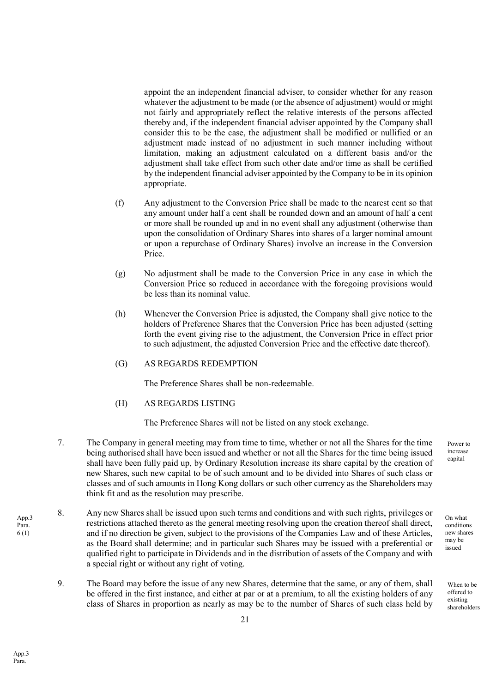appoint the an independent financial adviser, to consider whether for any reason whatever the adjustment to be made (or the absence of adjustment) would or might not fairly and appropriately reflect the relative interests of the persons affected thereby and, if the independent financial adviser appointed by the Company shall consider this to be the case, the adjustment shall be modified or nullified or an adjustment made instead of no adjustment in such manner including without limitation, making an adjustment calculated on a different basis and/or the adjustment shall take effect from such other date and/or time as shall be certified by the independent financial adviser appointed by the Company to be in its opinion appropriate.

- (f) Any adjustment to the Conversion Price shall be made to the nearest cent so that any amount under half a cent shall be rounded down and an amount of half a cent or more shall be rounded up and in no event shall any adjustment (otherwise than upon the consolidation of Ordinary Shares into shares of a larger nominal amount or upon a repurchase of Ordinary Shares) involve an increase in the Conversion Price.
- (g) No adjustment shall be made to the Conversion Price in any case in which the Conversion Price so reduced in accordance with the foregoing provisions would be less than its nominal value.
- (h) Whenever the Conversion Price is adjusted, the Company shall give notice to the holders of Preference Shares that the Conversion Price has been adjusted (setting forth the event giving rise to the adjustment, the Conversion Price in effect prior to such adjustment, the adjusted Conversion Price and the effective date thereof).
- (G) AS REGARDS REDEMPTION

The Preference Shares shall be non-redeemable.

(H) AS REGARDS LISTING

The Preference Shares will not be listed on any stock exchange.

- 7. The Company in general meeting may from time to time, whether or not all the Shares for the time being authorised shall have been issued and whether or not all the Shares for the time being issued shall have been fully paid up, by Ordinary Resolution increase its share capital by the creation of new Shares, such new capital to be of such amount and to be divided into Shares of such class or classes and of such amounts in Hong Kong dollars or such other currency as the Shareholders may think fit and as the resolution may prescribe.
- 8. Any new Shares shall be issued upon such terms and conditions and with such rights, privileges or restrictions attached thereto as the general meeting resolving upon the creation thereof shall direct, and if no direction be given, subject to the provisions of the Companies Law and of these Articles, as the Board shall determine; and in particular such Shares may be issued with a preferential or qualified right to participate in Dividends and in the distribution of assets of the Company and with a special right or without any right of voting.
	- 9. The Board may before the issue of any new Shares, determine that the same, or any of them, shall be offered in the first instance, and either at par or at a premium, to all the existing holders of any class of Shares in proportion as nearly as may be to the number of Shares of such class held by

Power to increase capital

On what conditions new shares may be issued

> When to be offered to existing shareholders

App.3 Para. 6 (1)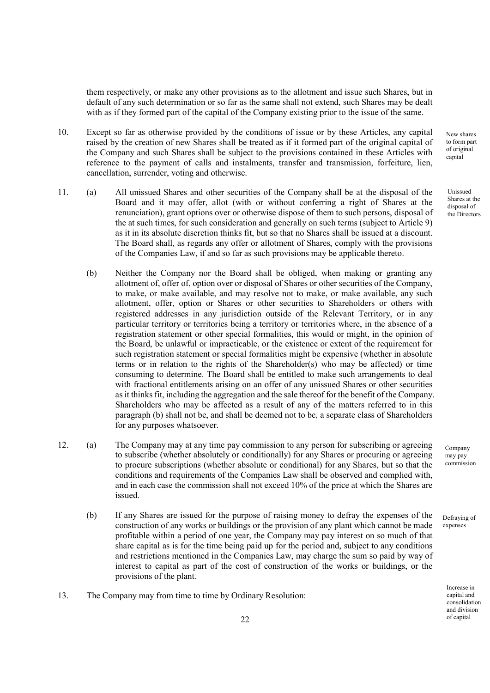them respectively, or make any other provisions as to the allotment and issue such Shares, but in default of any such determination or so far as the same shall not extend, such Shares may be dealt with as if they formed part of the capital of the Company existing prior to the issue of the same.

- 10. Except so far as otherwise provided by the conditions of issue or by these Articles, any capital raised by the creation of new Shares shall be treated as if it formed part of the original capital of the Company and such Shares shall be subject to the provisions contained in these Articles with reference to the payment of calls and instalments, transfer and transmission, forfeiture, lien, cancellation, surrender, voting and otherwise.
- 11. (a) All unissued Shares and other securities of the Company shall be at the disposal of the Board and it may offer, allot (with or without conferring a right of Shares at the renunciation), grant options over or otherwise dispose of them to such persons, disposal of the at such times, for such consideration and generally on such terms (subject to Article 9) as it in its absolute discretion thinks fit, but so that no Shares shall be issued at a discount. The Board shall, as regards any offer or allotment of Shares, comply with the provisions of the Companies Law, if and so far as such provisions may be applicable thereto.
	- (b) Neither the Company nor the Board shall be obliged, when making or granting any allotment of, offer of, option over or disposal of Shares or other securities of the Company, to make, or make available, and may resolve not to make, or make available, any such allotment, offer, option or Shares or other securities to Shareholders or others with registered addresses in any jurisdiction outside of the Relevant Territory, or in any particular territory or territories being a territory or territories where, in the absence of a registration statement or other special formalities, this would or might, in the opinion of the Board, be unlawful or impracticable, or the existence or extent of the requirement for such registration statement or special formalities might be expensive (whether in absolute terms or in relation to the rights of the Shareholder(s) who may be affected) or time consuming to determine. The Board shall be entitled to make such arrangements to deal with fractional entitlements arising on an offer of any unissued Shares or other securities as it thinks fit, including the aggregation and the sale thereof for the benefit of the Company. Shareholders who may be affected as a result of any of the matters referred to in this paragraph (b) shall not be, and shall be deemed not to be, a separate class of Shareholders for any purposes whatsoever.
- 12. (a) The Company may at any time pay commission to any person for subscribing or agreeing to subscribe (whether absolutely or conditionally) for any Shares or procuring or agreeing to procure subscriptions (whether absolute or conditional) for any Shares, but so that the conditions and requirements of the Companies Law shall be observed and complied with, and in each case the commission shall not exceed 10% of the price at which the Shares are issued.
	- (b) If any Shares are issued for the purpose of raising money to defray the expenses of the construction of any works or buildings or the provision of any plant which cannot be made profitable within a period of one year, the Company may pay interest on so much of that share capital as is for the time being paid up for the period and, subject to any conditions and restrictions mentioned in the Companies Law, may charge the sum so paid by way of interest to capital as part of the cost of construction of the works or buildings, or the provisions of the plant.
- 13. The Company may from time to time by Ordinary Resolution:

New shares to form part of original capital

Unissued Shares at the disposal of the Directors

Company may pay commission

Defraying of expenses

> Increase in capital and consolidation and division of capital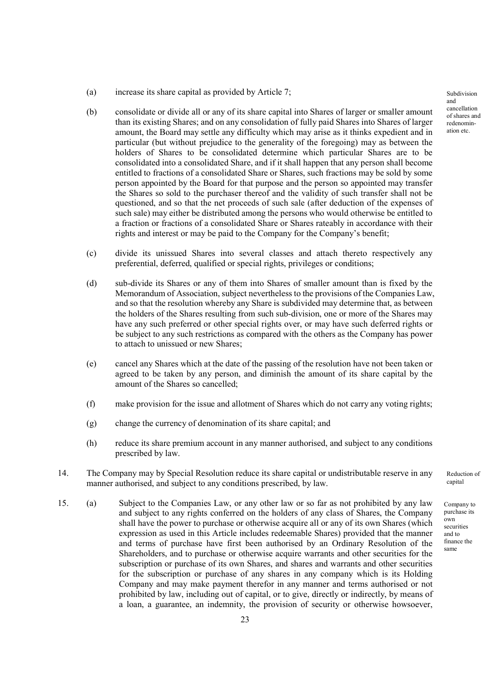- (a) increase its share capital as provided by Article 7;
- (b) consolidate or divide all or any of its share capital into Shares of larger or smaller amount than its existing Shares; and on any consolidation of fully paid Shares into Shares of larger amount, the Board may settle any difficulty which may arise as it thinks expedient and in particular (but without prejudice to the generality of the foregoing) may as between the holders of Shares to be consolidated determine which particular Shares are to be consolidated into a consolidated Share, and if it shall happen that any person shall become entitled to fractions of a consolidated Share or Shares, such fractions may be sold by some person appointed by the Board for that purpose and the person so appointed may transfer the Shares so sold to the purchaser thereof and the validity of such transfer shall not be questioned, and so that the net proceeds of such sale (after deduction of the expenses of such sale) may either be distributed among the persons who would otherwise be entitled to a fraction or fractions of a consolidated Share or Shares rateably in accordance with their rights and interest or may be paid to the Company for the Company's benefit;
- (c) divide its unissued Shares into several classes and attach thereto respectively any preferential, deferred, qualified or special rights, privileges or conditions;
- (d) sub-divide its Shares or any of them into Shares of smaller amount than is fixed by the Memorandum of Association, subject nevertheless to the provisions of the Companies Law, and so that the resolution whereby any Share is subdivided may determine that, as between the holders of the Shares resulting from such sub-division, one or more of the Shares may have any such preferred or other special rights over, or may have such deferred rights or be subject to any such restrictions as compared with the others as the Company has power to attach to unissued or new Shares;
- (e) cancel any Shares which at the date of the passing of the resolution have not been taken or agreed to be taken by any person, and diminish the amount of its share capital by the amount of the Shares so cancelled;
- (f) make provision for the issue and allotment of Shares which do not carry any voting rights;
- (g) change the currency of denomination of its share capital; and
- (h) reduce its share premium account in any manner authorised, and subject to any conditions prescribed by law.
- 14. The Company may by Special Resolution reduce its share capital or undistributable reserve in any manner authorised, and subject to any conditions prescribed, by law.
- 15. (a) Subject to the Companies Law, or any other law or so far as not prohibited by any law and subject to any rights conferred on the holders of any class of Shares, the Company shall have the power to purchase or otherwise acquire all or any of its own Shares (which expression as used in this Article includes redeemable Shares) provided that the manner and terms of purchase have first been authorised by an Ordinary Resolution of the Shareholders, and to purchase or otherwise acquire warrants and other securities for the subscription or purchase of its own Shares, and shares and warrants and other securities for the subscription or purchase of any shares in any company which is its Holding Company and may make payment therefor in any manner and terms authorised or not prohibited by law, including out of capital, or to give, directly or indirectly, by means of a loan, a guarantee, an indemnity, the provision of security or otherwise howsoever,

Subdivision and cancellation of shares and redenomination etc.

Reduction of capital

Company to purchase its own securities and to finance the same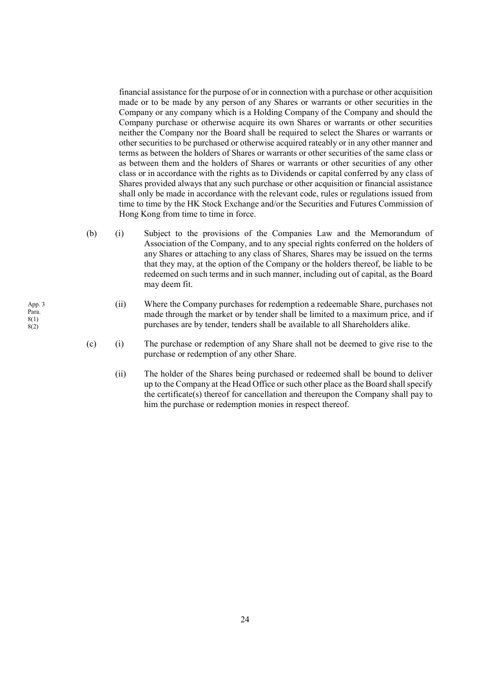financial assistance for the purpose of or in connection with a purchase or other acquisition made or to be made by any person of any Shares or warrants or other securities in the Company or any company which is a Holding Company of the Company and should the Company purchase or otherwise acquire its own Shares or warrants or other securities neither the Company nor the Board shall be required to select the Shares or warrants or other securities to be purchased or otherwise acquired rateably or in any other manner and terms as between the holders of Shares or warrants or other securities of the same class or as between them and the holders of Shares or warrants or other securities of any other class or in accordance with the rights as to Dividends or capital conferred by any class of Shares provided always that any such purchase or other acquisition or financial assistance shall only be made in accordance with the relevant code, rules or regulations issued from time to time by the HK Stock Exchange and/or the Securities and Futures Commission of Hong Kong from time to time in force.

- (b) (i) Subject to the provisions of the Companies Law and the Memorandum of Association of the Company, and to any special rights conferred on the holders of any Shares or attaching to any class of Shares, Shares may be issued on the terms that they may, at the option of the Company or the holders thereof, be liable to be redeemed on such terms and in such manner, including out of capital, as the Board may deem fit.
	- (ii) Where the Company purchases for redemption a redeemable Share, purchases not made through the market or by tender shall be limited to a maximum price, and if purchases are by tender, tenders shall be available to all Shareholders alike.
- (c) (i) The purchase or redemption of any Share shall not be deemed to give rise to the purchase or redemption of any other Share.
	- (ii) The holder of the Shares being purchased or redeemed shall be bound to deliver up to the Company at the Head Office or such other place as the Board shall specify the certificate(s) thereof for cancellation and thereupon the Company shall pay to him the purchase or redemption monies in respect thereof.

App. 3 Para. 8(1) 8(2)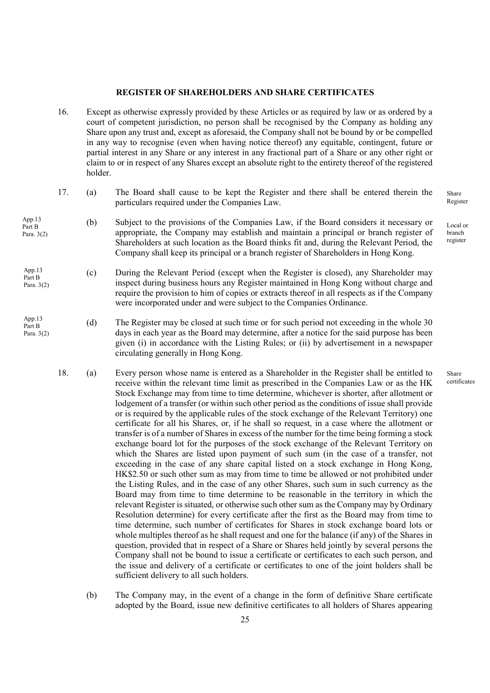#### REGISTER OF SHAREHOLDERS AND SHARE CERTIFICATES

- 16. Except as otherwise expressly provided by these Articles or as required by law or as ordered by a court of competent jurisdiction, no person shall be recognised by the Company as holding any Share upon any trust and, except as aforesaid, the Company shall not be bound by or be compelled in any way to recognise (even when having notice thereof) any equitable, contingent, future or partial interest in any Share or any interest in any fractional part of a Share or any other right or claim to or in respect of any Shares except an absolute right to the entirety thereof of the registered holder.
- 17. (a) The Board shall cause to be kept the Register and there shall be entered therein the particulars required under the Companies Law.
- (b) Subject to the provisions of the Companies Law, if the Board considers it necessary or appropriate, the Company may establish and maintain a principal or branch register of Shareholders at such location as the Board thinks fit and, during the Relevant Period, the Company shall keep its principal or a branch register of Shareholders in Hong Kong. App.13 Part B Para. 3(2)
- (c) During the Relevant Period (except when the Register is closed), any Shareholder may inspect during business hours any Register maintained in Hong Kong without charge and require the provision to him of copies or extracts thereof in all respects as if the Company were incorporated under and were subject to the Companies Ordinance. App.13 Part B Para. 3(2)
- (d) The Register may be closed at such time or for such period not exceeding in the whole 30 days in each year as the Board may determine, after a notice for the said purpose has been given (i) in accordance with the Listing Rules; or (ii) by advertisement in a newspaper circulating generally in Hong Kong. App.13 Part B Para. 3(2)
	- 18. (a) Every person whose name is entered as a Shareholder in the Register shall be entitled to receive within the relevant time limit as prescribed in the Companies Law or as the HK Stock Exchange may from time to time determine, whichever is shorter, after allotment or lodgement of a transfer (or within such other period as the conditions of issue shall provide or is required by the applicable rules of the stock exchange of the Relevant Territory) one certificate for all his Shares, or, if he shall so request, in a case where the allotment or transfer is of a number of Shares in excess of the number for the time being forming a stock exchange board lot for the purposes of the stock exchange of the Relevant Territory on which the Shares are listed upon payment of such sum (in the case of a transfer, not exceeding in the case of any share capital listed on a stock exchange in Hong Kong, HK\$2.50 or such other sum as may from time to time be allowed or not prohibited under the Listing Rules, and in the case of any other Shares, such sum in such currency as the Board may from time to time determine to be reasonable in the territory in which the relevant Register is situated, or otherwise such other sum as the Company may by Ordinary Resolution determine) for every certificate after the first as the Board may from time to time determine, such number of certificates for Shares in stock exchange board lots or whole multiples thereof as he shall request and one for the balance (if any) of the Shares in question, provided that in respect of a Share or Shares held jointly by several persons the Company shall not be bound to issue a certificate or certificates to each such person, and the issue and delivery of a certificate or certificates to one of the joint holders shall be sufficient delivery to all such holders.
		- (b) The Company may, in the event of a change in the form of definitive Share certificate adopted by the Board, issue new definitive certificates to all holders of Shares appearing

Share Register

Local or branch register

Share certificates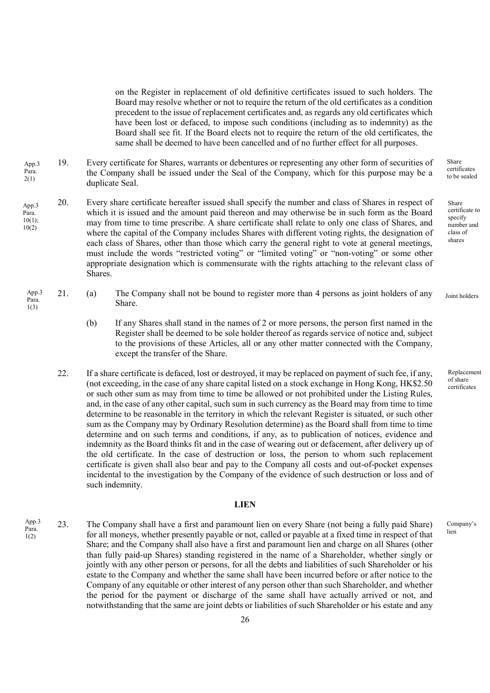on the Register in replacement of old definitive certificates issued to such holders. The Board may resolve whether or not to require the return of the old certificates as a condition precedent to the issue of replacement certificates and, as regards any old certificates which have been lost or defaced, to impose such conditions (including as to indemnity) as the Board shall see fit. If the Board elects not to require the return of the old certificates, the same shall be deemed to have been cancelled and of no further effect for all purposes.

- 19. Every certificate for Shares, warrants or debentures or representing any other form of securities of the Company shall be issued under the Seal of the Company, which for this purpose may be a duplicate Seal. App.3 Para. 2(1)
- 20. Every share certificate hereafter issued shall specify the number and class of Shares in respect of which it is issued and the amount paid thereon and may otherwise be in such form as the Board may from time to time prescribe. A share certificate shall relate to only one class of Shares, and where the capital of the Company includes Shares with different voting rights, the designation of each class of Shares, other than those which carry the general right to vote at general meetings, must include the words "restricted voting" or "limited voting" or "non-voting" or some other appropriate designation which is commensurate with the rights attaching to the relevant class of Shares. App.3 Para.  $10(1)$ ; 10(2)
	- 21. (a) The Company shall not be bound to register more than 4 persons as joint holders of any Share. App.3 Para. 1(3) Joint holders
		- (b) If any Shares shall stand in the names of 2 or more persons, the person first named in the Register shall be deemed to be sole holder thereof as regards service of notice and, subject to the provisions of these Articles, all or any other matter connected with the Company, except the transfer of the Share.
		- 22. If a share certificate is defaced, lost or destroyed, it may be replaced on payment of such fee, if any, (not exceeding, in the case of any share capital listed on a stock exchange in Hong Kong, HK\$2.50 or such other sum as may from time to time be allowed or not prohibited under the Listing Rules, and, in the case of any other capital, such sum in such currency as the Board may from time to time determine to be reasonable in the territory in which the relevant Register is situated, or such other sum as the Company may by Ordinary Resolution determine) as the Board shall from time to time determine and on such terms and conditions, if any, as to publication of notices, evidence and indemnity as the Board thinks fit and in the case of wearing out or defacement, after delivery up of the old certificate. In the case of destruction or loss, the person to whom such replacement certificate is given shall also bear and pay to the Company all costs and out-of-pocket expenses incidental to the investigation by the Company of the evidence of such destruction or loss and of such indemnity.

## LIEN

23. The Company shall have a first and paramount lien on every Share (not being a fully paid Share) for all moneys, whether presently payable or not, called or payable at a fixed time in respect of that Share; and the Company shall also have a first and paramount lien and charge on all Shares (other than fully paid-up Shares) standing registered in the name of a Shareholder, whether singly or jointly with any other person or persons, for all the debts and liabilities of such Shareholder or his estate to the Company and whether the same shall have been incurred before or after notice to the Company of any equitable or other interest of any person other than such Shareholder, and whether the period for the payment or discharge of the same shall have actually arrived or not, and notwithstanding that the same are joint debts or liabilities of such Shareholder or his estate and any App.3 Para. 1(2)

Share certificates to be sealed

Share certificate to specify number and class of shares

Replacement of share

certificates

Company's lien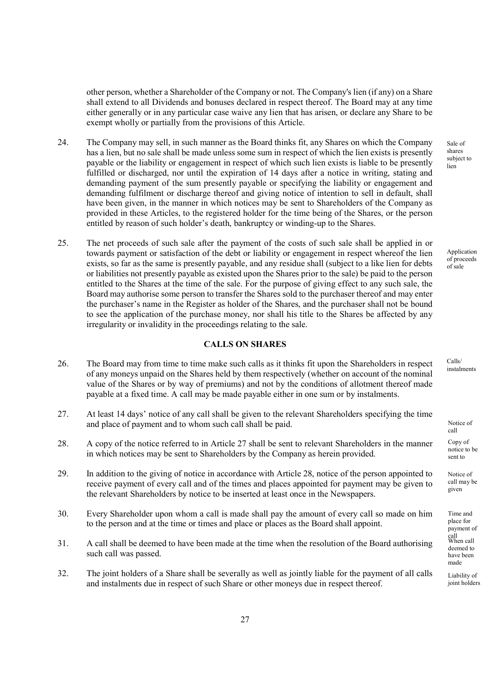other person, whether a Shareholder of the Company or not. The Company's lien (if any) on a Share shall extend to all Dividends and bonuses declared in respect thereof. The Board may at any time either generally or in any particular case waive any lien that has arisen, or declare any Share to be exempt wholly or partially from the provisions of this Article.

- 24. The Company may sell, in such manner as the Board thinks fit, any Shares on which the Company has a lien, but no sale shall be made unless some sum in respect of which the lien exists is presently payable or the liability or engagement in respect of which such lien exists is liable to be presently fulfilled or discharged, nor until the expiration of 14 days after a notice in writing, stating and demanding payment of the sum presently payable or specifying the liability or engagement and demanding fulfilment or discharge thereof and giving notice of intention to sell in default, shall have been given, in the manner in which notices may be sent to Shareholders of the Company as provided in these Articles, to the registered holder for the time being of the Shares, or the person entitled by reason of such holder's death, bankruptcy or winding-up to the Shares.
- 25. The net proceeds of such sale after the payment of the costs of such sale shall be applied in or towards payment or satisfaction of the debt or liability or engagement in respect whereof the lien exists, so far as the same is presently payable, and any residue shall (subject to a like lien for debts or liabilities not presently payable as existed upon the Shares prior to the sale) be paid to the person entitled to the Shares at the time of the sale. For the purpose of giving effect to any such sale, the Board may authorise some person to transfer the Shares sold to the purchaser thereof and may enter the purchaser's name in the Register as holder of the Shares, and the purchaser shall not be bound to see the application of the purchase money, nor shall his title to the Shares be affected by any irregularity or invalidity in the proceedings relating to the sale.

## CALLS ON SHARES

- 26. The Board may from time to time make such calls as it thinks fit upon the Shareholders in respect of any moneys unpaid on the Shares held by them respectively (whether on account of the nominal value of the Shares or by way of premiums) and not by the conditions of allotment thereof made payable at a fixed time. A call may be made payable either in one sum or by instalments.
- 27. At least 14 days' notice of any call shall be given to the relevant Shareholders specifying the time and place of payment and to whom such call shall be paid.
- 28. A copy of the notice referred to in Article 27 shall be sent to relevant Shareholders in the manner in which notices may be sent to Shareholders by the Company as herein provided.
- 29. In addition to the giving of notice in accordance with Article 28, notice of the person appointed to receive payment of every call and of the times and places appointed for payment may be given to the relevant Shareholders by notice to be inserted at least once in the Newspapers.
- 30. Every Shareholder upon whom a call is made shall pay the amount of every call so made on him to the person and at the time or times and place or places as the Board shall appoint.
- 31. A call shall be deemed to have been made at the time when the resolution of the Board authorising such call was passed.
- 32. The joint holders of a Share shall be severally as well as jointly liable for the payment of all calls and instalments due in respect of such Share or other moneys due in respect thereof.

Sale of shares subject to lien

Application of proceeds of sale

Calls/ instalments

Notice of call Copy of notice to be sent to

Notice of call may be given

Time and place for payment of call When call deemed to have been made

Liability of joint holders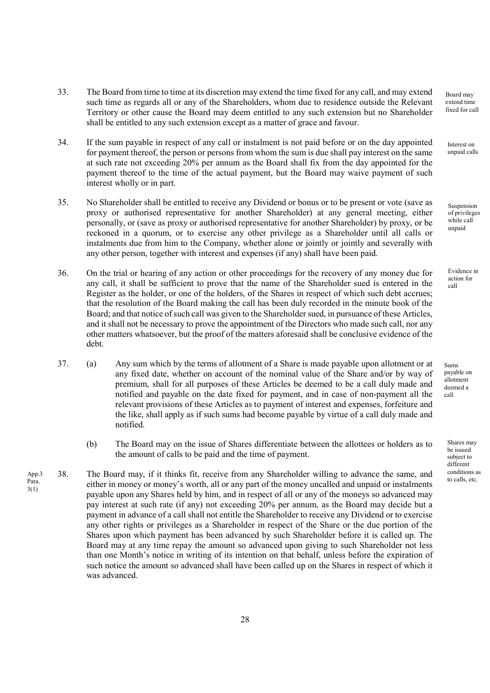- 33. The Board from time to time at its discretion may extend the time fixed for any call, and may extend such time as regards all or any of the Shareholders, whom due to residence outside the Relevant Territory or other cause the Board may deem entitled to any such extension but no Shareholder shall be entitled to any such extension except as a matter of grace and favour.
- 34. If the sum payable in respect of any call or instalment is not paid before or on the day appointed for payment thereof, the person or persons from whom the sum is due shall pay interest on the same at such rate not exceeding 20% per annum as the Board shall fix from the day appointed for the payment thereof to the time of the actual payment, but the Board may waive payment of such interest wholly or in part.
- 35. No Shareholder shall be entitled to receive any Dividend or bonus or to be present or vote (save as proxy or authorised representative for another Shareholder) at any general meeting, either personally, or (save as proxy or authorised representative for another Shareholder) by proxy, or be reckoned in a quorum, or to exercise any other privilege as a Shareholder until all calls or instalments due from him to the Company, whether alone or jointly or jointly and severally with any other person, together with interest and expenses (if any) shall have been paid.
- 36. On the trial or hearing of any action or other proceedings for the recovery of any money due for any call, it shall be sufficient to prove that the name of the Shareholder sued is entered in the Register as the holder, or one of the holders, of the Shares in respect of which such debt accrues; that the resolution of the Board making the call has been duly recorded in the minute book of the Board; and that notice of such call was given to the Shareholder sued, in pursuance of these Articles, and it shall not be necessary to prove the appointment of the Directors who made such call, nor any other matters whatsoever, but the proof of the matters aforesaid shall be conclusive evidence of the debt.
- 37. (a) Any sum which by the terms of allotment of a Share is made payable upon allotment or at any fixed date, whether on account of the nominal value of the Share and/or by way of premium, shall for all purposes of these Articles be deemed to be a call duly made and notified and payable on the date fixed for payment, and in case of non-payment all the relevant provisions of these Articles as to payment of interest and expenses, forfeiture and the like, shall apply as if such sums had become payable by virtue of a call duly made and notified.
	- (b) The Board may on the issue of Shares differentiate between the allottees or holders as to the amount of calls to be paid and the time of payment.
- 38. The Board may, if it thinks fit, receive from any Shareholder willing to advance the same, and either in money or money's worth, all or any part of the money uncalled and unpaid or instalments payable upon any Shares held by him, and in respect of all or any of the moneys so advanced may pay interest at such rate (if any) not exceeding 20% per annum, as the Board may decide but a payment in advance of a call shall not entitle the Shareholder to receive any Dividend or to exercise any other rights or privileges as a Shareholder in respect of the Share or the due portion of the Shares upon which payment has been advanced by such Shareholder before it is called up. The Board may at any time repay the amount so advanced upon giving to such Shareholder not less than one Month's notice in writing of its intention on that behalf, unless before the expiration of such notice the amount so advanced shall have been called up on the Shares in respect of which it was advanced. App.3 Para. 3(1)

Board may extend time fixed for call

Interest on unpaid calls

Suspension of privileges while call unpaid

Evidence in action for call

Sums payable on allotment deemed a call

Shares may be issued subject to different conditions as to calls, etc.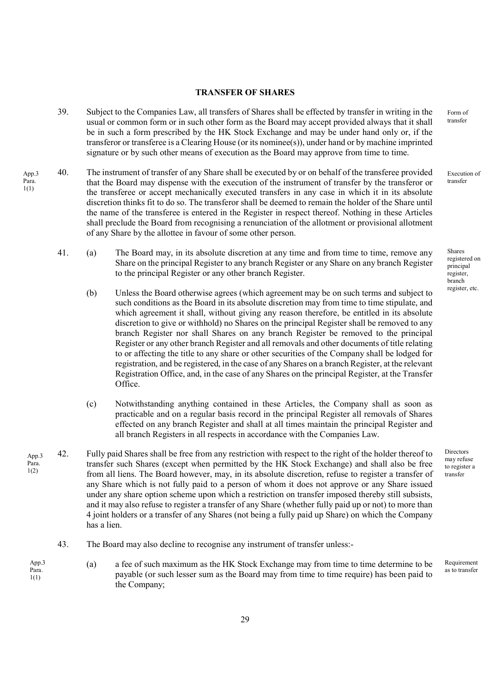## TRANSFER OF SHARES

- 39. Subject to the Companies Law, all transfers of Shares shall be effected by transfer in writing in the usual or common form or in such other form as the Board may accept provided always that it shall be in such a form prescribed by the HK Stock Exchange and may be under hand only or, if the transferor or transferee is a Clearing House (or its nominee(s)), under hand or by machine imprinted signature or by such other means of execution as the Board may approve from time to time.
- 40. The instrument of transfer of any Share shall be executed by or on behalf of the transferee provided that the Board may dispense with the execution of the instrument of transfer by the transferor or the transferee or accept mechanically executed transfers in any case in which it in its absolute discretion thinks fit to do so. The transferor shall be deemed to remain the holder of the Share until the name of the transferee is entered in the Register in respect thereof. Nothing in these Articles shall preclude the Board from recognising a renunciation of the allotment or provisional allotment of any Share by the allottee in favour of some other person. App.3 Para. 1(1)
	- 41. (a) The Board may, in its absolute discretion at any time and from time to time, remove any Share on the principal Register to any branch Register or any Share on any branch Register to the principal Register or any other branch Register.
		- (b) Unless the Board otherwise agrees (which agreement may be on such terms and subject to such conditions as the Board in its absolute discretion may from time to time stipulate, and which agreement it shall, without giving any reason therefore, be entitled in its absolute discretion to give or withhold) no Shares on the principal Register shall be removed to any branch Register nor shall Shares on any branch Register be removed to the principal Register or any other branch Register and all removals and other documents of title relating to or affecting the title to any share or other securities of the Company shall be lodged for registration, and be registered, in the case of any Shares on a branch Register, at the relevant Registration Office, and, in the case of any Shares on the principal Register, at the Transfer Office.
		- (c) Notwithstanding anything contained in these Articles, the Company shall as soon as practicable and on a regular basis record in the principal Register all removals of Shares effected on any branch Register and shall at all times maintain the principal Register and all branch Registers in all respects in accordance with the Companies Law.
- 42. Fully paid Shares shall be free from any restriction with respect to the right of the holder thereof to transfer such Shares (except when permitted by the HK Stock Exchange) and shall also be free from all liens. The Board however, may, in its absolute discretion, refuse to register a transfer of any Share which is not fully paid to a person of whom it does not approve or any Share issued under any share option scheme upon which a restriction on transfer imposed thereby still subsists, and it may also refuse to register a transfer of any Share (whether fully paid up or not) to more than 4 joint holders or a transfer of any Shares (not being a fully paid up Share) on which the Company has a lien. App.3 Para. 1(2)
	- 43. The Board may also decline to recognise any instrument of transfer unless:-
- (a) a fee of such maximum as the HK Stock Exchange may from time to time determine to be payable (or such lesser sum as the Board may from time to time require) has been paid to the Company; App.3 Para. 1(1)

Form of transfer

Execution of transfer

Shares registered on principal register, branch register, etc.

Directors may refuse to register a transfer

Requirement as to transfer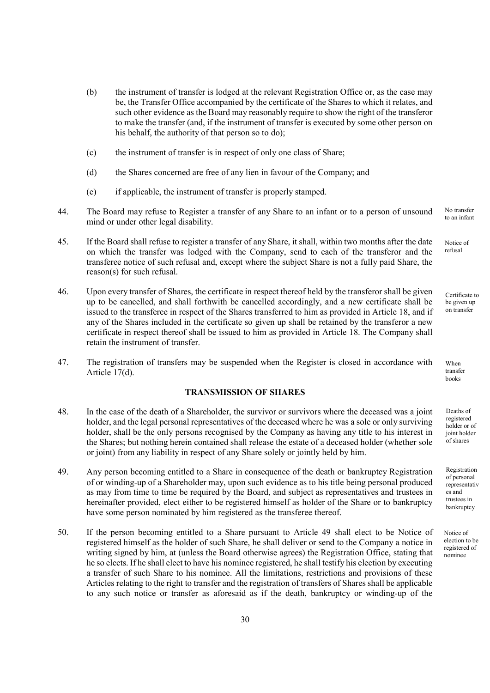- (b) the instrument of transfer is lodged at the relevant Registration Office or, as the case may be, the Transfer Office accompanied by the certificate of the Shares to which it relates, and such other evidence as the Board may reasonably require to show the right of the transferor to make the transfer (and, if the instrument of transfer is executed by some other person on his behalf, the authority of that person so to do);
- (c) the instrument of transfer is in respect of only one class of Share;
- (d) the Shares concerned are free of any lien in favour of the Company; and
- (e) if applicable, the instrument of transfer is properly stamped.
- 44. The Board may refuse to Register a transfer of any Share to an infant or to a person of unsound mind or under other legal disability. No transfer
- 45. If the Board shall refuse to register a transfer of any Share, it shall, within two months after the date on which the transfer was lodged with the Company, send to each of the transferor and the transferee notice of such refusal and, except where the subject Share is not a fully paid Share, the reason(s) for such refusal.
- 46. Upon every transfer of Shares, the certificate in respect thereof held by the transferor shall be given up to be cancelled, and shall forthwith be cancelled accordingly, and a new certificate shall be issued to the transferee in respect of the Shares transferred to him as provided in Article 18, and if any of the Shares included in the certificate so given up shall be retained by the transferor a new certificate in respect thereof shall be issued to him as provided in Article 18. The Company shall retain the instrument of transfer.
- 47. The registration of transfers may be suspended when the Register is closed in accordance with Article 17(d).

# TRANSMISSION OF SHARES

- 48. In the case of the death of a Shareholder, the survivor or survivors where the deceased was a joint holder, and the legal personal representatives of the deceased where he was a sole or only surviving holder, shall be the only persons recognised by the Company as having any title to his interest in the Shares; but nothing herein contained shall release the estate of a deceased holder (whether sole or joint) from any liability in respect of any Share solely or jointly held by him.
- 49. Any person becoming entitled to a Share in consequence of the death or bankruptcy Registration of or winding-up of a Shareholder may, upon such evidence as to his title being personal produced as may from time to time be required by the Board, and subject as representatives and trustees in hereinafter provided, elect either to be registered himself as holder of the Share or to bankruptcy have some person nominated by him registered as the transferee thereof.
- 50. If the person becoming entitled to a Share pursuant to Article 49 shall elect to be Notice of registered himself as the holder of such Share, he shall deliver or send to the Company a notice in writing signed by him, at (unless the Board otherwise agrees) the Registration Office, stating that he so elects. If he shall elect to have his nominee registered, he shall testify his election by executing a transfer of such Share to his nominee. All the limitations, restrictions and provisions of these Articles relating to the right to transfer and the registration of transfers of Shares shall be applicable to any such notice or transfer as aforesaid as if the death, bankruptcy or winding-up of the

to an infant

Notice of refusal

Certificate to be given up on transfer

When transfer books

Deaths of registered holder or of joint holder of shares

Registration of personal representativ es and trustees in bankruptcy

Notice of election to be registered of nominee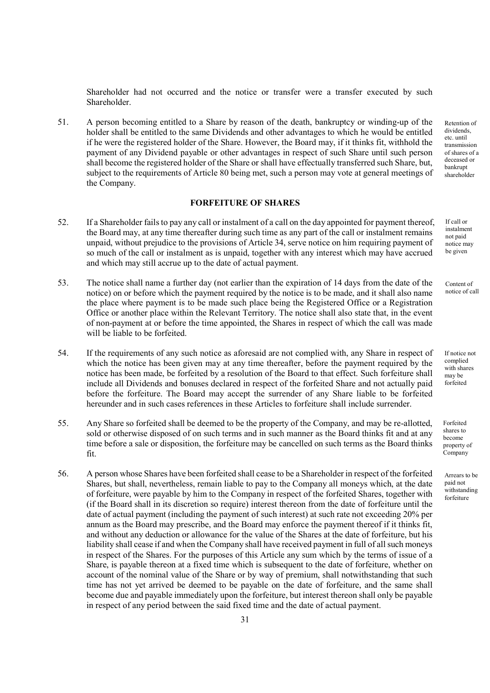Shareholder had not occurred and the notice or transfer were a transfer executed by such Shareholder.

51. A person becoming entitled to a Share by reason of the death, bankruptcy or winding-up of the holder shall be entitled to the same Dividends and other advantages to which he would be entitled if he were the registered holder of the Share. However, the Board may, if it thinks fit, withhold the payment of any Dividend payable or other advantages in respect of such Share until such person shall become the registered holder of the Share or shall have effectually transferred such Share, but, subject to the requirements of Article 80 being met, such a person may vote at general meetings of the Company.

# FORFEITURE OF SHARES

- 52. If a Shareholder fails to pay any call or instalment of a call on the day appointed for payment thereof, the Board may, at any time thereafter during such time as any part of the call or instalment remains unpaid, without prejudice to the provisions of Article 34, serve notice on him requiring payment of so much of the call or instalment as is unpaid, together with any interest which may have accrued and which may still accrue up to the date of actual payment.
- 53. The notice shall name a further day (not earlier than the expiration of 14 days from the date of the notice) on or before which the payment required by the notice is to be made, and it shall also name the place where payment is to be made such place being the Registered Office or a Registration Office or another place within the Relevant Territory. The notice shall also state that, in the event of non-payment at or before the time appointed, the Shares in respect of which the call was made will be liable to be forfeited.
- 54. If the requirements of any such notice as aforesaid are not complied with, any Share in respect of which the notice has been given may at any time thereafter, before the payment required by the notice has been made, be forfeited by a resolution of the Board to that effect. Such forfeiture shall include all Dividends and bonuses declared in respect of the forfeited Share and not actually paid before the forfeiture. The Board may accept the surrender of any Share liable to be forfeited hereunder and in such cases references in these Articles to forfeiture shall include surrender.
- 55. Any Share so forfeited shall be deemed to be the property of the Company, and may be re-allotted, sold or otherwise disposed of on such terms and in such manner as the Board thinks fit and at any time before a sale or disposition, the forfeiture may be cancelled on such terms as the Board thinks fit.
- 56. A person whose Shares have been forfeited shall cease to be a Shareholder in respect of the forfeited Shares, but shall, nevertheless, remain liable to pay to the Company all moneys which, at the date of forfeiture, were payable by him to the Company in respect of the forfeited Shares, together with (if the Board shall in its discretion so require) interest thereon from the date of forfeiture until the date of actual payment (including the payment of such interest) at such rate not exceeding 20% per annum as the Board may prescribe, and the Board may enforce the payment thereof if it thinks fit, and without any deduction or allowance for the value of the Shares at the date of forfeiture, but his liability shall cease if and when the Company shall have received payment in full of all such moneys in respect of the Shares. For the purposes of this Article any sum which by the terms of issue of a Share, is payable thereon at a fixed time which is subsequent to the date of forfeiture, whether on account of the nominal value of the Share or by way of premium, shall notwithstanding that such time has not yet arrived be deemed to be payable on the date of forfeiture, and the same shall become due and payable immediately upon the forfeiture, but interest thereon shall only be payable in respect of any period between the said fixed time and the date of actual payment.

Retention of dividends, etc. until transmission of shares of a deceased or bankrupt shareholder

If call or instalment not paid notice may be given

Content of notice of call

If notice not complied with shares may be forfeited

Forfeited shares to become property of Company

Arrears to be paid not withstanding forfeiture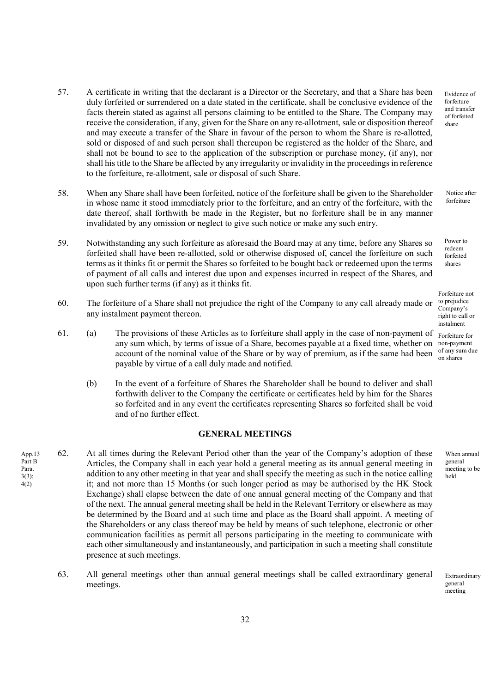- 57. A certificate in writing that the declarant is a Director or the Secretary, and that a Share has been duly forfeited or surrendered on a date stated in the certificate, shall be conclusive evidence of the facts therein stated as against all persons claiming to be entitled to the Share. The Company may receive the consideration, if any, given for the Share on any re-allotment, sale or disposition thereof and may execute a transfer of the Share in favour of the person to whom the Share is re-allotted, sold or disposed of and such person shall thereupon be registered as the holder of the Share, and shall not be bound to see to the application of the subscription or purchase money, (if any), nor shall his title to the Share be affected by any irregularity or invalidity in the proceedings in reference to the forfeiture, re-allotment, sale or disposal of such Share.
- 58. When any Share shall have been forfeited, notice of the forfeiture shall be given to the Shareholder in whose name it stood immediately prior to the forfeiture, and an entry of the forfeiture, with the date thereof, shall forthwith be made in the Register, but no forfeiture shall be in any manner invalidated by any omission or neglect to give such notice or make any such entry.
- 59. Notwithstanding any such forfeiture as aforesaid the Board may at any time, before any Shares so forfeited shall have been re-allotted, sold or otherwise disposed of, cancel the forfeiture on such terms as it thinks fit or permit the Shares so forfeited to be bought back or redeemed upon the terms of payment of all calls and interest due upon and expenses incurred in respect of the Shares, and upon such further terms (if any) as it thinks fit.
- 60. The forfeiture of a Share shall not prejudice the right of the Company to any call already made or any instalment payment thereon.
- 61. (a) The provisions of these Articles as to forfeiture shall apply in the case of non-payment of any sum which, by terms of issue of a Share, becomes payable at a fixed time, whether on non-payment account of the nominal value of the Share or by way of premium, as if the same had been of any sum due payable by virtue of a call duly made and notified.
	- (b) In the event of a forfeiture of Shares the Shareholder shall be bound to deliver and shall forthwith deliver to the Company the certificate or certificates held by him for the Shares so forfeited and in any event the certificates representing Shares so forfeited shall be void and of no further effect.

## GENERAL MEETINGS

- 62. At all times during the Relevant Period other than the year of the Company's adoption of these Articles, the Company shall in each year hold a general meeting as its annual general meeting in addition to any other meeting in that year and shall specify the meeting as such in the notice calling it; and not more than 15 Months (or such longer period as may be authorised by the HK Stock Exchange) shall elapse between the date of one annual general meeting of the Company and that of the next. The annual general meeting shall be held in the Relevant Territory or elsewhere as may be determined by the Board and at such time and place as the Board shall appoint. A meeting of the Shareholders or any class thereof may be held by means of such telephone, electronic or other communication facilities as permit all persons participating in the meeting to communicate with each other simultaneously and instantaneously, and participation in such a meeting shall constitute presence at such meetings. App.13 Part B Para.  $3(3);$ 4(2)
	- 63. All general meetings other than annual general meetings shall be called extraordinary general meetings.

Evidence of forfeiture and transfer of forfeited share

Notice after forfeiture

Power to redeem forfeited shares

Forfeiture not to prejudice Company's right to call or instalment

Forfeiture for on shares

> When annual general meeting to be held

Extraordinary general meeting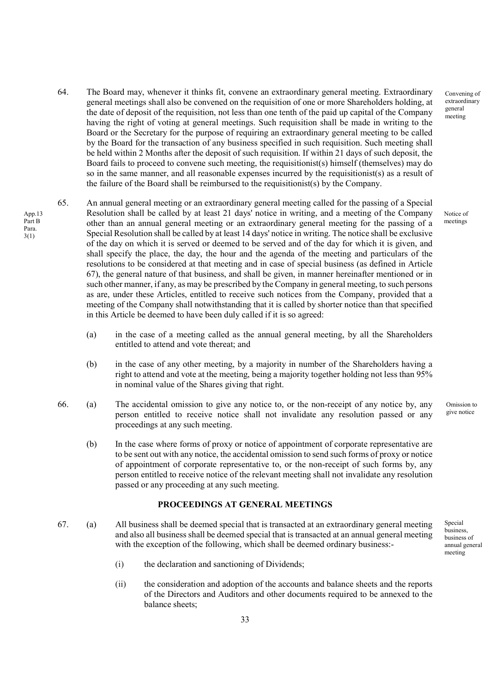- 64. The Board may, whenever it thinks fit, convene an extraordinary general meeting. Extraordinary general meetings shall also be convened on the requisition of one or more Shareholders holding, at the date of deposit of the requisition, not less than one tenth of the paid up capital of the Company having the right of voting at general meetings. Such requisition shall be made in writing to the Board or the Secretary for the purpose of requiring an extraordinary general meeting to be called by the Board for the transaction of any business specified in such requisition. Such meeting shall be held within 2 Months after the deposit of such requisition. If within 21 days of such deposit, the Board fails to proceed to convene such meeting, the requisitionist(s) himself (themselves) may do so in the same manner, and all reasonable expenses incurred by the requisitionist(s) as a result of the failure of the Board shall be reimbursed to the requisitionist(s) by the Company.
- 65. An annual general meeting or an extraordinary general meeting called for the passing of a Special Resolution shall be called by at least 21 days' notice in writing, and a meeting of the Company other than an annual general meeting or an extraordinary general meeting for the passing of a Special Resolution shall be called by at least 14 days' notice in writing. The notice shall be exclusive of the day on which it is served or deemed to be served and of the day for which it is given, and shall specify the place, the day, the hour and the agenda of the meeting and particulars of the resolutions to be considered at that meeting and in case of special business (as defined in Article 67), the general nature of that business, and shall be given, in manner hereinafter mentioned or in such other manner, if any, as may be prescribed by the Company in general meeting, to such persons as are, under these Articles, entitled to receive such notices from the Company, provided that a meeting of the Company shall notwithstanding that it is called by shorter notice than that specified in this Article be deemed to have been duly called if it is so agreed:

App.13 Part B Para. 3(1)

- (a) in the case of a meeting called as the annual general meeting, by all the Shareholders entitled to attend and vote thereat; and
- (b) in the case of any other meeting, by a majority in number of the Shareholders having a right to attend and vote at the meeting, being a majority together holding not less than 95% in nominal value of the Shares giving that right.
- 66. (a) The accidental omission to give any notice to, or the non-receipt of any notice by, any person entitled to receive notice shall not invalidate any resolution passed or any proceedings at any such meeting.
	- (b) In the case where forms of proxy or notice of appointment of corporate representative are to be sent out with any notice, the accidental omission to send such forms of proxy or notice of appointment of corporate representative to, or the non-receipt of such forms by, any person entitled to receive notice of the relevant meeting shall not invalidate any resolution passed or any proceeding at any such meeting.

## PROCEEDINGS AT GENERAL MEETINGS

- 67. (a) All business shall be deemed special that is transacted at an extraordinary general meeting and also all business shall be deemed special that is transacted at an annual general meeting with the exception of the following, which shall be deemed ordinary business:-
	- (i) the declaration and sanctioning of Dividends;
	- (ii) the consideration and adoption of the accounts and balance sheets and the reports of the Directors and Auditors and other documents required to be annexed to the balance sheets;

Convening of extraordinary general meeting

Notice of meetings

Omission to give notice

Special business, business of annual general meeting

33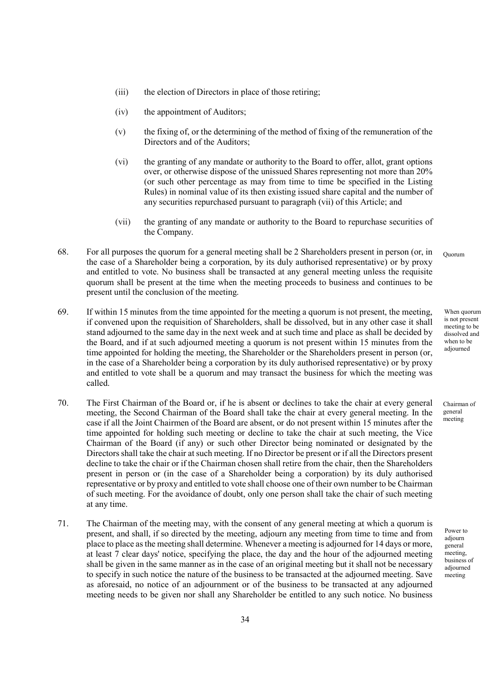- (iii) the election of Directors in place of those retiring;
- (iv) the appointment of Auditors;
- (v) the fixing of, or the determining of the method of fixing of the remuneration of the Directors and of the Auditors;
- (vi) the granting of any mandate or authority to the Board to offer, allot, grant options over, or otherwise dispose of the unissued Shares representing not more than 20% (or such other percentage as may from time to time be specified in the Listing Rules) in nominal value of its then existing issued share capital and the number of any securities repurchased pursuant to paragraph (vii) of this Article; and
- (vii) the granting of any mandate or authority to the Board to repurchase securities of the Company.
- 68. For all purposes the quorum for a general meeting shall be 2 Shareholders present in person (or, in the case of a Shareholder being a corporation, by its duly authorised representative) or by proxy and entitled to vote. No business shall be transacted at any general meeting unless the requisite quorum shall be present at the time when the meeting proceeds to business and continues to be present until the conclusion of the meeting. Quorum
- 69. If within 15 minutes from the time appointed for the meeting a quorum is not present, the meeting, if convened upon the requisition of Shareholders, shall be dissolved, but in any other case it shall stand adjourned to the same day in the next week and at such time and place as shall be decided by the Board, and if at such adjourned meeting a quorum is not present within 15 minutes from the time appointed for holding the meeting, the Shareholder or the Shareholders present in person (or, in the case of a Shareholder being a corporation by its duly authorised representative) or by proxy and entitled to vote shall be a quorum and may transact the business for which the meeting was called.
- 70. The First Chairman of the Board or, if he is absent or declines to take the chair at every general meeting, the Second Chairman of the Board shall take the chair at every general meeting. In the case if all the Joint Chairmen of the Board are absent, or do not present within 15 minutes after the time appointed for holding such meeting or decline to take the chair at such meeting, the Vice Chairman of the Board (if any) or such other Director being nominated or designated by the Directors shall take the chair at such meeting. If no Director be present or if all the Directors present decline to take the chair or if the Chairman chosen shall retire from the chair, then the Shareholders present in person or (in the case of a Shareholder being a corporation) by its duly authorised representative or by proxy and entitled to vote shall choose one of their own number to be Chairman of such meeting. For the avoidance of doubt, only one person shall take the chair of such meeting at any time.
- 71. The Chairman of the meeting may, with the consent of any general meeting at which a quorum is present, and shall, if so directed by the meeting, adjourn any meeting from time to time and from place to place as the meeting shall determine. Whenever a meeting is adjourned for 14 days or more, at least 7 clear days' notice, specifying the place, the day and the hour of the adjourned meeting shall be given in the same manner as in the case of an original meeting but it shall not be necessary to specify in such notice the nature of the business to be transacted at the adjourned meeting. Save as aforesaid, no notice of an adjournment or of the business to be transacted at any adjourned meeting needs to be given nor shall any Shareholder be entitled to any such notice. No business

When quorum is not present meeting to be dissolved and when to be adjourned

Chairman of general meeting

Power to adjourn general meeting, business of adjourned meeting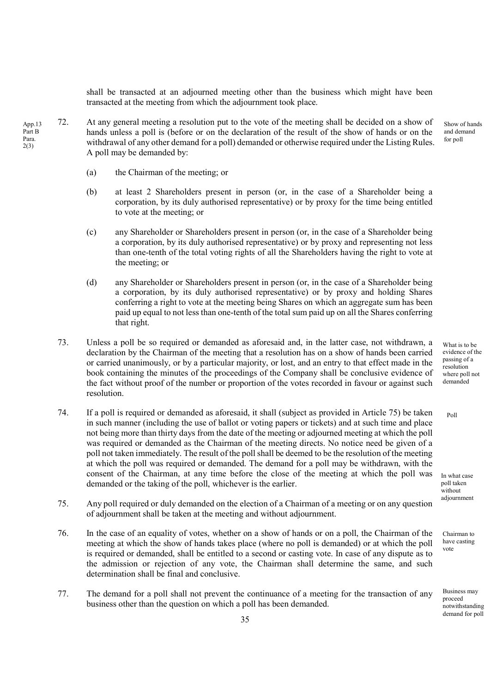shall be transacted at an adjourned meeting other than the business which might have been transacted at the meeting from which the adjournment took place.

- 72. At any general meeting a resolution put to the vote of the meeting shall be decided on a show of hands unless a poll is (before or on the declaration of the result of the show of hands or on the withdrawal of any other demand for a poll) demanded or otherwise required under the Listing Rules. A poll may be demanded by: Show of hands and demand for poll App.13 Part B Para. 2(3)
	- (a) the Chairman of the meeting; or
	- (b) at least 2 Shareholders present in person (or, in the case of a Shareholder being a corporation, by its duly authorised representative) or by proxy for the time being entitled to vote at the meeting; or
	- (c) any Shareholder or Shareholders present in person (or, in the case of a Shareholder being a corporation, by its duly authorised representative) or by proxy and representing not less than one-tenth of the total voting rights of all the Shareholders having the right to vote at the meeting; or
	- (d) any Shareholder or Shareholders present in person (or, in the case of a Shareholder being a corporation, by its duly authorised representative) or by proxy and holding Shares conferring a right to vote at the meeting being Shares on which an aggregate sum has been paid up equal to not less than one-tenth of the total sum paid up on all the Shares conferring that right.
	- 73. Unless a poll be so required or demanded as aforesaid and, in the latter case, not withdrawn, a declaration by the Chairman of the meeting that a resolution has on a show of hands been carried or carried unanimously, or by a particular majority, or lost, and an entry to that effect made in the book containing the minutes of the proceedings of the Company shall be conclusive evidence of the fact without proof of the number or proportion of the votes recorded in favour or against such resolution.
	- 74. If a poll is required or demanded as aforesaid, it shall (subject as provided in Article 75) be taken in such manner (including the use of ballot or voting papers or tickets) and at such time and place not being more than thirty days from the date of the meeting or adjourned meeting at which the poll was required or demanded as the Chairman of the meeting directs. No notice need be given of a poll not taken immediately. The result of the poll shall be deemed to be the resolution of the meeting at which the poll was required or demanded. The demand for a poll may be withdrawn, with the consent of the Chairman, at any time before the close of the meeting at which the poll was demanded or the taking of the poll, whichever is the earlier.
	- 75. Any poll required or duly demanded on the election of a Chairman of a meeting or on any question of adjournment shall be taken at the meeting and without adjournment.
	- 76. In the case of an equality of votes, whether on a show of hands or on a poll, the Chairman of the meeting at which the show of hands takes place (where no poll is demanded) or at which the poll is required or demanded, shall be entitled to a second or casting vote. In case of any dispute as to the admission or rejection of any vote, the Chairman shall determine the same, and such determination shall be final and conclusive.
	- 77. The demand for a poll shall not prevent the continuance of a meeting for the transaction of any business other than the question on which a poll has been demanded.

What is to be evidence of the passing of a resolution where poll not demanded

 $P<sub>0</sub>11$ 

In what case poll taken without adjournment

Chairman to have casting vote

Business may proceed notwithstanding demand for poll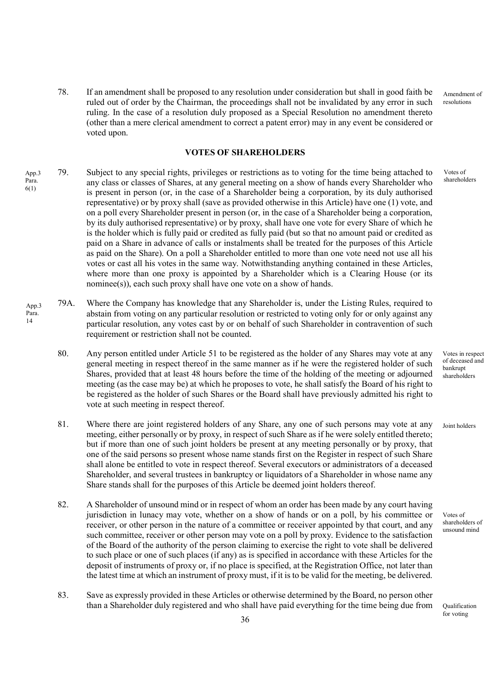78. If an amendment shall be proposed to any resolution under consideration but shall in good faith be ruled out of order by the Chairman, the proceedings shall not be invalidated by any error in such ruling. In the case of a resolution duly proposed as a Special Resolution no amendment thereto (other than a mere clerical amendment to correct a patent error) may in any event be considered or voted upon. Amendment of resolutions

### VOTES OF SHAREHOLDERS

- 79. Subject to any special rights, privileges or restrictions as to voting for the time being attached to any class or classes of Shares, at any general meeting on a show of hands every Shareholder who is present in person (or, in the case of a Shareholder being a corporation, by its duly authorised representative) or by proxy shall (save as provided otherwise in this Article) have one (1) vote, and on a poll every Shareholder present in person (or, in the case of a Shareholder being a corporation, by its duly authorised representative) or by proxy, shall have one vote for every Share of which he is the holder which is fully paid or credited as fully paid (but so that no amount paid or credited as paid on a Share in advance of calls or instalments shall be treated for the purposes of this Article as paid on the Share). On a poll a Shareholder entitled to more than one vote need not use all his votes or cast all his votes in the same way. Notwithstanding anything contained in these Articles, where more than one proxy is appointed by a Shareholder which is a Clearing House (or its nominee(s)), each such proxy shall have one vote on a show of hands. App.3 Para. 6(1)
- 79A. Where the Company has knowledge that any Shareholder is, under the Listing Rules, required to abstain from voting on any particular resolution or restricted to voting only for or only against any particular resolution, any votes cast by or on behalf of such Shareholder in contravention of such requirement or restriction shall not be counted. App.3 Para.

14

- 80. Any person entitled under Article 51 to be registered as the holder of any Shares may vote at any general meeting in respect thereof in the same manner as if he were the registered holder of such Shares, provided that at least 48 hours before the time of the holding of the meeting or adjourned meeting (as the case may be) at which he proposes to vote, he shall satisfy the Board of his right to be registered as the holder of such Shares or the Board shall have previously admitted his right to vote at such meeting in respect thereof.
- 81. Where there are joint registered holders of any Share, any one of such persons may vote at any meeting, either personally or by proxy, in respect of such Share as if he were solely entitled thereto; but if more than one of such joint holders be present at any meeting personally or by proxy, that one of the said persons so present whose name stands first on the Register in respect of such Share shall alone be entitled to vote in respect thereof. Several executors or administrators of a deceased Shareholder, and several trustees in bankruptcy or liquidators of a Shareholder in whose name any Share stands shall for the purposes of this Article be deemed joint holders thereof.
- 82. A Shareholder of unsound mind or in respect of whom an order has been made by any court having jurisdiction in lunacy may vote, whether on a show of hands or on a poll, by his committee or receiver, or other person in the nature of a committee or receiver appointed by that court, and any such committee, receiver or other person may vote on a poll by proxy. Evidence to the satisfaction of the Board of the authority of the person claiming to exercise the right to vote shall be delivered to such place or one of such places (if any) as is specified in accordance with these Articles for the deposit of instruments of proxy or, if no place is specified, at the Registration Office, not later than the latest time at which an instrument of proxy must, if it is to be valid for the meeting, be delivered.
- 83. Save as expressly provided in these Articles or otherwise determined by the Board, no person other than a Shareholder duly registered and who shall have paid everything for the time being due from

Votes of shareholders

Votes in respect of deceased and bankrupt shareholders

Joint holders

Votes of shareholders of unsound mind

Qualification for voting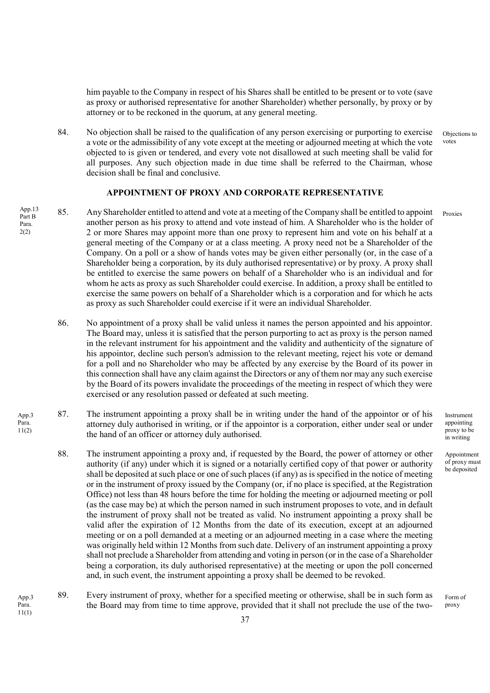him payable to the Company in respect of his Shares shall be entitled to be present or to vote (save as proxy or authorised representative for another Shareholder) whether personally, by proxy or by attorney or to be reckoned in the quorum, at any general meeting.

84. No objection shall be raised to the qualification of any person exercising or purporting to exercise a vote or the admissibility of any vote except at the meeting or adjourned meeting at which the vote objected to is given or tendered, and every vote not disallowed at such meeting shall be valid for all purposes. Any such objection made in due time shall be referred to the Chairman, whose decision shall be final and conclusive. Objections to votes

## APPOINTMENT OF PROXY AND CORPORATE REPRESENTATIVE

- $A_{\text{pp,13}}^{App,13}$  85. Any Shareholder entitled to attend and vote at a meeting of the Company shall be entitled to appoint Proxies another person as his proxy to attend and vote instead of him. A Shareholder who is the holder of 2 or more Shares may appoint more than one proxy to represent him and vote on his behalf at a general meeting of the Company or at a class meeting. A proxy need not be a Shareholder of the Company. On a poll or a show of hands votes may be given either personally (or, in the case of a Shareholder being a corporation, by its duly authorised representative) or by proxy. A proxy shall be entitled to exercise the same powers on behalf of a Shareholder who is an individual and for whom he acts as proxy as such Shareholder could exercise. In addition, a proxy shall be entitled to exercise the same powers on behalf of a Shareholder which is a corporation and for which he acts as proxy as such Shareholder could exercise if it were an individual Shareholder. Part B Para. 2(2)
	- 86. No appointment of a proxy shall be valid unless it names the person appointed and his appointor. The Board may, unless it is satisfied that the person purporting to act as proxy is the person named in the relevant instrument for his appointment and the validity and authenticity of the signature of his appointor, decline such person's admission to the relevant meeting, reject his vote or demand for a poll and no Shareholder who may be affected by any exercise by the Board of its power in this connection shall have any claim against the Directors or any of them nor may any such exercise by the Board of its powers invalidate the proceedings of the meeting in respect of which they were exercised or any resolution passed or defeated at such meeting.
	- 87. The instrument appointing a proxy shall be in writing under the hand of the appointor or of his attorney duly authorised in writing, or if the appointor is a corporation, either under seal or under the hand of an officer or attorney duly authorised.

App.3 Para. 11(2)

- 88. The instrument appointing a proxy and, if requested by the Board, the power of attorney or other authority (if any) under which it is signed or a notarially certified copy of that power or authority shall be deposited at such place or one of such places (if any) as is specified in the notice of meeting or in the instrument of proxy issued by the Company (or, if no place is specified, at the Registration Office) not less than 48 hours before the time for holding the meeting or adjourned meeting or poll (as the case may be) at which the person named in such instrument proposes to vote, and in default the instrument of proxy shall not be treated as valid. No instrument appointing a proxy shall be valid after the expiration of 12 Months from the date of its execution, except at an adjourned meeting or on a poll demanded at a meeting or an adjourned meeting in a case where the meeting was originally held within 12 Months from such date. Delivery of an instrument appointing a proxy shall not preclude a Shareholder from attending and voting in person (or in the case of a Shareholder being a corporation, its duly authorised representative) at the meeting or upon the poll concerned and, in such event, the instrument appointing a proxy shall be deemed to be revoked.
- 89. Every instrument of proxy, whether for a specified meeting or otherwise, shall be in such form as the Board may from time to time approve, provided that it shall not preclude the use of the two-App.3 Para. 11(1)

Instrument appointing proxy to be in writing

Appointment of proxy must be deposited

Form of proxy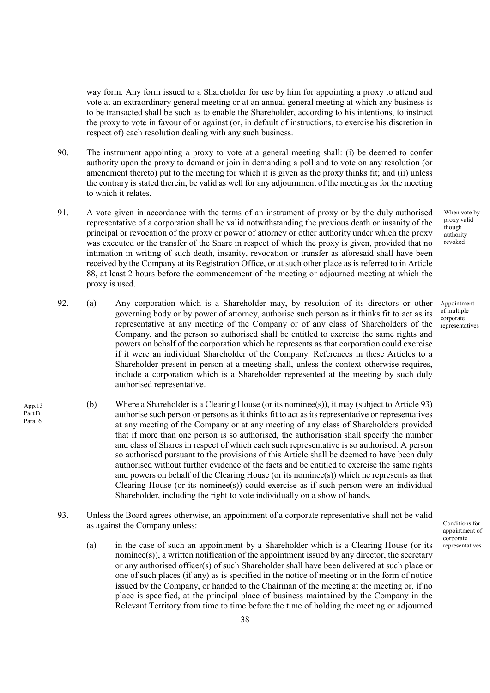way form. Any form issued to a Shareholder for use by him for appointing a proxy to attend and vote at an extraordinary general meeting or at an annual general meeting at which any business is to be transacted shall be such as to enable the Shareholder, according to his intentions, to instruct the proxy to vote in favour of or against (or, in default of instructions, to exercise his discretion in respect of) each resolution dealing with any such business.

- 90. The instrument appointing a proxy to vote at a general meeting shall: (i) be deemed to confer authority upon the proxy to demand or join in demanding a poll and to vote on any resolution (or amendment thereto) put to the meeting for which it is given as the proxy thinks fit; and (ii) unless the contrary is stated therein, be valid as well for any adjournment of the meeting as for the meeting to which it relates.
- 91. A vote given in accordance with the terms of an instrument of proxy or by the duly authorised representative of a corporation shall be valid notwithstanding the previous death or insanity of the principal or revocation of the proxy or power of attorney or other authority under which the proxy was executed or the transfer of the Share in respect of which the proxy is given, provided that no intimation in writing of such death, insanity, revocation or transfer as aforesaid shall have been received by the Company at its Registration Office, or at such other place as is referred to in Article 88, at least 2 hours before the commencement of the meeting or adjourned meeting at which the proxy is used.
- 92. (a) Any corporation which is a Shareholder may, by resolution of its directors or other governing body or by power of attorney, authorise such person as it thinks fit to act as its representative at any meeting of the Company or of any class of Shareholders of the Company, and the person so authorised shall be entitled to exercise the same rights and powers on behalf of the corporation which he represents as that corporation could exercise if it were an individual Shareholder of the Company. References in these Articles to a Shareholder present in person at a meeting shall, unless the context otherwise requires, include a corporation which is a Shareholder represented at the meeting by such duly authorised representative.
	- (b) Where a Shareholder is a Clearing House (or its nominee(s)), it may (subject to Article 93) authorise such person or persons as it thinks fit to act as its representative or representatives at any meeting of the Company or at any meeting of any class of Shareholders provided that if more than one person is so authorised, the authorisation shall specify the number and class of Shares in respect of which each such representative is so authorised. A person so authorised pursuant to the provisions of this Article shall be deemed to have been duly authorised without further evidence of the facts and be entitled to exercise the same rights and powers on behalf of the Clearing House (or its nominee(s)) which he represents as that Clearing House (or its nominee(s)) could exercise as if such person were an individual Shareholder, including the right to vote individually on a show of hands.

App.13 Part B Para. 6

- 93. Unless the Board agrees otherwise, an appointment of a corporate representative shall not be valid as against the Company unless:
	- (a) in the case of such an appointment by a Shareholder which is a Clearing House (or its nominee(s)), a written notification of the appointment issued by any director, the secretary or any authorised officer(s) of such Shareholder shall have been delivered at such place or one of such places (if any) as is specified in the notice of meeting or in the form of notice issued by the Company, or handed to the Chairman of the meeting at the meeting or, if no place is specified, at the principal place of business maintained by the Company in the Relevant Territory from time to time before the time of holding the meeting or adjourned

When vote by proxy valid though authority revoked

Appointment of multiple corporate representatives

Conditions for appointment of corporate representatives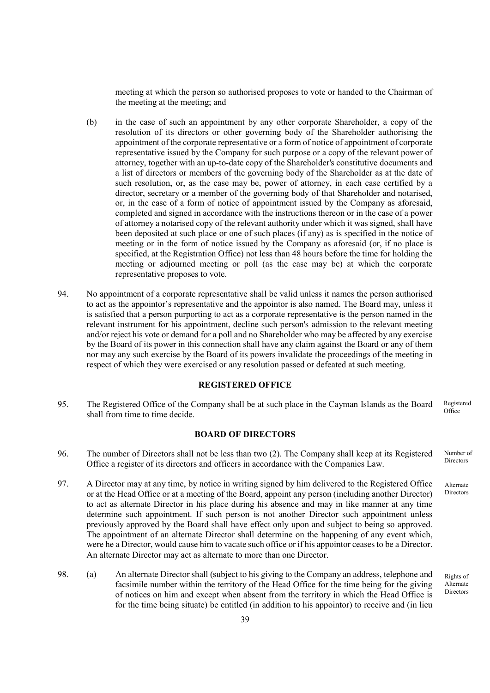meeting at which the person so authorised proposes to vote or handed to the Chairman of the meeting at the meeting; and

- (b) in the case of such an appointment by any other corporate Shareholder, a copy of the resolution of its directors or other governing body of the Shareholder authorising the appointment of the corporate representative or a form of notice of appointment of corporate representative issued by the Company for such purpose or a copy of the relevant power of attorney, together with an up-to-date copy of the Shareholder's constitutive documents and a list of directors or members of the governing body of the Shareholder as at the date of such resolution, or, as the case may be, power of attorney, in each case certified by a director, secretary or a member of the governing body of that Shareholder and notarised, or, in the case of a form of notice of appointment issued by the Company as aforesaid, completed and signed in accordance with the instructions thereon or in the case of a power of attorney a notarised copy of the relevant authority under which it was signed, shall have been deposited at such place or one of such places (if any) as is specified in the notice of meeting or in the form of notice issued by the Company as aforesaid (or, if no place is specified, at the Registration Office) not less than 48 hours before the time for holding the meeting or adjourned meeting or poll (as the case may be) at which the corporate representative proposes to vote.
- 94. No appointment of a corporate representative shall be valid unless it names the person authorised to act as the appointor's representative and the appointor is also named. The Board may, unless it is satisfied that a person purporting to act as a corporate representative is the person named in the relevant instrument for his appointment, decline such person's admission to the relevant meeting and/or reject his vote or demand for a poll and no Shareholder who may be affected by any exercise by the Board of its power in this connection shall have any claim against the Board or any of them nor may any such exercise by the Board of its powers invalidate the proceedings of the meeting in respect of which they were exercised or any resolution passed or defeated at such meeting.

## REGISTERED OFFICE

95. The Registered Office of the Company shall be at such place in the Cayman Islands as the Board shall from time to time decide. Registered **Office** 

### BOARD OF DIRECTORS

- 96. The number of Directors shall not be less than two (2). The Company shall keep at its Registered Office a register of its directors and officers in accordance with the Companies Law. Number of **Directors**
- 97. A Director may at any time, by notice in writing signed by him delivered to the Registered Office or at the Head Office or at a meeting of the Board, appoint any person (including another Director) to act as alternate Director in his place during his absence and may in like manner at any time determine such appointment. If such person is not another Director such appointment unless previously approved by the Board shall have effect only upon and subject to being so approved. The appointment of an alternate Director shall determine on the happening of any event which, were he a Director, would cause him to vacate such office or if his appointor ceases to be a Director. An alternate Director may act as alternate to more than one Director.
- 98. (a) An alternate Director shall (subject to his giving to the Company an address, telephone and facsimile number within the territory of the Head Office for the time being for the giving of notices on him and except when absent from the territory in which the Head Office is for the time being situate) be entitled (in addition to his appointor) to receive and (in lieu

Rights of Alternate Directors

Alternate Directors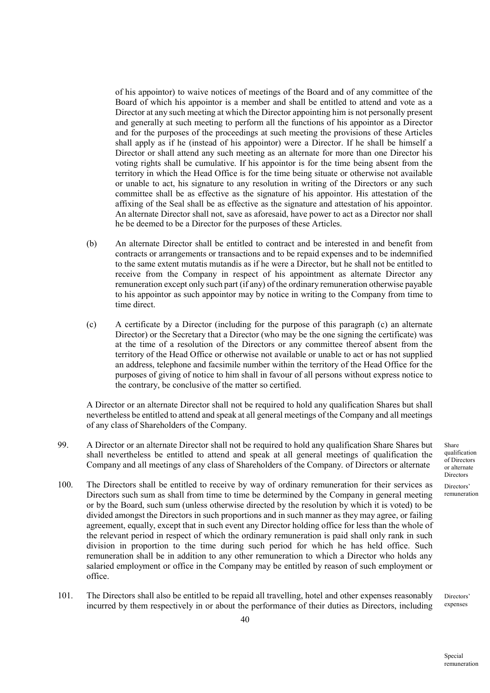of his appointor) to waive notices of meetings of the Board and of any committee of the Board of which his appointor is a member and shall be entitled to attend and vote as a Director at any such meeting at which the Director appointing him is not personally present and generally at such meeting to perform all the functions of his appointor as a Director and for the purposes of the proceedings at such meeting the provisions of these Articles shall apply as if he (instead of his appointor) were a Director. If he shall be himself a Director or shall attend any such meeting as an alternate for more than one Director his voting rights shall be cumulative. If his appointor is for the time being absent from the territory in which the Head Office is for the time being situate or otherwise not available or unable to act, his signature to any resolution in writing of the Directors or any such committee shall be as effective as the signature of his appointor. His attestation of the affixing of the Seal shall be as effective as the signature and attestation of his appointor. An alternate Director shall not, save as aforesaid, have power to act as a Director nor shall he be deemed to be a Director for the purposes of these Articles.

- (b) An alternate Director shall be entitled to contract and be interested in and benefit from contracts or arrangements or transactions and to be repaid expenses and to be indemnified to the same extent mutatis mutandis as if he were a Director, but he shall not be entitled to receive from the Company in respect of his appointment as alternate Director any remuneration except only such part (if any) of the ordinary remuneration otherwise payable to his appointor as such appointor may by notice in writing to the Company from time to time direct.
- (c) A certificate by a Director (including for the purpose of this paragraph (c) an alternate Director) or the Secretary that a Director (who may be the one signing the certificate) was at the time of a resolution of the Directors or any committee thereof absent from the territory of the Head Office or otherwise not available or unable to act or has not supplied an address, telephone and facsimile number within the territory of the Head Office for the purposes of giving of notice to him shall in favour of all persons without express notice to the contrary, be conclusive of the matter so certified.

A Director or an alternate Director shall not be required to hold any qualification Shares but shall nevertheless be entitled to attend and speak at all general meetings of the Company and all meetings of any class of Shareholders of the Company.

- 99. A Director or an alternate Director shall not be required to hold any qualification Share Shares but shall nevertheless be entitled to attend and speak at all general meetings of qualification the Company and all meetings of any class of Shareholders of the Company. of Directors or alternate
- 100. The Directors shall be entitled to receive by way of ordinary remuneration for their services as Directors such sum as shall from time to time be determined by the Company in general meeting or by the Board, such sum (unless otherwise directed by the resolution by which it is voted) to be divided amongst the Directors in such proportions and in such manner as they may agree, or failing agreement, equally, except that in such event any Director holding office for less than the whole of the relevant period in respect of which the ordinary remuneration is paid shall only rank in such division in proportion to the time during such period for which he has held office. Such remuneration shall be in addition to any other remuneration to which a Director who holds any salaried employment or office in the Company may be entitled by reason of such employment or office.
- 101. The Directors shall also be entitled to be repaid all travelling, hotel and other expenses reasonably incurred by them respectively in or about the performance of their duties as Directors, including

Share qualification of Directors or alternate **Directors** 

Directors' remuneration

Directors' expenses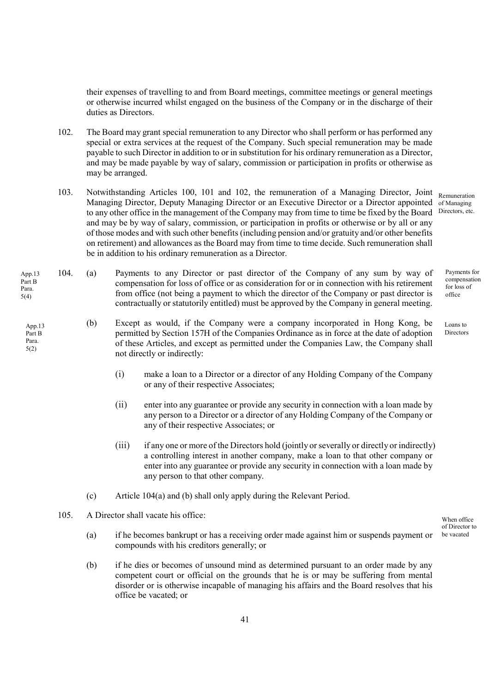their expenses of travelling to and from Board meetings, committee meetings or general meetings or otherwise incurred whilst engaged on the business of the Company or in the discharge of their duties as Directors.

- 102. The Board may grant special remuneration to any Director who shall perform or has performed any special or extra services at the request of the Company. Such special remuneration may be made payable to such Director in addition to or in substitution for his ordinary remuneration as a Director, and may be made payable by way of salary, commission or participation in profits or otherwise as may be arranged.
- 103. Notwithstanding Articles 100, 101 and 102, the remuneration of a Managing Director, Joint Managing Director, Deputy Managing Director or an Executive Director or a Director appointed to any other office in the management of the Company may from time to time be fixed by the Board and may be by way of salary, commission, or participation in profits or otherwise or by all or any of those modes and with such other benefits (including pension and/or gratuity and/or other benefits on retirement) and allowances as the Board may from time to time decide. Such remuneration shall be in addition to his ordinary remuneration as a Director. Remuneration of Managing Directors, etc.
- 104. (a) Payments to any Director or past director of the Company of any sum by way of compensation for loss of office or as consideration for or in connection with his retirement from office (not being a payment to which the director of the Company or past director is contractually or statutorily entitled) must be approved by the Company in general meeting. App.13 Part B
	- (b) Except as would, if the Company were a company incorporated in Hong Kong, be permitted by Section 157H of the Companies Ordinance as in force at the date of adoption of these Articles, and except as permitted under the Companies Law, the Company shall not directly or indirectly:
		- (i) make a loan to a Director or a director of any Holding Company of the Company or any of their respective Associates;
		- (ii) enter into any guarantee or provide any security in connection with a loan made by any person to a Director or a director of any Holding Company of the Company or any of their respective Associates; or
		- (iii) if any one or more of the Directors hold (jointly or severally or directly or indirectly) a controlling interest in another company, make a loan to that other company or enter into any guarantee or provide any security in connection with a loan made by any person to that other company.
		- (c) Article 104(a) and (b) shall only apply during the Relevant Period.
	- 105. A Director shall vacate his office:

Para. 5(4)

> App.13 Part B Para. 5(2)

- (a) if he becomes bankrupt or has a receiving order made against him or suspends payment or compounds with his creditors generally; or
- (b) if he dies or becomes of unsound mind as determined pursuant to an order made by any competent court or official on the grounds that he is or may be suffering from mental disorder or is otherwise incapable of managing his affairs and the Board resolves that his office be vacated; or

Payments for compensation for loss of office

Loans to Directors

When office of Director to be vacated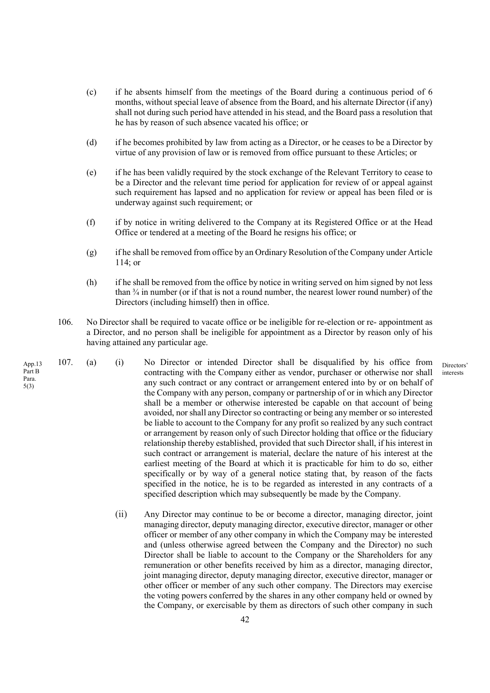- (c) if he absents himself from the meetings of the Board during a continuous period of 6 months, without special leave of absence from the Board, and his alternate Director (if any) shall not during such period have attended in his stead, and the Board pass a resolution that he has by reason of such absence vacated his office; or
- (d) if he becomes prohibited by law from acting as a Director, or he ceases to be a Director by virtue of any provision of law or is removed from office pursuant to these Articles; or
- (e) if he has been validly required by the stock exchange of the Relevant Territory to cease to be a Director and the relevant time period for application for review of or appeal against such requirement has lapsed and no application for review or appeal has been filed or is underway against such requirement; or
- (f) if by notice in writing delivered to the Company at its Registered Office or at the Head Office or tendered at a meeting of the Board he resigns his office; or
- (g) if he shall be removed from office by an Ordinary Resolution of the Company under Article 114; or
- (h) if he shall be removed from the office by notice in writing served on him signed by not less than ¾ in number (or if that is not a round number, the nearest lower round number) of the Directors (including himself) then in office.

Directors' interests

- 106. No Director shall be required to vacate office or be ineligible for re-election or re- appointment as a Director, and no person shall be ineligible for appointment as a Director by reason only of his having attained any particular age.
- 107. (a) (i) No Director or intended Director shall be disqualified by his office from contracting with the Company either as vendor, purchaser or otherwise nor shall any such contract or any contract or arrangement entered into by or on behalf of the Company with any person, company or partnership of or in which any Director shall be a member or otherwise interested be capable on that account of being avoided, nor shall any Director so contracting or being any member or so interested be liable to account to the Company for any profit so realized by any such contract or arrangement by reason only of such Director holding that office or the fiduciary relationship thereby established, provided that such Director shall, if his interest in such contract or arrangement is material, declare the nature of his interest at the earliest meeting of the Board at which it is practicable for him to do so, either specifically or by way of a general notice stating that, by reason of the facts specified in the notice, he is to be regarded as interested in any contracts of a specified description which may subsequently be made by the Company.
	- (ii) Any Director may continue to be or become a director, managing director, joint managing director, deputy managing director, executive director, manager or other officer or member of any other company in which the Company may be interested and (unless otherwise agreed between the Company and the Director) no such Director shall be liable to account to the Company or the Shareholders for any remuneration or other benefits received by him as a director, managing director, joint managing director, deputy managing director, executive director, manager or other officer or member of any such other company. The Directors may exercise the voting powers conferred by the shares in any other company held or owned by the Company, or exercisable by them as directors of such other company in such

App.13 Part B Para. 5(3)

42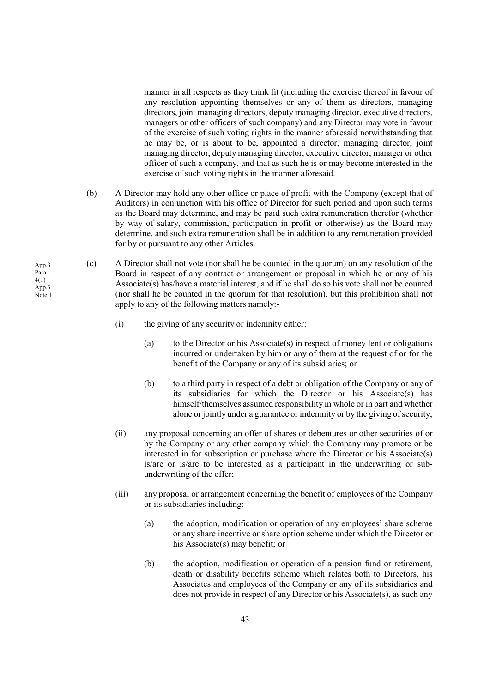manner in all respects as they think fit (including the exercise thereof in favour of any resolution appointing themselves or any of them as directors, managing directors, joint managing directors, deputy managing director, executive directors, managers or other officers of such company) and any Director may vote in favour of the exercise of such voting rights in the manner aforesaid notwithstanding that he may be, or is about to be, appointed a director, managing director, joint managing director, deputy managing director, executive director, manager or other officer of such a company, and that as such he is or may become interested in the exercise of such voting rights in the manner aforesaid.

- (b) A Director may hold any other office or place of profit with the Company (except that of Auditors) in conjunction with his office of Director for such period and upon such terms as the Board may determine, and may be paid such extra remuneration therefor (whether by way of salary, commission, participation in profit or otherwise) as the Board may determine, and such extra remuneration shall be in addition to any remuneration provided for by or pursuant to any other Articles.
- (c) A Director shall not vote (nor shall he be counted in the quorum) on any resolution of the Board in respect of any contract or arrangement or proposal in which he or any of his Associate(s) has/have a material interest, and if he shall do so his vote shall not be counted (nor shall he be counted in the quorum for that resolution), but this prohibition shall not apply to any of the following matters namely:-
	- (i) the giving of any security or indemnity either:
		- (a) to the Director or his Associate(s) in respect of money lent or obligations incurred or undertaken by him or any of them at the request of or for the benefit of the Company or any of its subsidiaries; or
		- (b) to a third party in respect of a debt or obligation of the Company or any of its subsidiaries for which the Director or his Associate(s) has himself/themselves assumed responsibility in whole or in part and whether alone or jointly under a guarantee or indemnity or by the giving of security;
	- (ii) any proposal concerning an offer of shares or debentures or other securities of or by the Company or any other company which the Company may promote or be interested in for subscription or purchase where the Director or his Associate(s) is/are or is/are to be interested as a participant in the underwriting or subunderwriting of the offer;
	- (iii) any proposal or arrangement concerning the benefit of employees of the Company or its subsidiaries including:
		- (a) the adoption, modification or operation of any employees' share scheme or any share incentive or share option scheme under which the Director or his Associate(s) may benefit; or
		- (b) the adoption, modification or operation of a pension fund or retirement, death or disability benefits scheme which relates both to Directors, his Associates and employees of the Company or any of its subsidiaries and does not provide in respect of any Director or his Associate(s), as such any

App.3 Para. 4(1) App.3 Note 1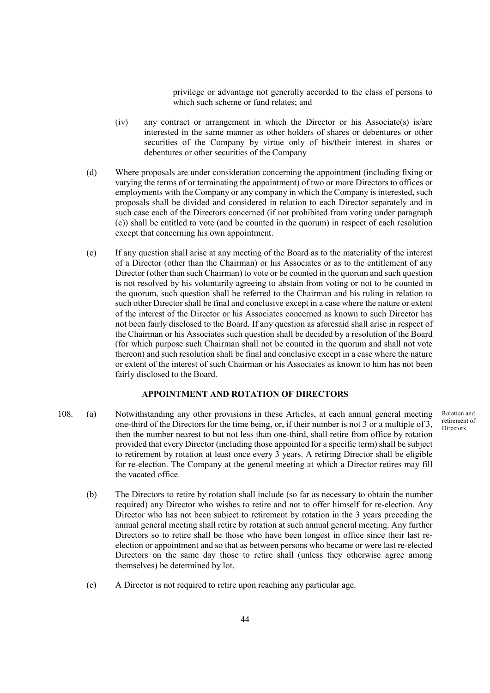privilege or advantage not generally accorded to the class of persons to which such scheme or fund relates; and

- (iv) any contract or arrangement in which the Director or his Associate(s) is/are interested in the same manner as other holders of shares or debentures or other securities of the Company by virtue only of his/their interest in shares or debentures or other securities of the Company
- (d) Where proposals are under consideration concerning the appointment (including fixing or varying the terms of or terminating the appointment) of two or more Directors to offices or employments with the Company or any company in which the Company is interested, such proposals shall be divided and considered in relation to each Director separately and in such case each of the Directors concerned (if not prohibited from voting under paragraph (c)) shall be entitled to vote (and be counted in the quorum) in respect of each resolution except that concerning his own appointment.
- (e) If any question shall arise at any meeting of the Board as to the materiality of the interest of a Director (other than the Chairman) or his Associates or as to the entitlement of any Director (other than such Chairman) to vote or be counted in the quorum and such question is not resolved by his voluntarily agreeing to abstain from voting or not to be counted in the quorum, such question shall be referred to the Chairman and his ruling in relation to such other Director shall be final and conclusive except in a case where the nature or extent of the interest of the Director or his Associates concerned as known to such Director has not been fairly disclosed to the Board. If any question as aforesaid shall arise in respect of the Chairman or his Associates such question shall be decided by a resolution of the Board (for which purpose such Chairman shall not be counted in the quorum and shall not vote thereon) and such resolution shall be final and conclusive except in a case where the nature or extent of the interest of such Chairman or his Associates as known to him has not been fairly disclosed to the Board.

# APPOINTMENT AND ROTATION OF DIRECTORS

108. (a) Notwithstanding any other provisions in these Articles, at each annual general meeting one-third of the Directors for the time being, or, if their number is not 3 or a multiple of 3, then the number nearest to but not less than one-third, shall retire from office by rotation provided that every Director (including those appointed for a specific term) shall be subject to retirement by rotation at least once every 3 years. A retiring Director shall be eligible for re-election. The Company at the general meeting at which a Director retires may fill the vacated office.

Rotation and retirement of **Directors** 

- (b) The Directors to retire by rotation shall include (so far as necessary to obtain the number required) any Director who wishes to retire and not to offer himself for re-election. Any Director who has not been subject to retirement by rotation in the 3 years preceding the annual general meeting shall retire by rotation at such annual general meeting. Any further Directors so to retire shall be those who have been longest in office since their last reelection or appointment and so that as between persons who became or were last re-elected Directors on the same day those to retire shall (unless they otherwise agree among themselves) be determined by lot.
- (c) A Director is not required to retire upon reaching any particular age.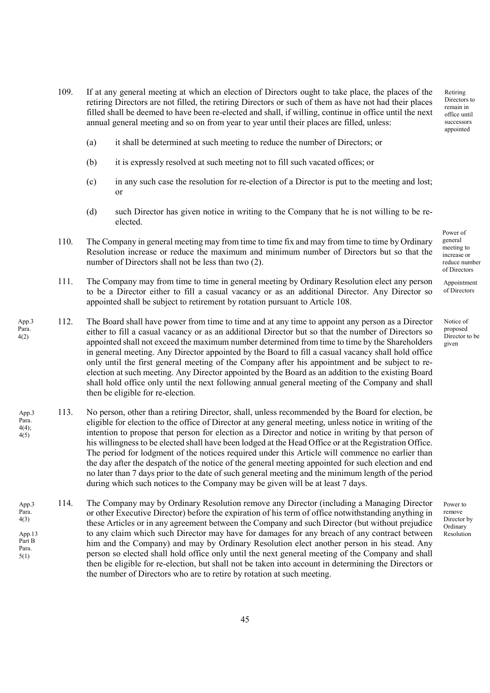- 109. If at any general meeting at which an election of Directors ought to take place, the places of the retiring Directors are not filled, the retiring Directors or such of them as have not had their places filled shall be deemed to have been re-elected and shall, if willing, continue in office until the next annual general meeting and so on from year to year until their places are filled, unless:
	- (a) it shall be determined at such meeting to reduce the number of Directors; or
	- (b) it is expressly resolved at such meeting not to fill such vacated offices; or
	- (c) in any such case the resolution for re-election of a Director is put to the meeting and lost; or
	- (d) such Director has given notice in writing to the Company that he is not willing to be reelected.
- 110. The Company in general meeting may from time to time fix and may from time to time by Ordinary Resolution increase or reduce the maximum and minimum number of Directors but so that the number of Directors shall not be less than two (2).
- 111. The Company may from time to time in general meeting by Ordinary Resolution elect any person to be a Director either to fill a casual vacancy or as an additional Director. Any Director so appointed shall be subject to retirement by rotation pursuant to Article 108.
- 112. The Board shall have power from time to time and at any time to appoint any person as a Director either to fill a casual vacancy or as an additional Director but so that the number of Directors so appointed shall not exceed the maximum number determined from time to time by the Shareholders in general meeting. Any Director appointed by the Board to fill a casual vacancy shall hold office only until the first general meeting of the Company after his appointment and be subject to reelection at such meeting. Any Director appointed by the Board as an addition to the existing Board shall hold office only until the next following annual general meeting of the Company and shall then be eligible for re-election. App.3 Para.

4(2)

- 113. No person, other than a retiring Director, shall, unless recommended by the Board for election, be eligible for election to the office of Director at any general meeting, unless notice in writing of the intention to propose that person for election as a Director and notice in writing by that person of his willingness to be elected shall have been lodged at the Head Office or at the Registration Office. The period for lodgment of the notices required under this Article will commence no earlier than the day after the despatch of the notice of the general meeting appointed for such election and end no later than 7 days prior to the date of such general meeting and the minimum length of the period during which such notices to the Company may be given will be at least 7 days. App.3 Para. 4(4);  $4(5)$
- 114. The Company may by Ordinary Resolution remove any Director (including a Managing Director or other Executive Director) before the expiration of his term of office notwithstanding anything in these Articles or in any agreement between the Company and such Director (but without prejudice to any claim which such Director may have for damages for any breach of any contract between him and the Company) and may by Ordinary Resolution elect another person in his stead. Any person so elected shall hold office only until the next general meeting of the Company and shall then be eligible for re-election, but shall not be taken into account in determining the Directors or the number of Directors who are to retire by rotation at such meeting. App.3 Para. 4(3) App.13 Part B Para. 5(1)

Power of general meeting to increase or reduce number of Directors

Retiring Directors to remain in office until successors appointed

Appointment of Directors

Notice of proposed Director to be given

Power to remove Director by Ordinary Resolution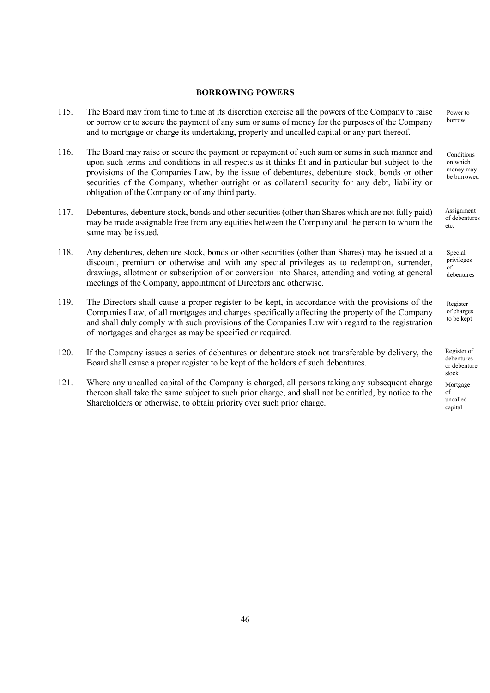### BORROWING POWERS

- 115. The Board may from time to time at its discretion exercise all the powers of the Company to raise or borrow or to secure the payment of any sum or sums of money for the purposes of the Company and to mortgage or charge its undertaking, property and uncalled capital or any part thereof.
- 116. The Board may raise or secure the payment or repayment of such sum or sums in such manner and upon such terms and conditions in all respects as it thinks fit and in particular but subject to the provisions of the Companies Law, by the issue of debentures, debenture stock, bonds or other securities of the Company, whether outright or as collateral security for any debt, liability or obligation of the Company or of any third party.
- 117. Debentures, debenture stock, bonds and other securities (other than Shares which are not fully paid) may be made assignable free from any equities between the Company and the person to whom the same may be issued.
- 118. Any debentures, debenture stock, bonds or other securities (other than Shares) may be issued at a discount, premium or otherwise and with any special privileges as to redemption, surrender, drawings, allotment or subscription of or conversion into Shares, attending and voting at general meetings of the Company, appointment of Directors and otherwise.
- 119. The Directors shall cause a proper register to be kept, in accordance with the provisions of the Companies Law, of all mortgages and charges specifically affecting the property of the Company and shall duly comply with such provisions of the Companies Law with regard to the registration of mortgages and charges as may be specified or required.
- 120. If the Company issues a series of debentures or debenture stock not transferable by delivery, the Board shall cause a proper register to be kept of the holders of such debentures.
- 121. Where any uncalled capital of the Company is charged, all persons taking any subsequent charge thereon shall take the same subject to such prior charge, and shall not be entitled, by notice to the Shareholders or otherwise, to obtain priority over such prior charge.

Power to borrow

**Conditions** on which money may be borrowed

Assignment of debentures etc.

Special privileges of debentures

Register of charges to be kept

Register of debentures or debenture stock

Mortgage of uncalled capital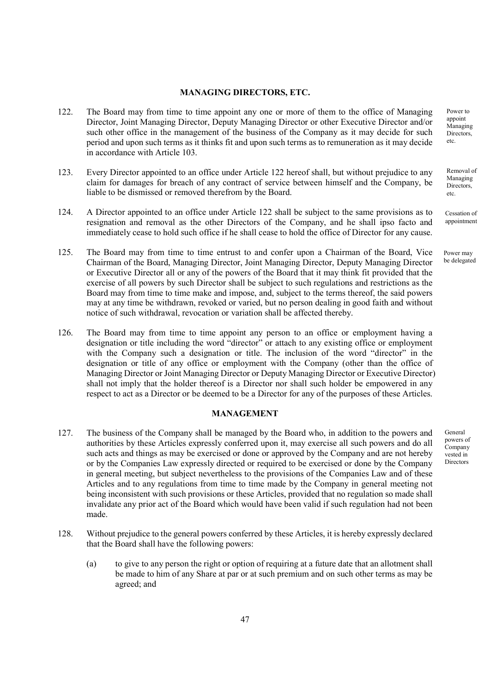#### MANAGING DIRECTORS, ETC.

- 122. The Board may from time to time appoint any one or more of them to the office of Managing Director, Joint Managing Director, Deputy Managing Director or other Executive Director and/or such other office in the management of the business of the Company as it may decide for such period and upon such terms as it thinks fit and upon such terms as to remuneration as it may decide in accordance with Article 103.
- 123. Every Director appointed to an office under Article 122 hereof shall, but without prejudice to any claim for damages for breach of any contract of service between himself and the Company, be liable to be dismissed or removed therefrom by the Board.
- 124. A Director appointed to an office under Article 122 shall be subject to the same provisions as to resignation and removal as the other Directors of the Company, and he shall ipso facto and immediately cease to hold such office if he shall cease to hold the office of Director for any cause.
- 125. The Board may from time to time entrust to and confer upon a Chairman of the Board, Vice Chairman of the Board, Managing Director, Joint Managing Director, Deputy Managing Director or Executive Director all or any of the powers of the Board that it may think fit provided that the exercise of all powers by such Director shall be subject to such regulations and restrictions as the Board may from time to time make and impose, and, subject to the terms thereof, the said powers may at any time be withdrawn, revoked or varied, but no person dealing in good faith and without notice of such withdrawal, revocation or variation shall be affected thereby.
- 126. The Board may from time to time appoint any person to an office or employment having a designation or title including the word "director" or attach to any existing office or employment with the Company such a designation or title. The inclusion of the word "director" in the designation or title of any office or employment with the Company (other than the office of Managing Director or Joint Managing Director or Deputy Managing Director or Executive Director) shall not imply that the holder thereof is a Director nor shall such holder be empowered in any respect to act as a Director or be deemed to be a Director for any of the purposes of these Articles.

### MANAGEMENT

- 127. The business of the Company shall be managed by the Board who, in addition to the powers and authorities by these Articles expressly conferred upon it, may exercise all such powers and do all such acts and things as may be exercised or done or approved by the Company and are not hereby or by the Companies Law expressly directed or required to be exercised or done by the Company in general meeting, but subject nevertheless to the provisions of the Companies Law and of these Articles and to any regulations from time to time made by the Company in general meeting not being inconsistent with such provisions or these Articles, provided that no regulation so made shall invalidate any prior act of the Board which would have been valid if such regulation had not been made.
- 128. Without prejudice to the general powers conferred by these Articles, it is hereby expressly declared that the Board shall have the following powers:
	- (a) to give to any person the right or option of requiring at a future date that an allotment shall be made to him of any Share at par or at such premium and on such other terms as may be agreed; and

Power to appoint Managing Directors, etc.

Removal of Managing Directors. etc.

Cessation of appointment

Power may be delegated

General powers of **Company** vested in Directors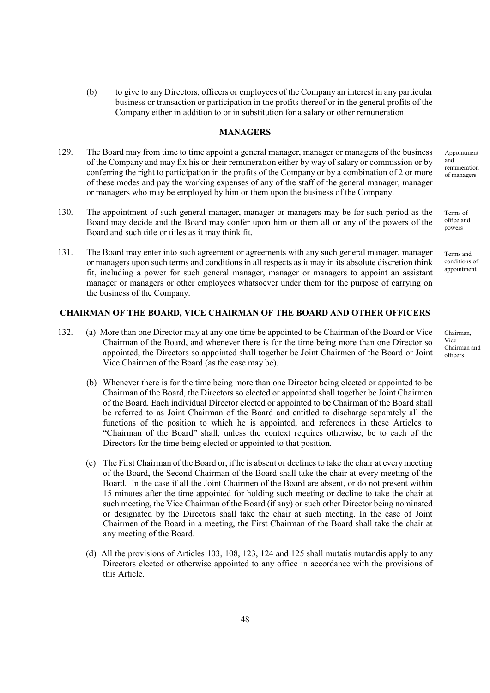(b) to give to any Directors, officers or employees of the Company an interest in any particular business or transaction or participation in the profits thereof or in the general profits of the Company either in addition to or in substitution for a salary or other remuneration.

# MANAGERS

- 129. The Board may from time to time appoint a general manager, manager or managers of the business of the Company and may fix his or their remuneration either by way of salary or commission or by conferring the right to participation in the profits of the Company or by a combination of 2 or more of these modes and pay the working expenses of any of the staff of the general manager, manager or managers who may be employed by him or them upon the business of the Company.
- 130. The appointment of such general manager, manager or managers may be for such period as the Board may decide and the Board may confer upon him or them all or any of the powers of the Board and such title or titles as it may think fit.
- 131. The Board may enter into such agreement or agreements with any such general manager, manager or managers upon such terms and conditions in all respects as it may in its absolute discretion think fit, including a power for such general manager, manager or managers to appoint an assistant manager or managers or other employees whatsoever under them for the purpose of carrying on the business of the Company.

# CHAIRMAN OF THE BOARD, VICE CHAIRMAN OF THE BOARD AND OTHER OFFICERS

- 132. (a) More than one Director may at any one time be appointed to be Chairman of the Board or Vice Chairman of the Board, and whenever there is for the time being more than one Director so appointed, the Directors so appointed shall together be Joint Chairmen of the Board or Joint Vice Chairmen of the Board (as the case may be).
	- (b) Whenever there is for the time being more than one Director being elected or appointed to be Chairman of the Board, the Directors so elected or appointed shall together be Joint Chairmen of the Board. Each individual Director elected or appointed to be Chairman of the Board shall be referred to as Joint Chairman of the Board and entitled to discharge separately all the functions of the position to which he is appointed, and references in these Articles to "Chairman of the Board" shall, unless the context requires otherwise, be to each of the Directors for the time being elected or appointed to that position.
	- (c) The First Chairman of the Board or, if he is absent or declines to take the chair at every meeting of the Board, the Second Chairman of the Board shall take the chair at every meeting of the Board. In the case if all the Joint Chairmen of the Board are absent, or do not present within 15 minutes after the time appointed for holding such meeting or decline to take the chair at such meeting, the Vice Chairman of the Board (if any) or such other Director being nominated or designated by the Directors shall take the chair at such meeting. In the case of Joint Chairmen of the Board in a meeting, the First Chairman of the Board shall take the chair at any meeting of the Board.
	- (d) All the provisions of Articles 103, 108, 123, 124 and 125 shall mutatis mutandis apply to any Directors elected or otherwise appointed to any office in accordance with the provisions of this Article.

Appointment and remuneration of managers

Terms of office and powers

Terms and conditions of appointment

Chairman, Vice Chairman and

officers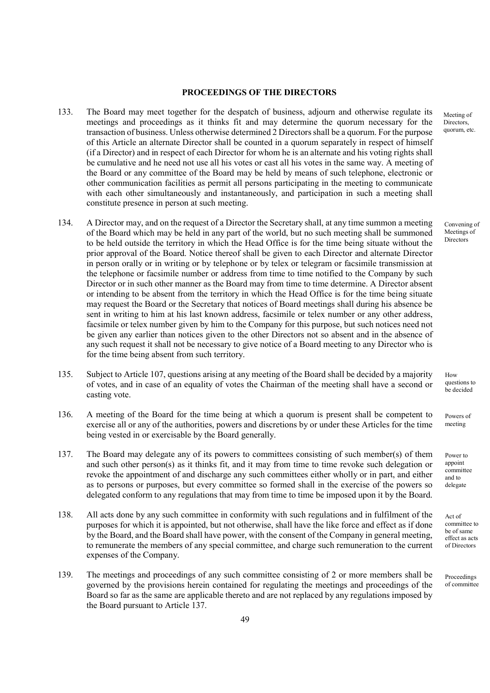#### PROCEEDINGS OF THE DIRECTORS

- 133. The Board may meet together for the despatch of business, adjourn and otherwise regulate its meetings and proceedings as it thinks fit and may determine the quorum necessary for the transaction of business. Unless otherwise determined 2 Directors shall be a quorum. For the purpose of this Article an alternate Director shall be counted in a quorum separately in respect of himself (if a Director) and in respect of each Director for whom he is an alternate and his voting rights shall be cumulative and he need not use all his votes or cast all his votes in the same way. A meeting of the Board or any committee of the Board may be held by means of such telephone, electronic or other communication facilities as permit all persons participating in the meeting to communicate with each other simultaneously and instantaneously, and participation in such a meeting shall constitute presence in person at such meeting.
- 134. A Director may, and on the request of a Director the Secretary shall, at any time summon a meeting of the Board which may be held in any part of the world, but no such meeting shall be summoned to be held outside the territory in which the Head Office is for the time being situate without the prior approval of the Board. Notice thereof shall be given to each Director and alternate Director in person orally or in writing or by telephone or by telex or telegram or facsimile transmission at the telephone or facsimile number or address from time to time notified to the Company by such Director or in such other manner as the Board may from time to time determine. A Director absent or intending to be absent from the territory in which the Head Office is for the time being situate may request the Board or the Secretary that notices of Board meetings shall during his absence be sent in writing to him at his last known address, facsimile or telex number or any other address, facsimile or telex number given by him to the Company for this purpose, but such notices need not be given any earlier than notices given to the other Directors not so absent and in the absence of any such request it shall not be necessary to give notice of a Board meeting to any Director who is for the time being absent from such territory.
- 135. Subject to Article 107, questions arising at any meeting of the Board shall be decided by a majority of votes, and in case of an equality of votes the Chairman of the meeting shall have a second or casting vote.
- 136. A meeting of the Board for the time being at which a quorum is present shall be competent to exercise all or any of the authorities, powers and discretions by or under these Articles for the time being vested in or exercisable by the Board generally.
- 137. The Board may delegate any of its powers to committees consisting of such member(s) of them and such other person(s) as it thinks fit, and it may from time to time revoke such delegation or revoke the appointment of and discharge any such committees either wholly or in part, and either as to persons or purposes, but every committee so formed shall in the exercise of the powers so delegated conform to any regulations that may from time to time be imposed upon it by the Board.
- 138. All acts done by any such committee in conformity with such regulations and in fulfilment of the purposes for which it is appointed, but not otherwise, shall have the like force and effect as if done by the Board, and the Board shall have power, with the consent of the Company in general meeting, to remunerate the members of any special committee, and charge such remuneration to the current expenses of the Company.
- 139. The meetings and proceedings of any such committee consisting of 2 or more members shall be governed by the provisions herein contained for regulating the meetings and proceedings of the Board so far as the same are applicable thereto and are not replaced by any regulations imposed by the Board pursuant to Article 137.

Meeting of Directors, quorum, etc.

Convening of Meetings of Directors

How questions to be decided

Powers of meeting

Power to appoint committee and to delegate

Act of committee to be of same effect as acts of Directors

**Proceedings** of committee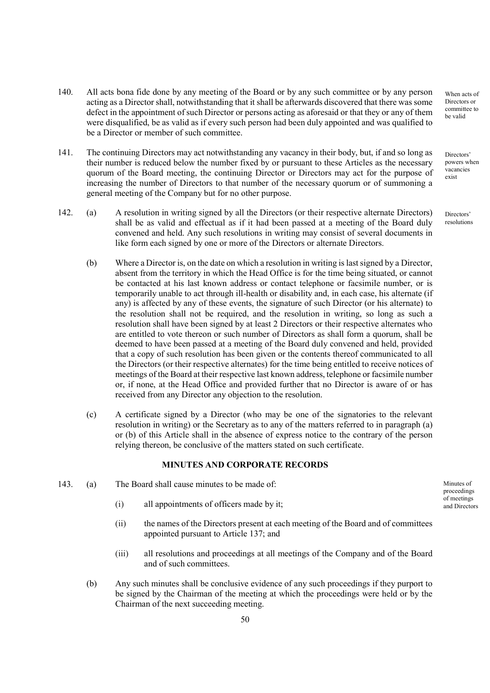- 140. All acts bona fide done by any meeting of the Board or by any such committee or by any person acting as a Director shall, notwithstanding that it shall be afterwards discovered that there was some defect in the appointment of such Director or persons acting as aforesaid or that they or any of them were disqualified, be as valid as if every such person had been duly appointed and was qualified to be a Director or member of such committee.
- 141. The continuing Directors may act notwithstanding any vacancy in their body, but, if and so long as their number is reduced below the number fixed by or pursuant to these Articles as the necessary quorum of the Board meeting, the continuing Director or Directors may act for the purpose of increasing the number of Directors to that number of the necessary quorum or of summoning a general meeting of the Company but for no other purpose.
- 142. (a) A resolution in writing signed by all the Directors (or their respective alternate Directors) shall be as valid and effectual as if it had been passed at a meeting of the Board duly convened and held. Any such resolutions in writing may consist of several documents in like form each signed by one or more of the Directors or alternate Directors.
	- (b) Where a Director is, on the date on which a resolution in writing is last signed by a Director, absent from the territory in which the Head Office is for the time being situated, or cannot be contacted at his last known address or contact telephone or facsimile number, or is temporarily unable to act through ill-health or disability and, in each case, his alternate (if any) is affected by any of these events, the signature of such Director (or his alternate) to the resolution shall not be required, and the resolution in writing, so long as such a resolution shall have been signed by at least 2 Directors or their respective alternates who are entitled to vote thereon or such number of Directors as shall form a quorum, shall be deemed to have been passed at a meeting of the Board duly convened and held, provided that a copy of such resolution has been given or the contents thereof communicated to all the Directors (or their respective alternates) for the time being entitled to receive notices of meetings of the Board at their respective last known address, telephone or facsimile number or, if none, at the Head Office and provided further that no Director is aware of or has received from any Director any objection to the resolution.
	- (c) A certificate signed by a Director (who may be one of the signatories to the relevant resolution in writing) or the Secretary as to any of the matters referred to in paragraph (a) or (b) of this Article shall in the absence of express notice to the contrary of the person relying thereon, be conclusive of the matters stated on such certificate.

## MINUTES AND CORPORATE RECORDS

- 143. (a) The Board shall cause minutes to be made of:
	- (i) all appointments of officers made by it;
	- (ii) the names of the Directors present at each meeting of the Board and of committees appointed pursuant to Article 137; and
	- (iii) all resolutions and proceedings at all meetings of the Company and of the Board and of such committees.
	- (b) Any such minutes shall be conclusive evidence of any such proceedings if they purport to be signed by the Chairman of the meeting at which the proceedings were held or by the Chairman of the next succeeding meeting.

When acts of Directors or committee to be valid

Directors' powers when vacancies exist

Directors' resolutions

Minutes of proceedings of meetings and Directors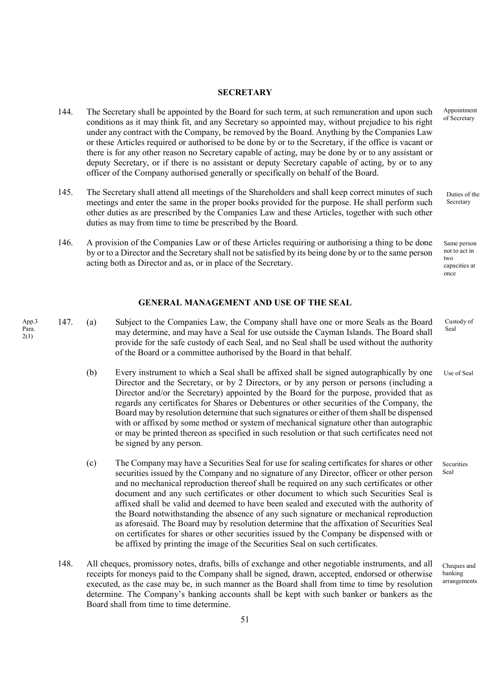#### **SECRETARY**

- 144. The Secretary shall be appointed by the Board for such term, at such remuneration and upon such conditions as it may think fit, and any Secretary so appointed may, without prejudice to his right under any contract with the Company, be removed by the Board. Anything by the Companies Law or these Articles required or authorised to be done by or to the Secretary, if the office is vacant or there is for any other reason no Secretary capable of acting, may be done by or to any assistant or deputy Secretary, or if there is no assistant or deputy Secretary capable of acting, by or to any officer of the Company authorised generally or specifically on behalf of the Board.
- 145. The Secretary shall attend all meetings of the Shareholders and shall keep correct minutes of such meetings and enter the same in the proper books provided for the purpose. He shall perform such other duties as are prescribed by the Companies Law and these Articles, together with such other duties as may from time to time be prescribed by the Board.
- 146. A provision of the Companies Law or of these Articles requiring or authorising a thing to be done by or to a Director and the Secretary shall not be satisfied by its being done by or to the same person acting both as Director and as, or in place of the Secretary.

## GENERAL MANAGEMENT AND USE OF THE SEAL

App.3 Para. 2(1)

- 147. (a) Subject to the Companies Law, the Company shall have one or more Seals as the Board may determine, and may have a Seal for use outside the Cayman Islands. The Board shall provide for the safe custody of each Seal, and no Seal shall be used without the authority of the Board or a committee authorised by the Board in that behalf. Custody of Seal
	- (b) Every instrument to which a Seal shall be affixed shall be signed autographically by one Director and the Secretary, or by 2 Directors, or by any person or persons (including a Director and/or the Secretary) appointed by the Board for the purpose, provided that as regards any certificates for Shares or Debentures or other securities of the Company, the Board may by resolution determine that such signatures or either of them shall be dispensed with or affixed by some method or system of mechanical signature other than autographic or may be printed thereon as specified in such resolution or that such certificates need not be signed by any person.
	- (c) The Company may have a Securities Seal for use for sealing certificates for shares or other securities issued by the Company and no signature of any Director, officer or other person and no mechanical reproduction thereof shall be required on any such certificates or other document and any such certificates or other document to which such Securities Seal is affixed shall be valid and deemed to have been sealed and executed with the authority of the Board notwithstanding the absence of any such signature or mechanical reproduction as aforesaid. The Board may by resolution determine that the affixation of Securities Seal on certificates for shares or other securities issued by the Company be dispensed with or be affixed by printing the image of the Securities Seal on such certificates.
	- 148. All cheques, promissory notes, drafts, bills of exchange and other negotiable instruments, and all receipts for moneys paid to the Company shall be signed, drawn, accepted, endorsed or otherwise executed, as the case may be, in such manner as the Board shall from time to time by resolution determine. The Company's banking accounts shall be kept with such banker or bankers as the Board shall from time to time determine.

Appointment of Secretary

Duties of the Secretary

Same person not to act in two capacities at once

Use of Seal

Securities Seal

Cheques and banking arrangements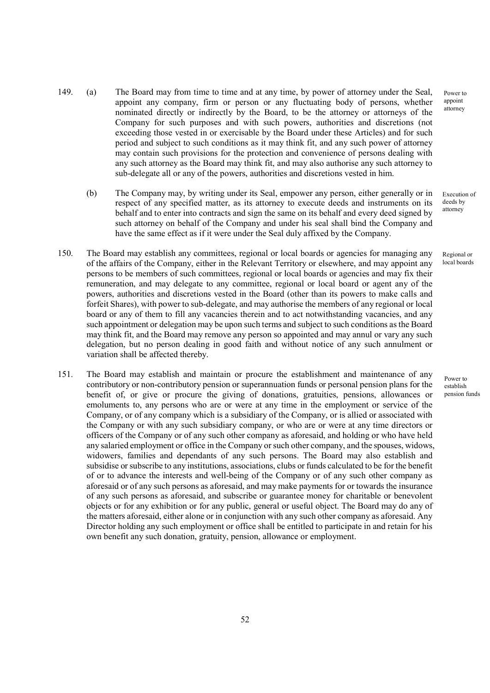Power to appoint attorney

Execution of deeds by attorney

Regional or local boards

Power to establish pension funds

- 149. (a) The Board may from time to time and at any time, by power of attorney under the Seal, appoint any company, firm or person or any fluctuating body of persons, whether nominated directly or indirectly by the Board, to be the attorney or attorneys of the Company for such purposes and with such powers, authorities and discretions (not exceeding those vested in or exercisable by the Board under these Articles) and for such period and subject to such conditions as it may think fit, and any such power of attorney may contain such provisions for the protection and convenience of persons dealing with any such attorney as the Board may think fit, and may also authorise any such attorney to sub-delegate all or any of the powers, authorities and discretions vested in him.
	- (b) The Company may, by writing under its Seal, empower any person, either generally or in respect of any specified matter, as its attorney to execute deeds and instruments on its behalf and to enter into contracts and sign the same on its behalf and every deed signed by such attorney on behalf of the Company and under his seal shall bind the Company and have the same effect as if it were under the Seal duly affixed by the Company.
- 150. The Board may establish any committees, regional or local boards or agencies for managing any of the affairs of the Company, either in the Relevant Territory or elsewhere, and may appoint any persons to be members of such committees, regional or local boards or agencies and may fix their remuneration, and may delegate to any committee, regional or local board or agent any of the powers, authorities and discretions vested in the Board (other than its powers to make calls and forfeit Shares), with power to sub-delegate, and may authorise the members of any regional or local board or any of them to fill any vacancies therein and to act notwithstanding vacancies, and any such appointment or delegation may be upon such terms and subject to such conditions as the Board may think fit, and the Board may remove any person so appointed and may annul or vary any such delegation, but no person dealing in good faith and without notice of any such annulment or variation shall be affected thereby.
- 151. The Board may establish and maintain or procure the establishment and maintenance of any contributory or non-contributory pension or superannuation funds or personal pension plans for the benefit of, or give or procure the giving of donations, gratuities, pensions, allowances or emoluments to, any persons who are or were at any time in the employment or service of the Company, or of any company which is a subsidiary of the Company, or is allied or associated with the Company or with any such subsidiary company, or who are or were at any time directors or officers of the Company or of any such other company as aforesaid, and holding or who have held any salaried employment or office in the Company or such other company, and the spouses, widows, widowers, families and dependants of any such persons. The Board may also establish and subsidise or subscribe to any institutions, associations, clubs or funds calculated to be for the benefit of or to advance the interests and well-being of the Company or of any such other company as aforesaid or of any such persons as aforesaid, and may make payments for or towards the insurance of any such persons as aforesaid, and subscribe or guarantee money for charitable or benevolent objects or for any exhibition or for any public, general or useful object. The Board may do any of the matters aforesaid, either alone or in conjunction with any such other company as aforesaid. Any Director holding any such employment or office shall be entitled to participate in and retain for his own benefit any such donation, gratuity, pension, allowance or employment.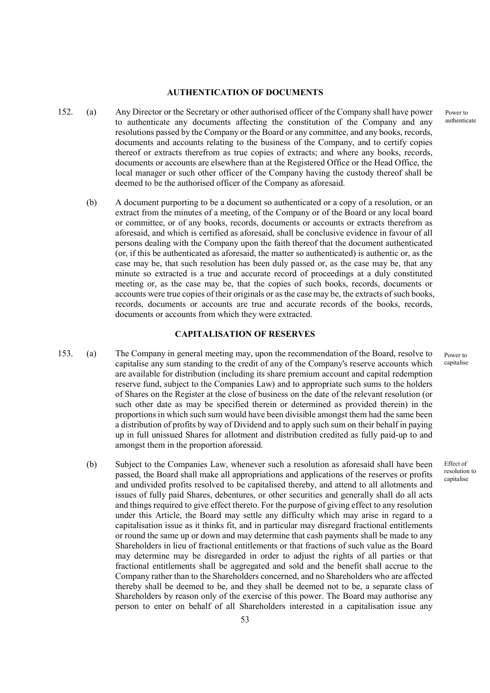#### AUTHENTICATION OF DOCUMENTS

- 152. (a) Any Director or the Secretary or other authorised officer of the Company shall have power to authenticate any documents affecting the constitution of the Company and any resolutions passed by the Company or the Board or any committee, and any books, records, documents and accounts relating to the business of the Company, and to certify copies thereof or extracts therefrom as true copies of extracts; and where any books, records, documents or accounts are elsewhere than at the Registered Office or the Head Office, the local manager or such other officer of the Company having the custody thereof shall be deemed to be the authorised officer of the Company as aforesaid.
	- (b) A document purporting to be a document so authenticated or a copy of a resolution, or an extract from the minutes of a meeting, of the Company or of the Board or any local board or committee, or of any books, records, documents or accounts or extracts therefrom as aforesaid, and which is certified as aforesaid, shall be conclusive evidence in favour of all persons dealing with the Company upon the faith thereof that the document authenticated (or, if this be authenticated as aforesaid, the matter so authenticated) is authentic or, as the case may be, that such resolution has been duly passed or, as the case may be, that any minute so extracted is a true and accurate record of proceedings at a duly constituted meeting or, as the case may be, that the copies of such books, records, documents or accounts were true copies of their originals or as the case may be, the extracts of such books, records, documents or accounts are true and accurate records of the books, records, documents or accounts from which they were extracted.

# CAPITALISATION OF RESERVES

- 153. (a) The Company in general meeting may, upon the recommendation of the Board, resolve to capitalise any sum standing to the credit of any of the Company's reserve accounts which are available for distribution (including its share premium account and capital redemption reserve fund, subject to the Companies Law) and to appropriate such sums to the holders of Shares on the Register at the close of business on the date of the relevant resolution (or such other date as may be specified therein or determined as provided therein) in the proportions in which such sum would have been divisible amongst them had the same been a distribution of profits by way of Dividend and to apply such sum on their behalf in paying up in full unissued Shares for allotment and distribution credited as fully paid-up to and amongst them in the proportion aforesaid.
	- (b) Subject to the Companies Law, whenever such a resolution as aforesaid shall have been passed, the Board shall make all appropriations and applications of the reserves or profits and undivided profits resolved to be capitalised thereby, and attend to all allotments and issues of fully paid Shares, debentures, or other securities and generally shall do all acts and things required to give effect thereto. For the purpose of giving effect to any resolution under this Article, the Board may settle any difficulty which may arise in regard to a capitalisation issue as it thinks fit, and in particular may disregard fractional entitlements or round the same up or down and may determine that cash payments shall be made to any Shareholders in lieu of fractional entitlements or that fractions of such value as the Board may determine may be disregarded in order to adjust the rights of all parties or that fractional entitlements shall be aggregated and sold and the benefit shall accrue to the Company rather than to the Shareholders concerned, and no Shareholders who are affected thereby shall be deemed to be, and they shall be deemed not to be, a separate class of Shareholders by reason only of the exercise of this power. The Board may authorise any person to enter on behalf of all Shareholders interested in a capitalisation issue any

Power to authenticate

Effect of resolution to capitalise

Power to capitalise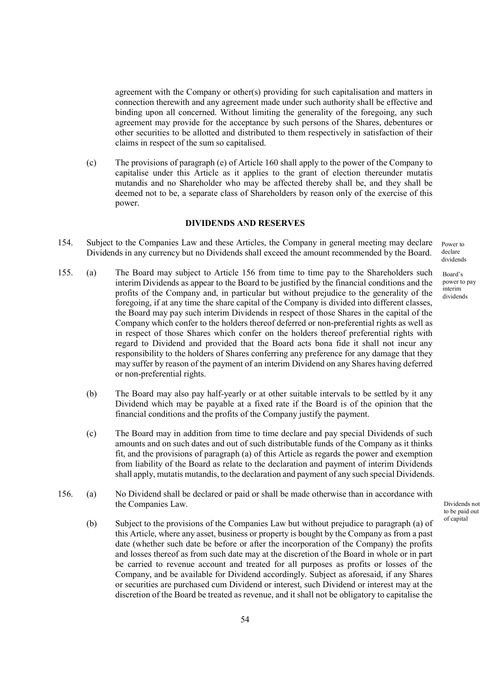agreement with the Company or other(s) providing for such capitalisation and matters in connection therewith and any agreement made under such authority shall be effective and binding upon all concerned. Without limiting the generality of the foregoing, any such agreement may provide for the acceptance by such persons of the Shares, debentures or other securities to be allotted and distributed to them respectively in satisfaction of their claims in respect of the sum so capitalised.

(c) The provisions of paragraph (e) of Article 160 shall apply to the power of the Company to capitalise under this Article as it applies to the grant of election thereunder mutatis mutandis and no Shareholder who may be affected thereby shall be, and they shall be deemed not to be, a separate class of Shareholders by reason only of the exercise of this power.

## DIVIDENDS AND RESERVES

- 154. Subject to the Companies Law and these Articles, the Company in general meeting may declare Dividends in any currency but no Dividends shall exceed the amount recommended by the Board.
- 155. (a) The Board may subject to Article 156 from time to time pay to the Shareholders such interim Dividends as appear to the Board to be justified by the financial conditions and the profits of the Company and, in particular but without prejudice to the generality of the foregoing, if at any time the share capital of the Company is divided into different classes, the Board may pay such interim Dividends in respect of those Shares in the capital of the Company which confer to the holders thereof deferred or non-preferential rights as well as in respect of those Shares which confer on the holders thereof preferential rights with regard to Dividend and provided that the Board acts bona fide it shall not incur any responsibility to the holders of Shares conferring any preference for any damage that they may suffer by reason of the payment of an interim Dividend on any Shares having deferred or non-preferential rights.
	- (b) The Board may also pay half-yearly or at other suitable intervals to be settled by it any Dividend which may be payable at a fixed rate if the Board is of the opinion that the financial conditions and the profits of the Company justify the payment.
	- (c) The Board may in addition from time to time declare and pay special Dividends of such amounts and on such dates and out of such distributable funds of the Company as it thinks fit, and the provisions of paragraph (a) of this Article as regards the power and exemption from liability of the Board as relate to the declaration and payment of interim Dividends shall apply, mutatis mutandis, to the declaration and payment of any such special Dividends.
- 156. (a) No Dividend shall be declared or paid or shall be made otherwise than in accordance with the Companies Law.
	- (b) Subject to the provisions of the Companies Law but without prejudice to paragraph (a) of this Article, where any asset, business or property is bought by the Company as from a past date (whether such date be before or after the incorporation of the Company) the profits and losses thereof as from such date may at the discretion of the Board in whole or in part be carried to revenue account and treated for all purposes as profits or losses of the Company, and be available for Dividend accordingly. Subject as aforesaid, if any Shares or securities are purchased cum Dividend or interest, such Dividend or interest may at the discretion of the Board be treated as revenue, and it shall not be obligatory to capitalise the

Power to declare dividends

Board's power to pay interim dividends

Dividends not to be paid out of capital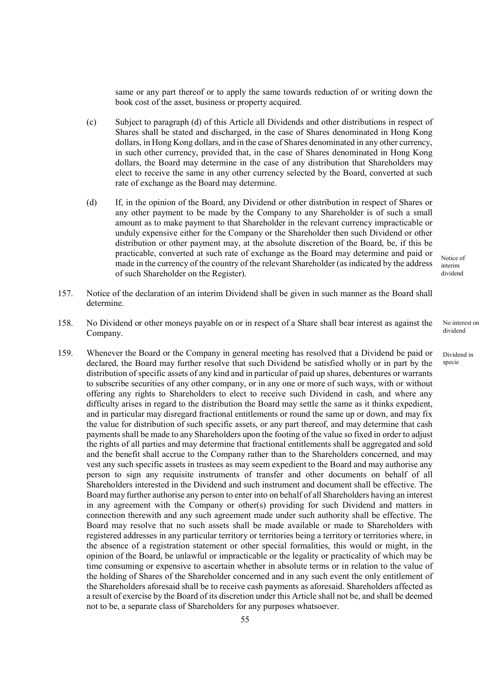same or any part thereof or to apply the same towards reduction of or writing down the book cost of the asset, business or property acquired.

- (c) Subject to paragraph (d) of this Article all Dividends and other distributions in respect of Shares shall be stated and discharged, in the case of Shares denominated in Hong Kong dollars, in Hong Kong dollars, and in the case of Shares denominated in any other currency, in such other currency, provided that, in the case of Shares denominated in Hong Kong dollars, the Board may determine in the case of any distribution that Shareholders may elect to receive the same in any other currency selected by the Board, converted at such rate of exchange as the Board may determine.
- (d) If, in the opinion of the Board, any Dividend or other distribution in respect of Shares or any other payment to be made by the Company to any Shareholder is of such a small amount as to make payment to that Shareholder in the relevant currency impracticable or unduly expensive either for the Company or the Shareholder then such Dividend or other distribution or other payment may, at the absolute discretion of the Board, be, if this be practicable, converted at such rate of exchange as the Board may determine and paid or made in the currency of the country of the relevant Shareholder (as indicated by the address of such Shareholder on the Register).
- 157. Notice of the declaration of an interim Dividend shall be given in such manner as the Board shall determine.
- 158. No Dividend or other moneys payable on or in respect of a Share shall bear interest as against the Company.
- 159. Whenever the Board or the Company in general meeting has resolved that a Dividend be paid or declared, the Board may further resolve that such Dividend be satisfied wholly or in part by the distribution of specific assets of any kind and in particular of paid up shares, debentures or warrants to subscribe securities of any other company, or in any one or more of such ways, with or without offering any rights to Shareholders to elect to receive such Dividend in cash, and where any difficulty arises in regard to the distribution the Board may settle the same as it thinks expedient, and in particular may disregard fractional entitlements or round the same up or down, and may fix the value for distribution of such specific assets, or any part thereof, and may determine that cash payments shall be made to any Shareholders upon the footing of the value so fixed in order to adjust the rights of all parties and may determine that fractional entitlements shall be aggregated and sold and the benefit shall accrue to the Company rather than to the Shareholders concerned, and may vest any such specific assets in trustees as may seem expedient to the Board and may authorise any person to sign any requisite instruments of transfer and other documents on behalf of all Shareholders interested in the Dividend and such instrument and document shall be effective. The Board may further authorise any person to enter into on behalf of all Shareholders having an interest in any agreement with the Company or other(s) providing for such Dividend and matters in connection therewith and any such agreement made under such authority shall be effective. The Board may resolve that no such assets shall be made available or made to Shareholders with registered addresses in any particular territory or territories being a territory or territories where, in the absence of a registration statement or other special formalities, this would or might, in the opinion of the Board, be unlawful or impracticable or the legality or practicality of which may be time consuming or expensive to ascertain whether in absolute terms or in relation to the value of the holding of Shares of the Shareholder concerned and in any such event the only entitlement of the Shareholders aforesaid shall be to receive cash payments as aforesaid. Shareholders affected as a result of exercise by the Board of its discretion under this Article shall not be, and shall be deemed not to be, a separate class of Shareholders for any purposes whatsoever.

Notice of interim dividend

> No interest on dividend

Dividend in specie

55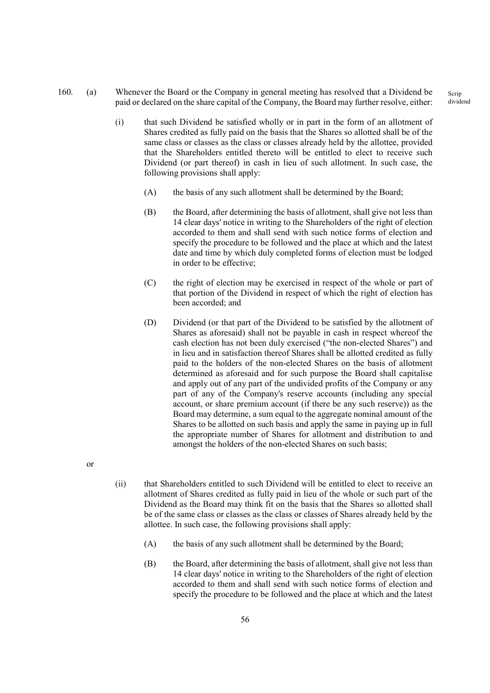160. (a) Whenever the Board or the Company in general meeting has resolved that a Dividend be paid or declared on the share capital of the Company, the Board may further resolve, either:

- (i) that such Dividend be satisfied wholly or in part in the form of an allotment of Shares credited as fully paid on the basis that the Shares so allotted shall be of the same class or classes as the class or classes already held by the allottee, provided that the Shareholders entitled thereto will be entitled to elect to receive such Dividend (or part thereof) in cash in lieu of such allotment. In such case, the following provisions shall apply:
	- (A) the basis of any such allotment shall be determined by the Board;
	- (B) the Board, after determining the basis of allotment, shall give not less than 14 clear days' notice in writing to the Shareholders of the right of election accorded to them and shall send with such notice forms of election and specify the procedure to be followed and the place at which and the latest date and time by which duly completed forms of election must be lodged in order to be effective;
	- (C) the right of election may be exercised in respect of the whole or part of that portion of the Dividend in respect of which the right of election has been accorded; and
	- (D) Dividend (or that part of the Dividend to be satisfied by the allotment of Shares as aforesaid) shall not be payable in cash in respect whereof the cash election has not been duly exercised ("the non-elected Shares") and in lieu and in satisfaction thereof Shares shall be allotted credited as fully paid to the holders of the non-elected Shares on the basis of allotment determined as aforesaid and for such purpose the Board shall capitalise and apply out of any part of the undivided profits of the Company or any part of any of the Company's reserve accounts (including any special account, or share premium account (if there be any such reserve)) as the Board may determine, a sum equal to the aggregate nominal amount of the Shares to be allotted on such basis and apply the same in paying up in full the appropriate number of Shares for allotment and distribution to and amongst the holders of the non-elected Shares on such basis;
- or
- (ii) that Shareholders entitled to such Dividend will be entitled to elect to receive an allotment of Shares credited as fully paid in lieu of the whole or such part of the Dividend as the Board may think fit on the basis that the Shares so allotted shall be of the same class or classes as the class or classes of Shares already held by the allottee. In such case, the following provisions shall apply:
	- (A) the basis of any such allotment shall be determined by the Board;
	- (B) the Board, after determining the basis of allotment, shall give not less than 14 clear days' notice in writing to the Shareholders of the right of election accorded to them and shall send with such notice forms of election and specify the procedure to be followed and the place at which and the latest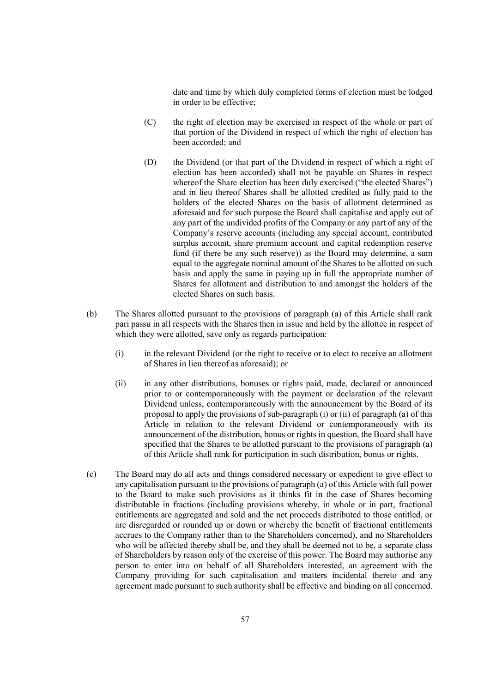date and time by which duly completed forms of election must be lodged in order to be effective;

- (C) the right of election may be exercised in respect of the whole or part of that portion of the Dividend in respect of which the right of election has been accorded; and
- (D) the Dividend (or that part of the Dividend in respect of which a right of election has been accorded) shall not be payable on Shares in respect whereof the Share election has been duly exercised ("the elected Shares") and in lieu thereof Shares shall be allotted credited as fully paid to the holders of the elected Shares on the basis of allotment determined as aforesaid and for such purpose the Board shall capitalise and apply out of any part of the undivided profits of the Company or any part of any of the Company's reserve accounts (including any special account, contributed surplus account, share premium account and capital redemption reserve fund (if there be any such reserve)) as the Board may determine, a sum equal to the aggregate nominal amount of the Shares to be allotted on such basis and apply the same in paying up in full the appropriate number of Shares for allotment and distribution to and amongst the holders of the elected Shares on such basis.
- (b) The Shares allotted pursuant to the provisions of paragraph (a) of this Article shall rank pari passu in all respects with the Shares then in issue and held by the allottee in respect of which they were allotted, save only as regards participation:
	- (i) in the relevant Dividend (or the right to receive or to elect to receive an allotment of Shares in lieu thereof as aforesaid); or
	- (ii) in any other distributions, bonuses or rights paid, made, declared or announced prior to or contemporaneously with the payment or declaration of the relevant Dividend unless, contemporaneously with the announcement by the Board of its proposal to apply the provisions of sub-paragraph (i) or (ii) of paragraph (a) of this Article in relation to the relevant Dividend or contemporaneously with its announcement of the distribution, bonus or rights in question, the Board shall have specified that the Shares to be allotted pursuant to the provisions of paragraph (a) of this Article shall rank for participation in such distribution, bonus or rights.
- (c) The Board may do all acts and things considered necessary or expedient to give effect to any capitalisation pursuant to the provisions of paragraph (a) of this Article with full power to the Board to make such provisions as it thinks fit in the case of Shares becoming distributable in fractions (including provisions whereby, in whole or in part, fractional entitlements are aggregated and sold and the net proceeds distributed to those entitled, or are disregarded or rounded up or down or whereby the benefit of fractional entitlements accrues to the Company rather than to the Shareholders concerned), and no Shareholders who will be affected thereby shall be, and they shall be deemed not to be, a separate class of Shareholders by reason only of the exercise of this power. The Board may authorise any person to enter into on behalf of all Shareholders interested, an agreement with the Company providing for such capitalisation and matters incidental thereto and any agreement made pursuant to such authority shall be effective and binding on all concerned.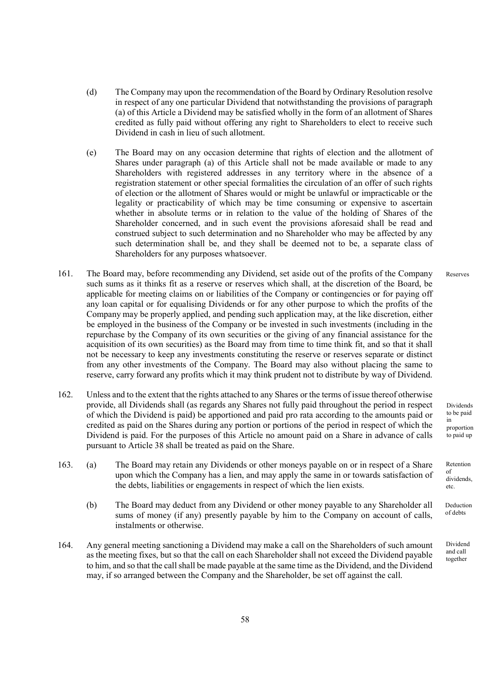- (d) The Company may upon the recommendation of the Board by Ordinary Resolution resolve in respect of any one particular Dividend that notwithstanding the provisions of paragraph (a) of this Article a Dividend may be satisfied wholly in the form of an allotment of Shares credited as fully paid without offering any right to Shareholders to elect to receive such Dividend in cash in lieu of such allotment.
- (e) The Board may on any occasion determine that rights of election and the allotment of Shares under paragraph (a) of this Article shall not be made available or made to any Shareholders with registered addresses in any territory where in the absence of a registration statement or other special formalities the circulation of an offer of such rights of election or the allotment of Shares would or might be unlawful or impracticable or the legality or practicability of which may be time consuming or expensive to ascertain whether in absolute terms or in relation to the value of the holding of Shares of the Shareholder concerned, and in such event the provisions aforesaid shall be read and construed subject to such determination and no Shareholder who may be affected by any such determination shall be, and they shall be deemed not to be, a separate class of Shareholders for any purposes whatsoever.
- 161. The Board may, before recommending any Dividend, set aside out of the profits of the Company such sums as it thinks fit as a reserve or reserves which shall, at the discretion of the Board, be applicable for meeting claims on or liabilities of the Company or contingencies or for paying off any loan capital or for equalising Dividends or for any other purpose to which the profits of the Company may be properly applied, and pending such application may, at the like discretion, either be employed in the business of the Company or be invested in such investments (including in the repurchase by the Company of its own securities or the giving of any financial assistance for the acquisition of its own securities) as the Board may from time to time think fit, and so that it shall not be necessary to keep any investments constituting the reserve or reserves separate or distinct from any other investments of the Company. The Board may also without placing the same to reserve, carry forward any profits which it may think prudent not to distribute by way of Dividend. Reserves
- 162. Unless and to the extent that the rights attached to any Shares or the terms of issue thereof otherwise provide, all Dividends shall (as regards any Shares not fully paid throughout the period in respect of which the Dividend is paid) be apportioned and paid pro rata according to the amounts paid or credited as paid on the Shares during any portion or portions of the period in respect of which the Dividend is paid. For the purposes of this Article no amount paid on a Share in advance of calls pursuant to Article 38 shall be treated as paid on the Share.
- 163. (a) The Board may retain any Dividends or other moneys payable on or in respect of a Share upon which the Company has a lien, and may apply the same in or towards satisfaction of the debts, liabilities or engagements in respect of which the lien exists.
	- (b) The Board may deduct from any Dividend or other money payable to any Shareholder all sums of money (if any) presently payable by him to the Company on account of calls, instalments or otherwise.
- 164. Any general meeting sanctioning a Dividend may make a call on the Shareholders of such amount as the meeting fixes, but so that the call on each Shareholder shall not exceed the Dividend payable to him, and so that the call shall be made payable at the same time as the Dividend, and the Dividend may, if so arranged between the Company and the Shareholder, be set off against the call.

Dividends to be paid in proportion to paid up

Retention of dividends, etc.

Deduction of debts

Dividend and call together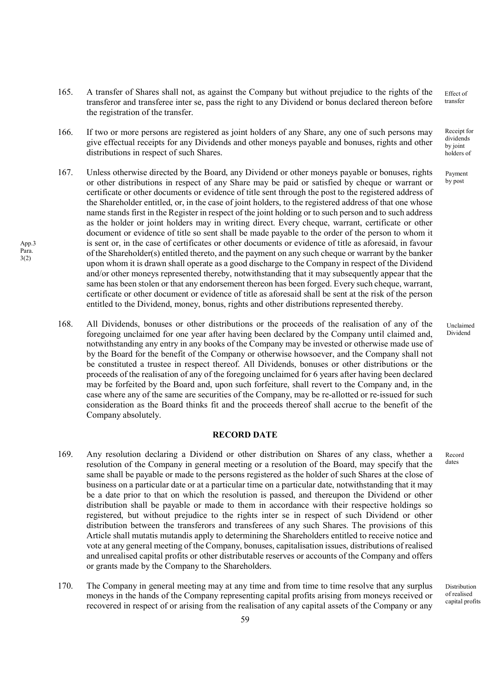- 165. A transfer of Shares shall not, as against the Company but without prejudice to the rights of the transferor and transferee inter se, pass the right to any Dividend or bonus declared thereon before the registration of the transfer. Effect of
- 166. If two or more persons are registered as joint holders of any Share, any one of such persons may give effectual receipts for any Dividends and other moneys payable and bonuses, rights and other distributions in respect of such Shares.
- 167. Unless otherwise directed by the Board, any Dividend or other moneys payable or bonuses, rights or other distributions in respect of any Share may be paid or satisfied by cheque or warrant or certificate or other documents or evidence of title sent through the post to the registered address of the Shareholder entitled, or, in the case of joint holders, to the registered address of that one whose name stands first in the Register in respect of the joint holding or to such person and to such address as the holder or joint holders may in writing direct. Every cheque, warrant, certificate or other document or evidence of title so sent shall be made payable to the order of the person to whom it is sent or, in the case of certificates or other documents or evidence of title as aforesaid, in favour of the Shareholder(s) entitled thereto, and the payment on any such cheque or warrant by the banker upon whom it is drawn shall operate as a good discharge to the Company in respect of the Dividend and/or other moneys represented thereby, notwithstanding that it may subsequently appear that the same has been stolen or that any endorsement thereon has been forged. Every such cheque, warrant, certificate or other document or evidence of title as aforesaid shall be sent at the risk of the person entitled to the Dividend, money, bonus, rights and other distributions represented thereby.

App.3 Para. 3(2)

> 168. All Dividends, bonuses or other distributions or the proceeds of the realisation of any of the foregoing unclaimed for one year after having been declared by the Company until claimed and, notwithstanding any entry in any books of the Company may be invested or otherwise made use of by the Board for the benefit of the Company or otherwise howsoever, and the Company shall not be constituted a trustee in respect thereof. All Dividends, bonuses or other distributions or the proceeds of the realisation of any of the foregoing unclaimed for 6 years after having been declared may be forfeited by the Board and, upon such forfeiture, shall revert to the Company and, in the case where any of the same are securities of the Company, may be re-allotted or re-issued for such consideration as the Board thinks fit and the proceeds thereof shall accrue to the benefit of the Company absolutely.

## RECORD DATE

- 169. Any resolution declaring a Dividend or other distribution on Shares of any class, whether a resolution of the Company in general meeting or a resolution of the Board, may specify that the same shall be payable or made to the persons registered as the holder of such Shares at the close of business on a particular date or at a particular time on a particular date, notwithstanding that it may be a date prior to that on which the resolution is passed, and thereupon the Dividend or other distribution shall be payable or made to them in accordance with their respective holdings so registered, but without prejudice to the rights inter se in respect of such Dividend or other distribution between the transferors and transferees of any such Shares. The provisions of this Article shall mutatis mutandis apply to determining the Shareholders entitled to receive notice and vote at any general meeting of the Company, bonuses, capitalisation issues, distributions of realised and unrealised capital profits or other distributable reserves or accounts of the Company and offers or grants made by the Company to the Shareholders.
- 170. The Company in general meeting may at any time and from time to time resolve that any surplus moneys in the hands of the Company representing capital profits arising from moneys received or recovered in respect of or arising from the realisation of any capital assets of the Company or any

transfer

Receipt for dividends by joint holders of

Payment by post

Unclaimed Dividend

Record dates

Distribution of realised capital profits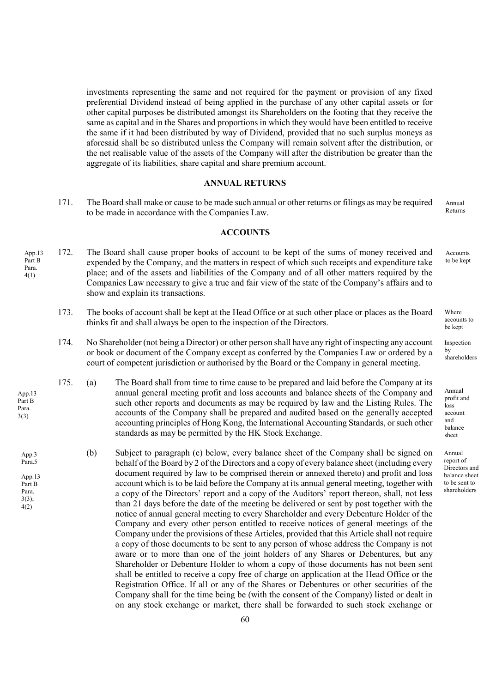investments representing the same and not required for the payment or provision of any fixed preferential Dividend instead of being applied in the purchase of any other capital assets or for other capital purposes be distributed amongst its Shareholders on the footing that they receive the same as capital and in the Shares and proportions in which they would have been entitled to receive the same if it had been distributed by way of Dividend, provided that no such surplus moneys as aforesaid shall be so distributed unless the Company will remain solvent after the distribution, or the net realisable value of the assets of the Company will after the distribution be greater than the aggregate of its liabilities, share capital and share premium account.

#### ANNUAL RETURNS

171. The Board shall make or cause to be made such annual or other returns or filings as may be required to be made in accordance with the Companies Law. Annual Returns

#### ACCOUNTS

- 172. The Board shall cause proper books of account to be kept of the sums of money received and expended by the Company, and the matters in respect of which such receipts and expenditure take place; and of the assets and liabilities of the Company and of all other matters required by the Companies Law necessary to give a true and fair view of the state of the Company's affairs and to show and explain its transactions. App.13 Part B Para. 4(1)
	- 173. The books of account shall be kept at the Head Office or at such other place or places as the Board thinks fit and shall always be open to the inspection of the Directors.
	- 174. No Shareholder (not being a Director) or other person shall have any right of inspecting any account or book or document of the Company except as conferred by the Companies Law or ordered by a court of competent jurisdiction or authorised by the Board or the Company in general meeting.
	- 175. (a) The Board shall from time to time cause to be prepared and laid before the Company at its annual general meeting profit and loss accounts and balance sheets of the Company and such other reports and documents as may be required by law and the Listing Rules. The accounts of the Company shall be prepared and audited based on the generally accepted accounting principles of Hong Kong, the International Accounting Standards, or such other standards as may be permitted by the HK Stock Exchange.

App.13 Part B Para. 3(3)

> (b) Subject to paragraph (c) below, every balance sheet of the Company shall be signed on behalf of the Board by 2 of the Directors and a copy of every balance sheet (including every document required by law to be comprised therein or annexed thereto) and profit and loss account which is to be laid before the Company at its annual general meeting, together with a copy of the Directors' report and a copy of the Auditors' report thereon, shall, not less than 21 days before the date of the meeting be delivered or sent by post together with the notice of annual general meeting to every Shareholder and every Debenture Holder of the Company and every other person entitled to receive notices of general meetings of the Company under the provisions of these Articles, provided that this Article shall not require a copy of those documents to be sent to any person of whose address the Company is not aware or to more than one of the joint holders of any Shares or Debentures, but any Shareholder or Debenture Holder to whom a copy of those documents has not been sent shall be entitled to receive a copy free of charge on application at the Head Office or the Registration Office. If all or any of the Shares or Debentures or other securities of the Company shall for the time being be (with the consent of the Company) listed or dealt in on any stock exchange or market, there shall be forwarded to such stock exchange or App.3 Para.5 App.13 Part B Para. 3(3); 4(2)

Accounts

to be kept

Where

accounts to be kept

**Inspection** by shareholders

Annual profit and loss account and balance sheet

Annual report of Directors and balance sheet to be sent to shareholders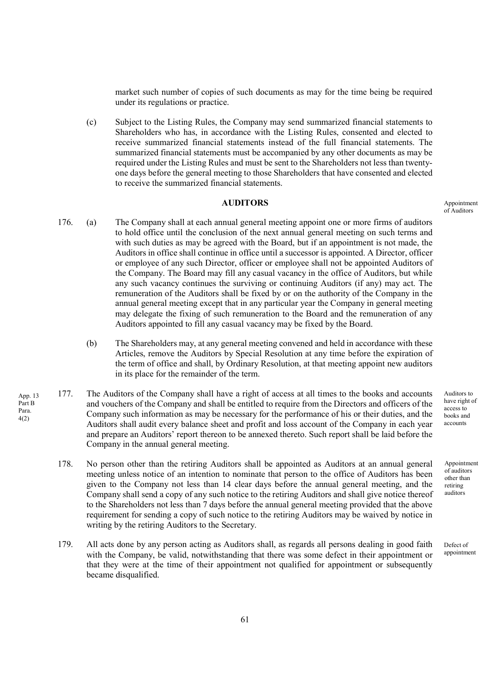market such number of copies of such documents as may for the time being be required under its regulations or practice.

(c) Subject to the Listing Rules, the Company may send summarized financial statements to Shareholders who has, in accordance with the Listing Rules, consented and elected to receive summarized financial statements instead of the full financial statements. The summarized financial statements must be accompanied by any other documents as may be required under the Listing Rules and must be sent to the Shareholders not less than twentyone days before the general meeting to those Shareholders that have consented and elected to receive the summarized financial statements.

# AUDITORS

- 176. (a) The Company shall at each annual general meeting appoint one or more firms of auditors to hold office until the conclusion of the next annual general meeting on such terms and with such duties as may be agreed with the Board, but if an appointment is not made, the Auditors in office shall continue in office until a successor is appointed. A Director, officer or employee of any such Director, officer or employee shall not be appointed Auditors of the Company. The Board may fill any casual vacancy in the office of Auditors, but while any such vacancy continues the surviving or continuing Auditors (if any) may act. The remuneration of the Auditors shall be fixed by or on the authority of the Company in the annual general meeting except that in any particular year the Company in general meeting may delegate the fixing of such remuneration to the Board and the remuneration of any Auditors appointed to fill any casual vacancy may be fixed by the Board.
	- (b) The Shareholders may, at any general meeting convened and held in accordance with these Articles, remove the Auditors by Special Resolution at any time before the expiration of the term of office and shall, by Ordinary Resolution, at that meeting appoint new auditors in its place for the remainder of the term.
- 177. The Auditors of the Company shall have a right of access at all times to the books and accounts and vouchers of the Company and shall be entitled to require from the Directors and officers of the Company such information as may be necessary for the performance of his or their duties, and the Auditors shall audit every balance sheet and profit and loss account of the Company in each year and prepare an Auditors' report thereon to be annexed thereto. Such report shall be laid before the Company in the annual general meeting.

App. 13 Part B Para. 4(2)

- 178. No person other than the retiring Auditors shall be appointed as Auditors at an annual general meeting unless notice of an intention to nominate that person to the office of Auditors has been given to the Company not less than 14 clear days before the annual general meeting, and the Company shall send a copy of any such notice to the retiring Auditors and shall give notice thereof to the Shareholders not less than 7 days before the annual general meeting provided that the above requirement for sending a copy of such notice to the retiring Auditors may be waived by notice in writing by the retiring Auditors to the Secretary.
- 179. All acts done by any person acting as Auditors shall, as regards all persons dealing in good faith with the Company, be valid, notwithstanding that there was some defect in their appointment or that they were at the time of their appointment not qualified for appointment or subsequently became disqualified.

Appointment of Auditors

Auditors to have right of access to books and accounts

Appointment of auditors other than retiring auditors

Defect of appointment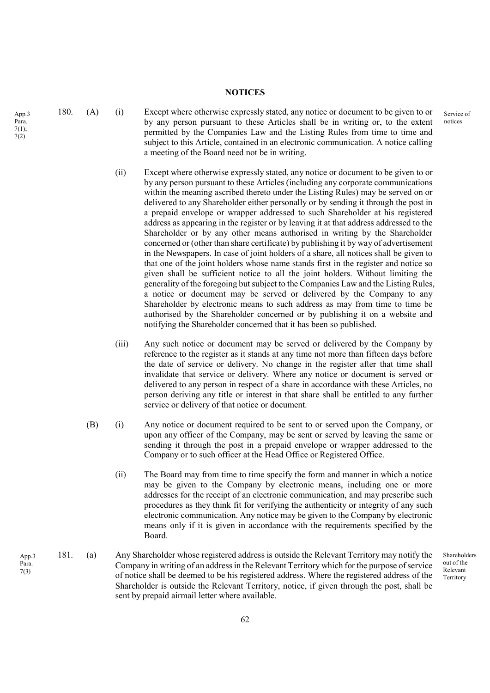#### **NOTICES**

180. (A) (i) Except where otherwise expressly stated, any notice or document to be given to or by any person pursuant to these Articles shall be in writing or, to the extent permitted by the Companies Law and the Listing Rules from time to time and subject to this Article, contained in an electronic communication. A notice calling a meeting of the Board need not be in writing.

- (ii) Except where otherwise expressly stated, any notice or document to be given to or by any person pursuant to these Articles (including any corporate communications within the meaning ascribed thereto under the Listing Rules) may be served on or delivered to any Shareholder either personally or by sending it through the post in a prepaid envelope or wrapper addressed to such Shareholder at his registered address as appearing in the register or by leaving it at that address addressed to the Shareholder or by any other means authorised in writing by the Shareholder concerned or (other than share certificate) by publishing it by way of advertisement in the Newspapers. In case of joint holders of a share, all notices shall be given to that one of the joint holders whose name stands first in the register and notice so given shall be sufficient notice to all the joint holders. Without limiting the generality of the foregoing but subject to the Companies Law and the Listing Rules, a notice or document may be served or delivered by the Company to any Shareholder by electronic means to such address as may from time to time be authorised by the Shareholder concerned or by publishing it on a website and notifying the Shareholder concerned that it has been so published.
- (iii) Any such notice or document may be served or delivered by the Company by reference to the register as it stands at any time not more than fifteen days before the date of service or delivery. No change in the register after that time shall invalidate that service or delivery. Where any notice or document is served or delivered to any person in respect of a share in accordance with these Articles, no person deriving any title or interest in that share shall be entitled to any further service or delivery of that notice or document.
- (B) (i) Any notice or document required to be sent to or served upon the Company, or upon any officer of the Company, may be sent or served by leaving the same or sending it through the post in a prepaid envelope or wrapper addressed to the Company or to such officer at the Head Office or Registered Office.
	- (ii) The Board may from time to time specify the form and manner in which a notice may be given to the Company by electronic means, including one or more addresses for the receipt of an electronic communication, and may prescribe such procedures as they think fit for verifying the authenticity or integrity of any such electronic communication. Any notice may be given to the Company by electronic means only if it is given in accordance with the requirements specified by the Board.
- 181. (a) Any Shareholder whose registered address is outside the Relevant Territory may notify the Company in writing of an address in the Relevant Territory which for the purpose of service of notice shall be deemed to be his registered address. Where the registered address of the Shareholder is outside the Relevant Territory, notice, if given through the post, shall be sent by prepaid airmail letter where available.

Shareholders out of the Relevant Territory

Service of notices

App.3 Para. 7(1); 7(2)

> App.3 Para. 7(3)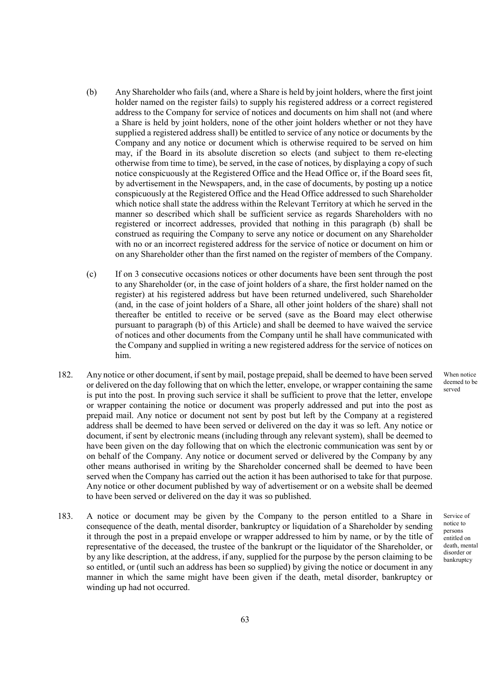- (b) Any Shareholder who fails (and, where a Share is held by joint holders, where the first joint holder named on the register fails) to supply his registered address or a correct registered address to the Company for service of notices and documents on him shall not (and where a Share is held by joint holders, none of the other joint holders whether or not they have supplied a registered address shall) be entitled to service of any notice or documents by the Company and any notice or document which is otherwise required to be served on him may, if the Board in its absolute discretion so elects (and subject to them re-electing otherwise from time to time), be served, in the case of notices, by displaying a copy of such notice conspicuously at the Registered Office and the Head Office or, if the Board sees fit, by advertisement in the Newspapers, and, in the case of documents, by posting up a notice conspicuously at the Registered Office and the Head Office addressed to such Shareholder which notice shall state the address within the Relevant Territory at which he served in the manner so described which shall be sufficient service as regards Shareholders with no registered or incorrect addresses, provided that nothing in this paragraph (b) shall be construed as requiring the Company to serve any notice or document on any Shareholder with no or an incorrect registered address for the service of notice or document on him or on any Shareholder other than the first named on the register of members of the Company.
- (c) If on 3 consecutive occasions notices or other documents have been sent through the post to any Shareholder (or, in the case of joint holders of a share, the first holder named on the register) at his registered address but have been returned undelivered, such Shareholder (and, in the case of joint holders of a Share, all other joint holders of the share) shall not thereafter be entitled to receive or be served (save as the Board may elect otherwise pursuant to paragraph (b) of this Article) and shall be deemed to have waived the service of notices and other documents from the Company until he shall have communicated with the Company and supplied in writing a new registered address for the service of notices on him.
- 182. Any notice or other document, if sent by mail, postage prepaid, shall be deemed to have been served or delivered on the day following that on which the letter, envelope, or wrapper containing the same is put into the post. In proving such service it shall be sufficient to prove that the letter, envelope or wrapper containing the notice or document was properly addressed and put into the post as prepaid mail. Any notice or document not sent by post but left by the Company at a registered address shall be deemed to have been served or delivered on the day it was so left. Any notice or document, if sent by electronic means (including through any relevant system), shall be deemed to have been given on the day following that on which the electronic communication was sent by or on behalf of the Company. Any notice or document served or delivered by the Company by any other means authorised in writing by the Shareholder concerned shall be deemed to have been served when the Company has carried out the action it has been authorised to take for that purpose. Any notice or other document published by way of advertisement or on a website shall be deemed to have been served or delivered on the day it was so published.
- 183. A notice or document may be given by the Company to the person entitled to a Share in consequence of the death, mental disorder, bankruptcy or liquidation of a Shareholder by sending it through the post in a prepaid envelope or wrapper addressed to him by name, or by the title of representative of the deceased, the trustee of the bankrupt or the liquidator of the Shareholder, or by any like description, at the address, if any, supplied for the purpose by the person claiming to be so entitled, or (until such an address has been so supplied) by giving the notice or document in any manner in which the same might have been given if the death, metal disorder, bankruptcy or winding up had not occurred.

When notice deemed to be served

Service of notice to persons entitled on death, mental disorder or bankruptcy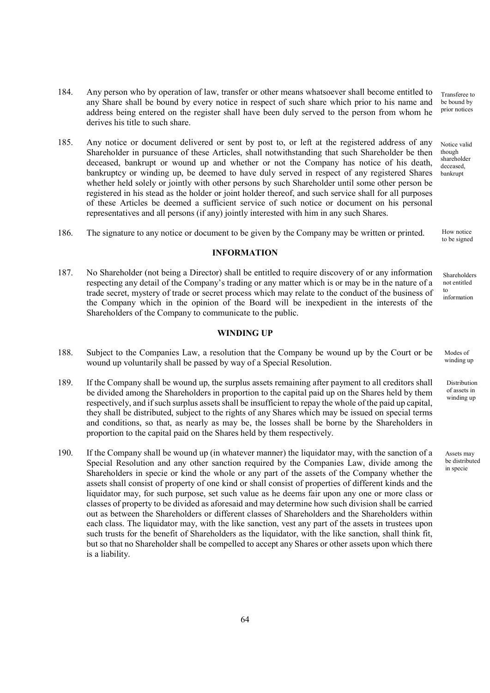- 184. Any person who by operation of law, transfer or other means whatsoever shall become entitled to any Share shall be bound by every notice in respect of such share which prior to his name and address being entered on the register shall have been duly served to the person from whom he derives his title to such share. Transferee to be bound by prior notices
- 185. Any notice or document delivered or sent by post to, or left at the registered address of any Shareholder in pursuance of these Articles, shall notwithstanding that such Shareholder be then deceased, bankrupt or wound up and whether or not the Company has notice of his death, bankruptcy or winding up, be deemed to have duly served in respect of any registered Shares whether held solely or jointly with other persons by such Shareholder until some other person be registered in his stead as the holder or joint holder thereof, and such service shall for all purposes of these Articles be deemed a sufficient service of such notice or document on his personal representatives and all persons (if any) jointly interested with him in any such Shares.
- 186. The signature to any notice or document to be given by the Company may be written or printed.

### INFORMATION

187. No Shareholder (not being a Director) shall be entitled to require discovery of or any information respecting any detail of the Company's trading or any matter which is or may be in the nature of a trade secret, mystery of trade or secret process which may relate to the conduct of the business of the Company which in the opinion of the Board will be inexpedient in the interests of the Shareholders of the Company to communicate to the public.

### WINDING UP

- 188. Subject to the Companies Law, a resolution that the Company be wound up by the Court or be wound up voluntarily shall be passed by way of a Special Resolution.
- 189. If the Company shall be wound up, the surplus assets remaining after payment to all creditors shall be divided among the Shareholders in proportion to the capital paid up on the Shares held by them respectively, and if such surplus assets shall be insufficient to repay the whole of the paid up capital, they shall be distributed, subject to the rights of any Shares which may be issued on special terms and conditions, so that, as nearly as may be, the losses shall be borne by the Shareholders in proportion to the capital paid on the Shares held by them respectively.
- 190. If the Company shall be wound up (in whatever manner) the liquidator may, with the sanction of a Special Resolution and any other sanction required by the Companies Law, divide among the Shareholders in specie or kind the whole or any part of the assets of the Company whether the assets shall consist of property of one kind or shall consist of properties of different kinds and the liquidator may, for such purpose, set such value as he deems fair upon any one or more class or classes of property to be divided as aforesaid and may determine how such division shall be carried out as between the Shareholders or different classes of Shareholders and the Shareholders within each class. The liquidator may, with the like sanction, vest any part of the assets in trustees upon such trusts for the benefit of Shareholders as the liquidator, with the like sanction, shall think fit, but so that no Shareholder shall be compelled to accept any Shares or other assets upon which there is a liability.

though shareholder deceased, bankrupt

Notice valid

How notice to be signed

Shareholders not entitled to information

Modes of winding up

Distribution of assets in winding up

Assets may be distributed in specie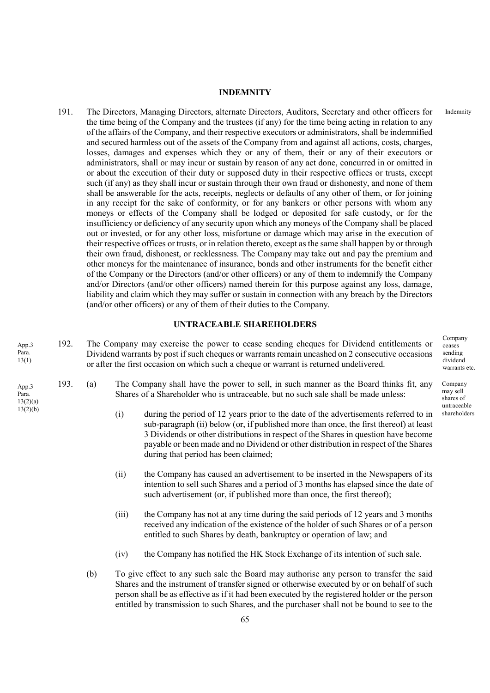#### INDEMNITY

191. The Directors, Managing Directors, alternate Directors, Auditors, Secretary and other officers for the time being of the Company and the trustees (if any) for the time being acting in relation to any of the affairs of the Company, and their respective executors or administrators, shall be indemnified and secured harmless out of the assets of the Company from and against all actions, costs, charges, losses, damages and expenses which they or any of them, their or any of their executors or administrators, shall or may incur or sustain by reason of any act done, concurred in or omitted in or about the execution of their duty or supposed duty in their respective offices or trusts, except such (if any) as they shall incur or sustain through their own fraud or dishonesty, and none of them shall be answerable for the acts, receipts, neglects or defaults of any other of them, or for joining in any receipt for the sake of conformity, or for any bankers or other persons with whom any moneys or effects of the Company shall be lodged or deposited for safe custody, or for the insufficiency or deficiency of any security upon which any moneys of the Company shall be placed out or invested, or for any other loss, misfortune or damage which may arise in the execution of their respective offices or trusts, or in relation thereto, except as the same shall happen by or through their own fraud, dishonest, or recklessness. The Company may take out and pay the premium and other moneys for the maintenance of insurance, bonds and other instruments for the benefit either of the Company or the Directors (and/or other officers) or any of them to indemnify the Company and/or Directors (and/or other officers) named therein for this purpose against any loss, damage, liability and claim which they may suffer or sustain in connection with any breach by the Directors (and/or other officers) or any of them of their duties to the Company.

## UNTRACEABLE SHAREHOLDERS

192. The Company may exercise the power to cease sending cheques for Dividend entitlements or Dividend warrants by post if such cheques or warrants remain uncashed on 2 consecutive occasions or after the first occasion on which such a cheque or warrant is returned undelivered. App.3 Para. 13(1)

App.3 Para.  $13(2)(a)$  $13(2)(b)$ 

- 193. (a) The Company shall have the power to sell, in such manner as the Board thinks fit, any Shares of a Shareholder who is untraceable, but no such sale shall be made unless:
	- (i) during the period of 12 years prior to the date of the advertisements referred to in sub-paragraph (ii) below (or, if published more than once, the first thereof) at least 3 Dividends or other distributions in respect of the Shares in question have become payable or been made and no Dividend or other distribution in respect of the Shares during that period has been claimed;
	- (ii) the Company has caused an advertisement to be inserted in the Newspapers of its intention to sell such Shares and a period of 3 months has elapsed since the date of such advertisement (or, if published more than once, the first thereof);
	- (iii) the Company has not at any time during the said periods of 12 years and 3 months received any indication of the existence of the holder of such Shares or of a person entitled to such Shares by death, bankruptcy or operation of law; and
	- (iv) the Company has notified the HK Stock Exchange of its intention of such sale.
	- (b) To give effect to any such sale the Board may authorise any person to transfer the said Shares and the instrument of transfer signed or otherwise executed by or on behalf of such person shall be as effective as if it had been executed by the registered holder or the person entitled by transmission to such Shares, and the purchaser shall not be bound to see to the

Company ceases sending dividend warrants etc.

Indemnity

Company may sell shares of untraceable shareholders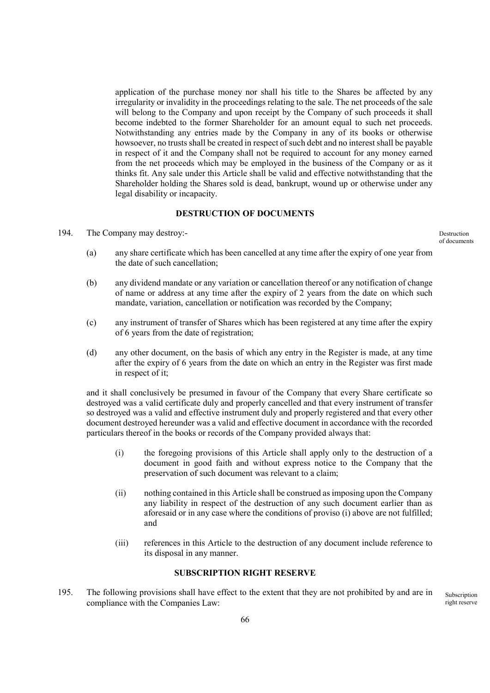application of the purchase money nor shall his title to the Shares be affected by any irregularity or invalidity in the proceedings relating to the sale. The net proceeds of the sale will belong to the Company and upon receipt by the Company of such proceeds it shall become indebted to the former Shareholder for an amount equal to such net proceeds. Notwithstanding any entries made by the Company in any of its books or otherwise howsoever, no trusts shall be created in respect of such debt and no interest shall be payable in respect of it and the Company shall not be required to account for any money earned from the net proceeds which may be employed in the business of the Company or as it thinks fit. Any sale under this Article shall be valid and effective notwithstanding that the Shareholder holding the Shares sold is dead, bankrupt, wound up or otherwise under any legal disability or incapacity.

# DESTRUCTION OF DOCUMENTS

194. The Company may destroy:-

Destruction of documents

- (a) any share certificate which has been cancelled at any time after the expiry of one year from the date of such cancellation;
- (b) any dividend mandate or any variation or cancellation thereof or any notification of change of name or address at any time after the expiry of 2 years from the date on which such mandate, variation, cancellation or notification was recorded by the Company;
- (c) any instrument of transfer of Shares which has been registered at any time after the expiry of 6 years from the date of registration;
- (d) any other document, on the basis of which any entry in the Register is made, at any time after the expiry of 6 years from the date on which an entry in the Register was first made in respect of it;

and it shall conclusively be presumed in favour of the Company that every Share certificate so destroyed was a valid certificate duly and properly cancelled and that every instrument of transfer so destroyed was a valid and effective instrument duly and properly registered and that every other document destroyed hereunder was a valid and effective document in accordance with the recorded particulars thereof in the books or records of the Company provided always that:

- (i) the foregoing provisions of this Article shall apply only to the destruction of a document in good faith and without express notice to the Company that the preservation of such document was relevant to a claim;
- (ii) nothing contained in this Article shall be construed as imposing upon the Company any liability in respect of the destruction of any such document earlier than as aforesaid or in any case where the conditions of proviso (i) above are not fulfilled; and
- (iii) references in this Article to the destruction of any document include reference to its disposal in any manner.

## SUBSCRIPTION RIGHT RESERVE

195. The following provisions shall have effect to the extent that they are not prohibited by and are in compliance with the Companies Law:

Subscription right reserve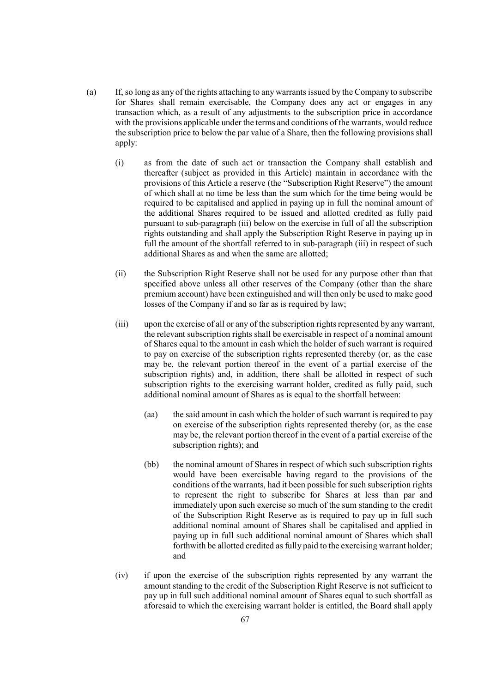- (a) If, so long as any of the rights attaching to any warrants issued by the Company to subscribe for Shares shall remain exercisable, the Company does any act or engages in any transaction which, as a result of any adjustments to the subscription price in accordance with the provisions applicable under the terms and conditions of the warrants, would reduce the subscription price to below the par value of a Share, then the following provisions shall apply:
	- (i) as from the date of such act or transaction the Company shall establish and thereafter (subject as provided in this Article) maintain in accordance with the provisions of this Article a reserve (the "Subscription Right Reserve") the amount of which shall at no time be less than the sum which for the time being would be required to be capitalised and applied in paying up in full the nominal amount of the additional Shares required to be issued and allotted credited as fully paid pursuant to sub-paragraph (iii) below on the exercise in full of all the subscription rights outstanding and shall apply the Subscription Right Reserve in paying up in full the amount of the shortfall referred to in sub-paragraph (iii) in respect of such additional Shares as and when the same are allotted;
	- (ii) the Subscription Right Reserve shall not be used for any purpose other than that specified above unless all other reserves of the Company (other than the share premium account) have been extinguished and will then only be used to make good losses of the Company if and so far as is required by law;
	- (iii) upon the exercise of all or any of the subscription rights represented by any warrant, the relevant subscription rights shall be exercisable in respect of a nominal amount of Shares equal to the amount in cash which the holder of such warrant is required to pay on exercise of the subscription rights represented thereby (or, as the case may be, the relevant portion thereof in the event of a partial exercise of the subscription rights) and, in addition, there shall be allotted in respect of such subscription rights to the exercising warrant holder, credited as fully paid, such additional nominal amount of Shares as is equal to the shortfall between:
		- (aa) the said amount in cash which the holder of such warrant is required to pay on exercise of the subscription rights represented thereby (or, as the case may be, the relevant portion thereof in the event of a partial exercise of the subscription rights); and
		- (bb) the nominal amount of Shares in respect of which such subscription rights would have been exercisable having regard to the provisions of the conditions of the warrants, had it been possible for such subscription rights to represent the right to subscribe for Shares at less than par and immediately upon such exercise so much of the sum standing to the credit of the Subscription Right Reserve as is required to pay up in full such additional nominal amount of Shares shall be capitalised and applied in paying up in full such additional nominal amount of Shares which shall forthwith be allotted credited as fully paid to the exercising warrant holder; and
	- (iv) if upon the exercise of the subscription rights represented by any warrant the amount standing to the credit of the Subscription Right Reserve is not sufficient to pay up in full such additional nominal amount of Shares equal to such shortfall as aforesaid to which the exercising warrant holder is entitled, the Board shall apply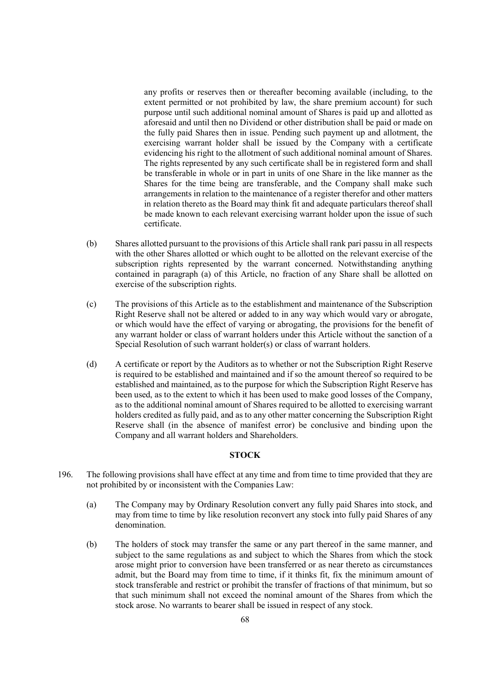any profits or reserves then or thereafter becoming available (including, to the extent permitted or not prohibited by law, the share premium account) for such purpose until such additional nominal amount of Shares is paid up and allotted as aforesaid and until then no Dividend or other distribution shall be paid or made on the fully paid Shares then in issue. Pending such payment up and allotment, the exercising warrant holder shall be issued by the Company with a certificate evidencing his right to the allotment of such additional nominal amount of Shares. The rights represented by any such certificate shall be in registered form and shall be transferable in whole or in part in units of one Share in the like manner as the Shares for the time being are transferable, and the Company shall make such arrangements in relation to the maintenance of a register therefor and other matters in relation thereto as the Board may think fit and adequate particulars thereof shall be made known to each relevant exercising warrant holder upon the issue of such certificate.

- (b) Shares allotted pursuant to the provisions of this Article shall rank pari passu in all respects with the other Shares allotted or which ought to be allotted on the relevant exercise of the subscription rights represented by the warrant concerned. Notwithstanding anything contained in paragraph (a) of this Article, no fraction of any Share shall be allotted on exercise of the subscription rights.
- (c) The provisions of this Article as to the establishment and maintenance of the Subscription Right Reserve shall not be altered or added to in any way which would vary or abrogate, or which would have the effect of varying or abrogating, the provisions for the benefit of any warrant holder or class of warrant holders under this Article without the sanction of a Special Resolution of such warrant holder(s) or class of warrant holders.
- (d) A certificate or report by the Auditors as to whether or not the Subscription Right Reserve is required to be established and maintained and if so the amount thereof so required to be established and maintained, as to the purpose for which the Subscription Right Reserve has been used, as to the extent to which it has been used to make good losses of the Company, as to the additional nominal amount of Shares required to be allotted to exercising warrant holders credited as fully paid, and as to any other matter concerning the Subscription Right Reserve shall (in the absence of manifest error) be conclusive and binding upon the Company and all warrant holders and Shareholders.

# **STOCK**

- 196. The following provisions shall have effect at any time and from time to time provided that they are not prohibited by or inconsistent with the Companies Law:
	- (a) The Company may by Ordinary Resolution convert any fully paid Shares into stock, and may from time to time by like resolution reconvert any stock into fully paid Shares of any denomination.
	- (b) The holders of stock may transfer the same or any part thereof in the same manner, and subject to the same regulations as and subject to which the Shares from which the stock arose might prior to conversion have been transferred or as near thereto as circumstances admit, but the Board may from time to time, if it thinks fit, fix the minimum amount of stock transferable and restrict or prohibit the transfer of fractions of that minimum, but so that such minimum shall not exceed the nominal amount of the Shares from which the stock arose. No warrants to bearer shall be issued in respect of any stock.